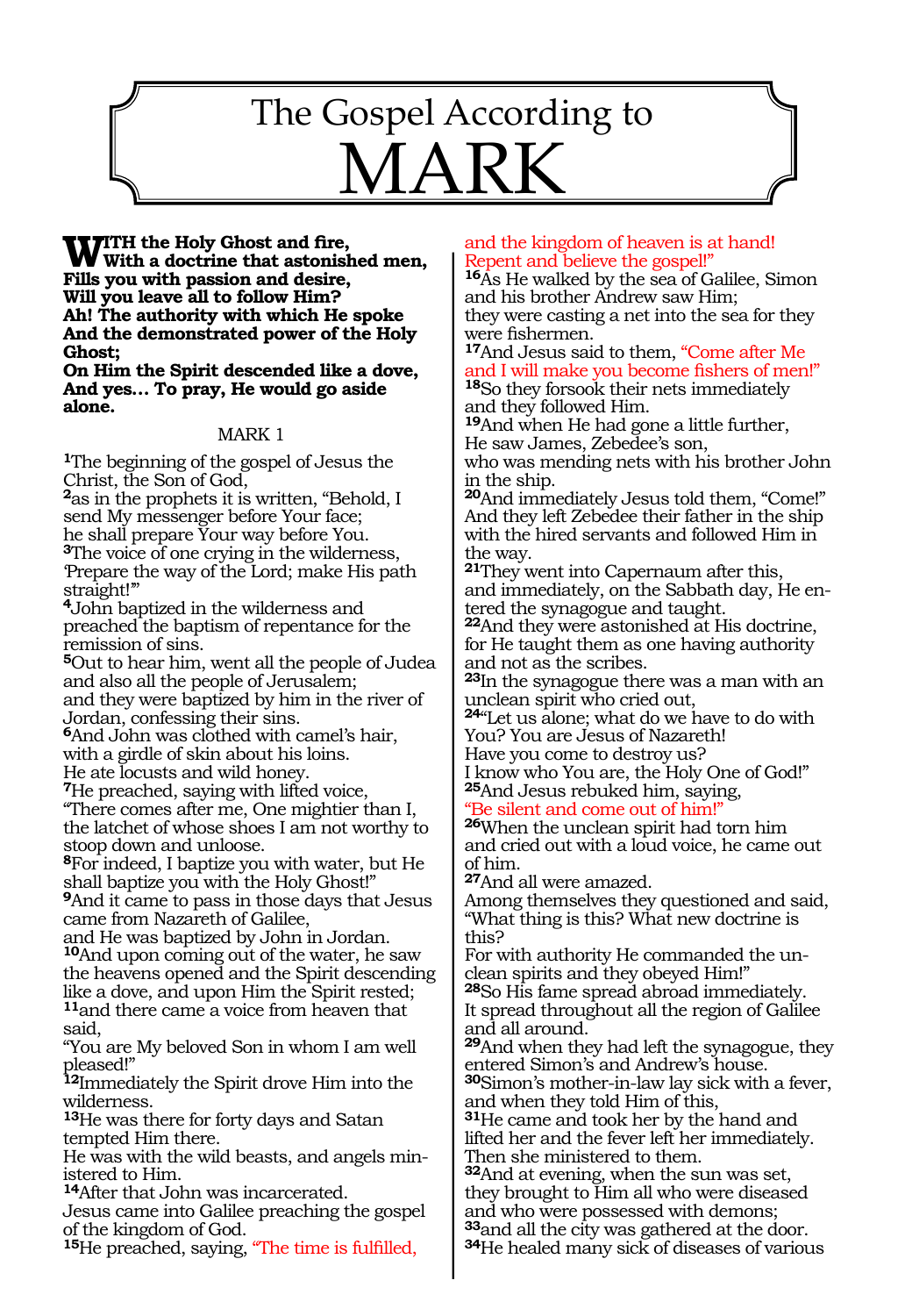# 1240 The Gospel According to  $A$

**WITH** the Holy Ghost and fire,<br>With a doctrine that astonished men, **Fills you with passion and desire, Will you leave all to follow Him? Ah! The authority with which He spoke And the demonstrated power of the Holy Ghost;**

**On Him the Spirit descended like a dove, And yes… To pray, He would go aside alone.**

### MARK 1

**<sup>1</sup>**The beginning of the gospel of Jesus the Christ, the Son of God,

**<sup>2</sup>**as in the prophets it is written, "Behold, I send My messenger before Your face; he shall prepare Your way before You. **<sup>3</sup>**The voice of one crying in the wilderness, 'Prepare the way of the Lord; make His path straight!'"

**<sup>4</sup>**John baptized in the wilderness and preached the baptism of repentance for the remission of sins.

**<sup>5</sup>**Out to hear him, went all the people of Judea and also all the people of Jerusalem; and they were baptized by him in the river of Jordan, confessing their sins.

**<sup>6</sup>**And John was clothed with camel's hair, with a girdle of skin about his loins.

He ate locusts and wild honey. **<sup>7</sup>**He preached, saying with lifted voice,

"There comes after me, One mightier than I, the latchet of whose shoes I am not worthy to stoop down and unloose.

**<sup>8</sup>**For indeed, I baptize you with water, but He shall baptize you with the Holy Ghost!" **<sup>9</sup>**And it came to pass in those days that Jesus

came from Nazareth of Galilee, and He was baptized by John in Jordan. **<sup>10</sup>**And upon coming out of the water, he saw the heavens opened and the Spirit descending like a dove, and upon Him the Spirit rested; **<sup>11</sup>**and there came a voice from heaven that said,

"You are My beloved Son in whom I am well pleased!"

**<sup>12</sup>**Immediately the Spirit drove Him into the wilderness.

**<sup>13</sup>**He was there for forty days and Satan tempted Him there.

He was with the wild beasts, and angels ministered to Him.

**<sup>14</sup>**After that John was incarcerated.

Jesus came into Galilee preaching the gospel of the kingdom of God.

**<sup>15</sup>**He preached, saying, "The time is fulfilled,

### and the kingdom of heaven is at hand! Repent and believe the gospel!"

**<sup>16</sup>**As He walked by the sea of Galilee, Simon and his brother Andrew saw Him; they were casting a net into the sea for they were fishermen.

**<sup>17</sup>**And Jesus said to them, "Come after Me and I will make you become fishers of men!" **<sup>18</sup>**So they forsook their nets immediately

and they followed Him.

**<sup>19</sup>**And when He had gone a little further, He saw James, Zebedee's son,

who was mending nets with his brother John in the ship.

**<sup>20</sup>**And immediately Jesus told them, "Come!" And they left Zebedee their father in the ship with the hired servants and followed Him in the way.

**<sup>21</sup>**They went into Capernaum after this, and immediately, on the Sabbath day, He entered the synagogue and taught.

**<sup>22</sup>**And they were astonished at His doctrine, for He taught them as one having authority and not as the scribes.

**<sup>23</sup>**In the synagogue there was a man with an unclean spirit who cried out,

**<sup>24</sup>**"Let us alone; what do we have to do with You? You are Jesus of Nazareth!

Have you come to destroy us?

I know who You are, the Holy One of God!" **<sup>25</sup>**And Jesus rebuked him, saying,

"Be silent and come out of him!"

**<sup>26</sup>**When the unclean spirit had torn him and cried out with a loud voice, he came out of him.

**<sup>27</sup>**And all were amazed.

Among themselves they questioned and said, "What thing is this? What new doctrine is this?

For with authority He commanded the unclean spirits and they obeyed Him!" **<sup>28</sup>**So His fame spread abroad immediately. It spread throughout all the region of Galilee

and all around. **<sup>29</sup>**And when they had left the synagogue, they

entered Simon's and Andrew's house. **<sup>30</sup>**Simon's mother-in-law lay sick with a fever,

and when they told Him of this,

**<sup>31</sup>**He came and took her by the hand and lifted her and the fever left her immediately. Then she ministered to them.

**<sup>32</sup>**And at evening, when the sun was set, they brought to Him all who were diseased and who were possessed with demons;<br><sup>33</sup>and all the city was gathered at the door. **34**He healed many sick of diseases of various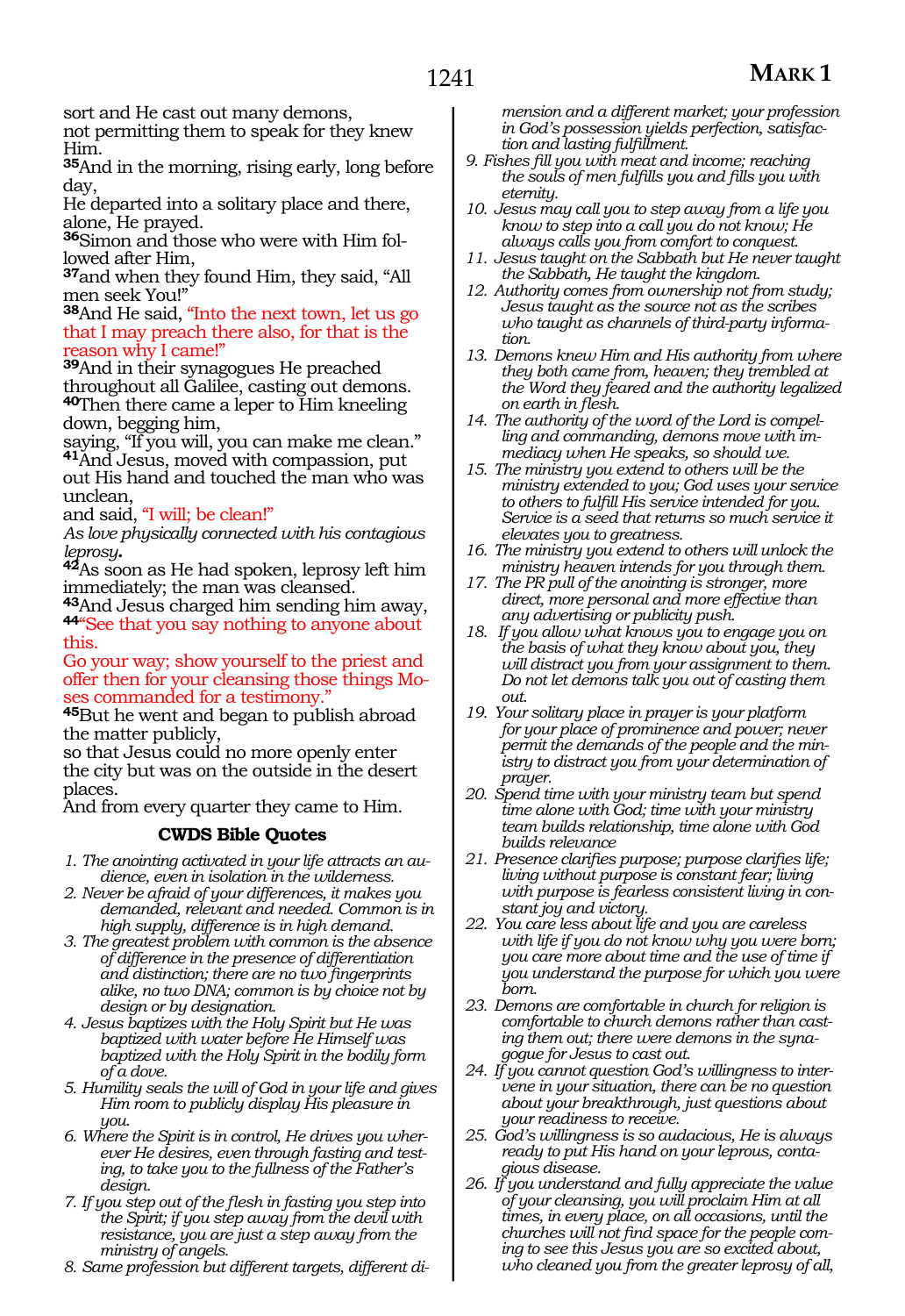sort and He cast out many demons,

not permitting them to speak for they knew Him.

**<sup>35</sup>**And in the morning, rising early, long before day,

He departed into a solitary place and there, alone, He prayed.

**36**Simon and those who were with Him followed after Him,

**<sup>37</sup>**and when they found Him, they said, "All men seek You!"

**<sup>38</sup>**And He said, "Into the next town, let us go that I may preach there also, for that is the reason why I came!"

**<sup>39</sup>**And in their synagogues He preached throughout all Galilee, casting out demons. **<sup>40</sup>**Then there came a leper to Him kneeling down, begging him,

saying, "If you will, you can make me clean." **<sup>41</sup>**And Jesus, moved with compassion, put out His hand and touched the man who was unclean,

and said, "I will; be clean!"

*As love physically connected with his contagious* 

*leprosy.* **<sup>42</sup>**As soon as He had spoken, leprosy left him immediately; the man was cleansed.

**<sup>43</sup>**And Jesus charged him sending him away, **<sup>44</sup>**"See that you say nothing to anyone about this.

Go your way; show yourself to the priest and offer then for your cleansing those things Moses commanded for a testimony."

**<sup>45</sup>**But he went and began to publish abroad the matter publicly,

so that Jesus could no more openly enter the city but was on the outside in the desert places.

And from every quarter they came to Him.

### **CWDS Bible Quotes**

- *1. The anointing activated in your life attracts an audience, even in isolation in the wilderness.*
- *2. Never be afraid of your differences, it makes you demanded, relevant and needed. Common is in high supply, difference is in high demand.*
- *3. The greatest problem with common is the absence of difference in the presence of differentiation and distinction; there are no two fingerprints alike, no two DNA; common is by choice not by design or by designation.*
- *4. Jesus baptizes with the Holy Spirit but He was baptized with water before He Himself was baptized with the Holy Spirit in the bodily form of a dove.*
- *5. Humility seals the will of God in your life and gives Him room to publicly display His pleasure in you.*
- *6. Where the Spirit is in control, He drives you wherever He desires, even through fasting and testing, to take you to the fullness of the Father's design.*
- *7. If you step out of the flesh in fasting you step into the Spirit; if you step away from the devil with resistance, you are just a step away from the ministry of angels.*
- *8. Same profession but different targets, different di-*

*mension and a different market; your profession in God's possession yields perfection, satisfaction and lasting fulfillment.*

- *9. Fishes fill you with meat and income; reaching the souls of men fulfills you and fills you with eternity.*
- *10. Jesus may call you to step away from a life you know to step into a call you do not know; He always calls you from comfort to conquest.*
- *11. Jesus taught on the Sabbath but He never taught the Sabbath, He taught the kingdom.*
- *12. Authority comes from ownership not from study; Jesus taught as the source not as the scribes who taught as channels of third-party information.*
- *13. Demons knew Him and His authority from where they both came from, heaven; they trembled at the Word they feared and the authority legalized on earth in flesh.*
- *14. The authority of the word of the Lord is compelling and commanding, demons move with immediacy when He speaks, so should we.*
- *15. The ministry you extend to others will be the ministry extended to you; God uses your service to others to fulfill His service intended for you. Service is a seed that returns so much service it elevates you to greatness.*
- *16. The ministry you extend to others will unlock the ministry heaven intends for you through them.*
- *17. The PR pull of the anointing is stronger, more direct, more personal and more effective than any advertising or publicity push.*
- *18. If you allow what knows you to engage you on the basis of what they know about you, they will distract you from your assignment to them. Do not let demons talk you out of casting them out.*
- *19. Your solitary place in prayer is your platform for your place of prominence and power; never permit the demands of the people and the ministry to distract you from your determination of prayer.*
- *20. Spend time with your ministry team but spend time alone with God; time with your ministry team builds relationship, time alone with God builds relevance*
- *21. Presence clarifies purpose; purpose clarifies life; living without purpose is constant fear; living with purpose is fearless consistent living in constant joy and victory.*
- *22. You care less about life and you are careless with life if you do not know why you were born; you care more about time and the use of time if you understand the purpose for which you were born.*
- *23. Demons are comfortable in church for religion is comfortable to church demons rather than casting them out; there were demons in the synagogue for Jesus to cast out.*
- *24. If you cannot question God's willingness to intervene in your situation, there can be no question about your breakthrough, just questions about your readiness to receive.*
- *25. God's willingness is so audacious, He is always ready to put His hand on your leprous, contagious disease.*
- *26. If you understand and fully appreciate the value of your cleansing, you will proclaim Him at all times, in every place, on all occasions, until the churches will not find space for the people coming to see this Jesus you are so excited about, who cleaned you from the greater leprosy of all,*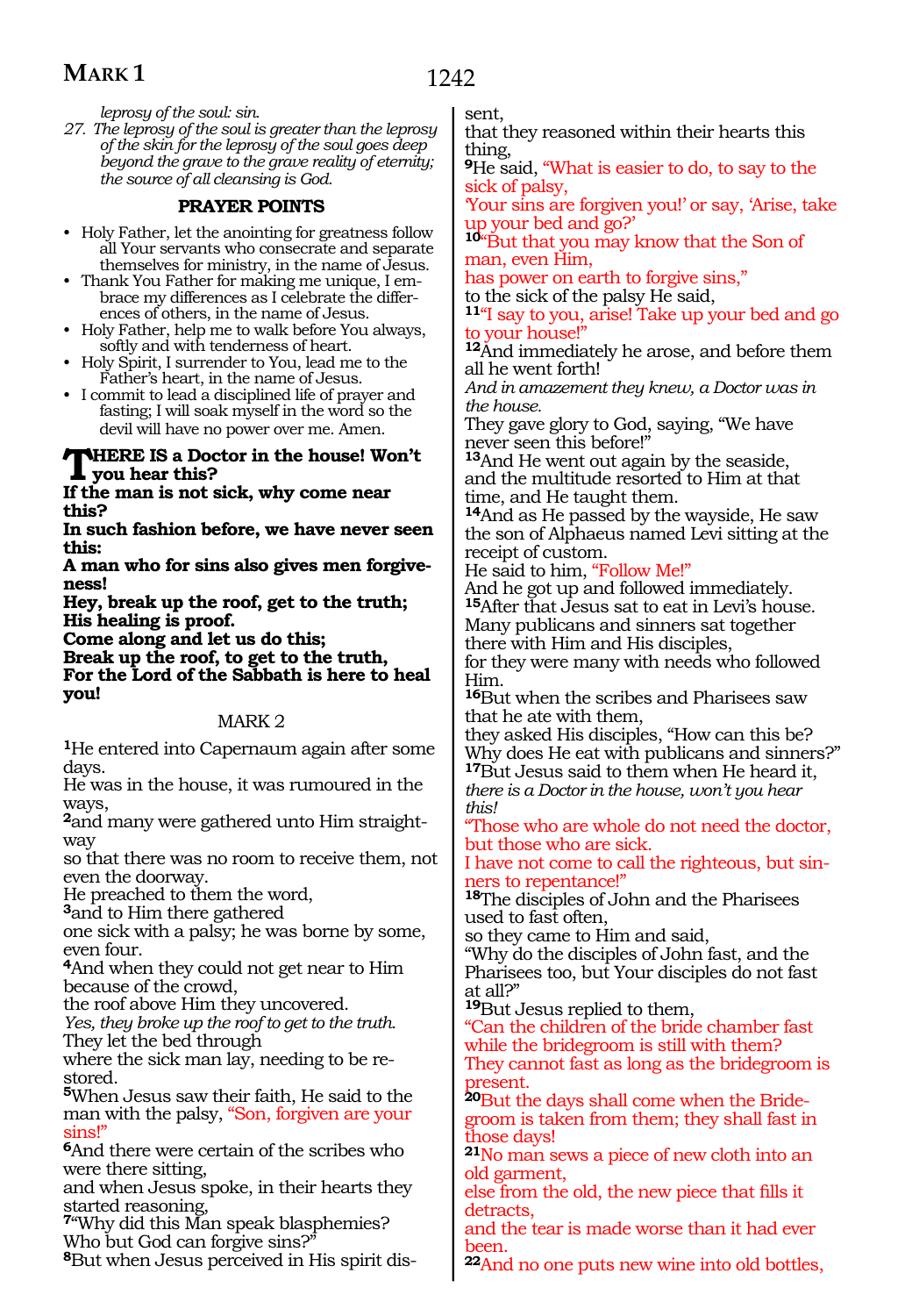1242

*leprosy of the soul: sin.*

*27. The leprosy of the soul is greater than the leprosy of the skin for the leprosy of the soul goes deep beyond the grave to the grave reality of eternity; the source of all cleansing is God.*

### **PRAYER POINTS**

- Holy Father, let the anointing for greatness follow all Your servants who consecrate and separate themselves for ministry, in the name of Jesus.
- Thank You Father for making me unique, I embrace my differences as I celebrate the differences of others, in the name of Jesus.
- Holy Father, help me to walk before You always, softly and with tenderness of heart.
- Holy Spirit, I surrender to You, lead me to the Father's heart, in the name of Jesus.
- I commit to lead a disciplined life of prayer and fasting; I will soak myself in the word so the devil will have no power over me. Amen.

#### **WHERE IS a Doctor in the house! Won't you hear this?**

**If the man is not sick, why come near this?**

**In such fashion before, we have never seen this:**

**A man who for sins also gives men forgiveness!**

**Hey, break up the roof, get to the truth; His healing is proof.**

**Come along and let us do this;**

**Break up the roof, to get to the truth, For the Lord of the Sabbath is here to heal you!**

### MARK 2

**<sup>1</sup>**He entered into Capernaum again after some days.

He was in the house, it was rumoured in the ways,

**2**and many were gathered unto Him straightway

so that there was no room to receive them, not even the doorway.

He preached to them the word,

**<sup>3</sup>**and to Him there gathered

one sick with a palsy; he was borne by some, even four.

**<sup>4</sup>**And when they could not get near to Him because of the crowd,

the roof above Him they uncovered.

*Yes, they broke up the roof to get to the truth.*  They let the bed through

where the sick man lay, needing to be re- stored.

**<sup>5</sup>**When Jesus saw their faith, He said to the man with the palsy, "Son, forgiven are your sins!"

**<sup>6</sup>**And there were certain of the scribes who were there sitting,

and when Jesus spoke, in their hearts they started reasoning,

**<sup>7</sup>**"Why did this Man speak blasphemies? Who but God can forgive sins?"

**8**But when Jesus perceived in His spirit dis-

sent,

that they reasoned within their hearts this thing,

**<sup>9</sup>**He said, "What is easier to do, to say to the sick of palsy,

'Your sins are forgiven you!' or say, 'Arise, take up your bed and go?'

**<sup>10</sup>**"But that you may know that the Son of man, even Him,

has power on earth to forgive sins," to the sick of the palsy He said,

**<sup>11</sup>**"I say to you, arise! Take up your bed and go to your house!"

**<sup>12</sup>**And immediately he arose, and before them all he went forth!

*And in amazement they knew, a Doctor was in the house.* 

They gave glory to God, saying, "We have never seen this before!"

**<sup>13</sup>**And He went out again by the seaside, and the multitude resorted to Him at that time, and He taught them.

**<sup>14</sup>**And as He passed by the wayside, He saw the son of Alphaeus named Levi sitting at the receipt of custom.

He said to him, "Follow Me!"

And he got up and followed immediately. **<sup>15</sup>**After that Jesus sat to eat in Levi's house. Many publicans and sinners sat together there with Him and His disciples,

for they were many with needs who followed Him.

**<sup>16</sup>**But when the scribes and Pharisees saw that he ate with them,

they asked His disciples, "How can this be? Why does He eat with publicans and sinners?" **<sup>17</sup>**But Jesus said to them when He heard it, *there is a Doctor in the house, won't you hear this!* 

Those who are whole do not need the doctor, but those who are sick.

I have not come to call the righteous, but sinners to repentance!"

**<sup>18</sup>**The disciples of John and the Pharisees used to fast often,

so they came to Him and said,

"Why do the disciples of John fast, and the Pharisees too, but Your disciples do not fast at all?"

**<sup>19</sup>**But Jesus replied to them,

"Can the children of the bride chamber fast while the bridegroom is still with them? They cannot fast as long as the bridegroom is present.

**20**But the days shall come when the Bridegroom is taken from them; they shall fast in those days!

**<sup>21</sup>**No man sews a piece of new cloth into an old garment,

else from the old, the new piece that fills it detracts.

and the tear is made worse than it had ever been.

**<sup>22</sup>**And no one puts new wine into old bottles,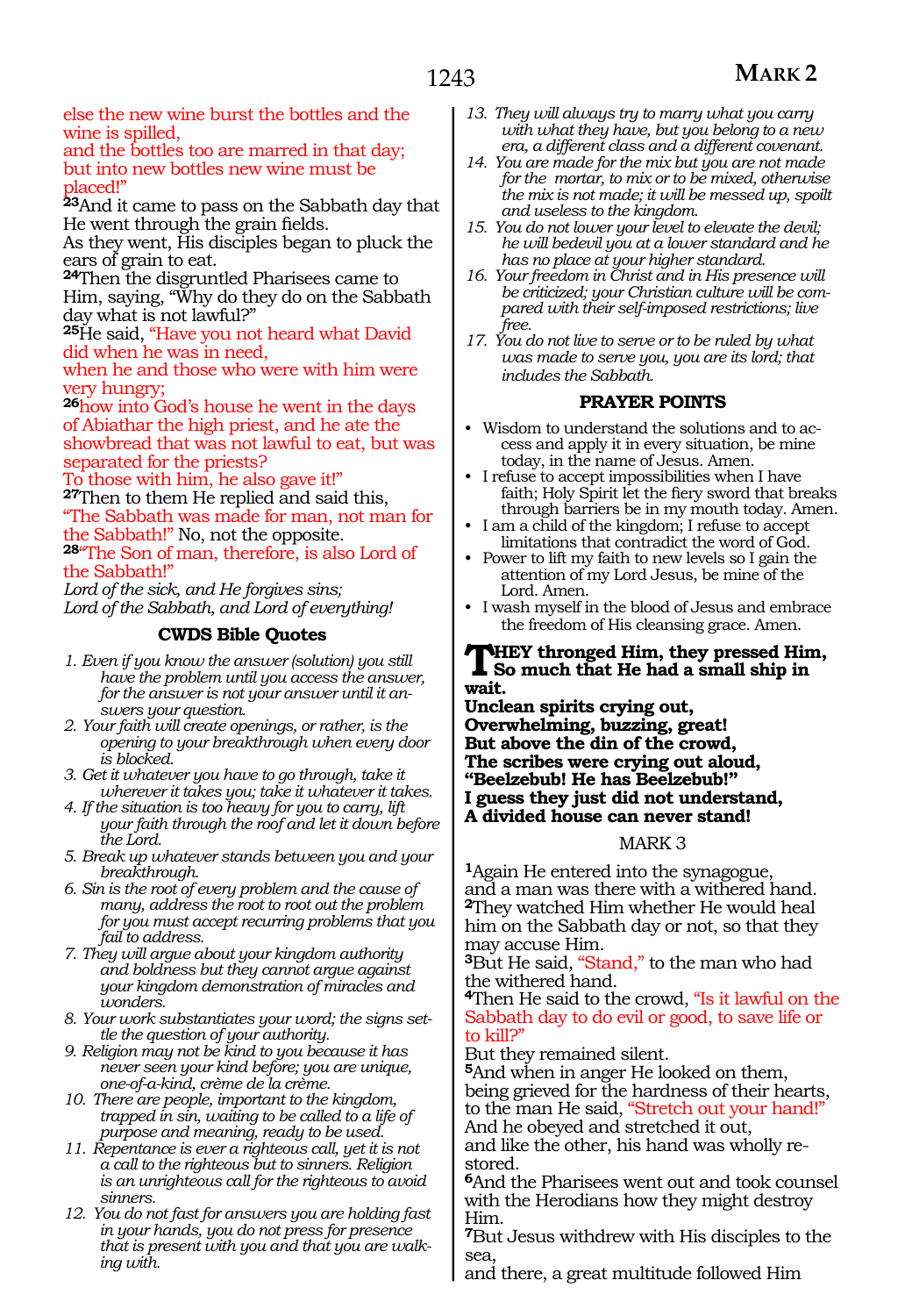else the new wine burst the bottles and the wine is spilled,

and the bottles too are marred in that day; but into new bottles new wine must be placed!"

**<sup>23</sup>**And it came to pass on the Sabbath day that He went through the grain fields.

As they went, His disciples began to pluck the ears of grain to eat.

**<sup>24</sup>**Then the disgruntled Pharisees came to Him, saying, "Why do they do on the Sabbath day what is not lawful?"

**<sup>25</sup>**He said, "Have you not heard what David did when he was in need,

when he and those who were with him were very hungry;

**<sup>26</sup>**how into God's house he went in the days of Abiathar the high priest, and he ate the showbread that was not lawful to eat, but was separated for the priests?

To those with him, he also gave it!" **<sup>27</sup>**Then to them He replied and said this,

"The Sabbath was made for man, not man for the Sabbath!" No, not the opposite. **28**"The Son of man, therefore, is also Lord of

the Sabbath!"

*Lord of the sick, and He forgives sins; Lord of the Sabbath, and Lord of everything!*

### **CWDS Bible Quotes**

- *1. Even if you know the answer (solution) you still have the problem until you access the answer, for the answer is not your answer until it answers your question.*
- *2. Your faith will create openings, or rather, is the opening to your breakthrough when every door is blocked.*
- *3. Get it whatever you have to go through, take it wherever it takes you; take it whatever it takes.*
- *4. If the situation is too heavy for you to carry, lift your faith through the roof and let it down before the Lord.*
- *5. Break up whatever stands between you and your breakthrough.*
- *6. Sin is the root of every problem and the cause of many, address the root to root out the problem for you must accept recurring problems that you fail to address.*
- *7. They will argue about your kingdom authority and boldness but they cannot argue against your kingdom demonstration of miracles and wonders.*
- *8. Your work substantiates your word; the signs settle the question of your authority.*
- *9. Religion may not be kind to you because it has never seen your kind before; you are unique, one-of-a-kind, crème de la crème.*
- *10. There are people, important to the kingdom, trapped in sin, waiting to be called to a life of purpose and meaning, ready to be used.*
- *11. Repentance is ever a righteous call, yet it is not a call to the righteous but to sinners. Religion is an unrighteous call for the righteous to avoid sinners.*
- *12. You do not fast for answers you are holding fast in your hands, you do not press for presence that is present with you and that you are walking with.*
- *13. They will always try to marry what you carry with what they have, but you belong to a new era, a different class and a different covenant.*
- *14. You are made for the mix but you are not made for the mortar, to mix or to be mixed, otherwise the mix is not made; it will be messed up, spoilt and useless to the kingdom.*
- *15. You do not lower your level to elevate the devil; he will bedevil you at a lower standard and he has no place at your higher standard.*
- *16. Your freedom in Christ and in His presence will be criticized; your Christian culture will be compared with their self-imposed restrictions; live free.*
- *17. You do not live to serve or to be ruled by what was made to serve you, you are its lord; that includes the Sabbath.*

### **PRAYER POINTS**

- Wisdom to understand the solutions and to access and apply it in every situation, be mine today, in the name of Jesus. Amen.
- I refuse to accept impossibilities when I have faith; Holy Spirit let the fiery sword that breaks through barriers be in my mouth today. Amen.
- I am a child of the kingdom; I refuse to accept limitations that contradict the word of God.
- Power to lift my faith to new levels so I gain the attention of my Lord Jesus, be mine of the Lord. Amen.
- I wash myself in the blood of Jesus and embrace the freedom of His cleansing grace. Amen.

### **THEY** thronged Him, they pressed Him, So much that He had a small ship in **wait.**

**Unclean spirits crying out, Overwhelming, buzzing, great! But above the din of the crowd, The scribes were crying out aloud, "Beelzebub! He has Beelzebub!" I guess they just did not understand, A divided house can never stand!**

#### MARK 3

**<sup>1</sup>**Again He entered into the synagogue, and a man was there with a withered hand. **<sup>2</sup>**They watched Him whether He would heal him on the Sabbath day or not, so that they may accuse Him.

**<sup>3</sup>**But He said, "Stand," to the man who had the withered hand.

**<sup>4</sup>**Then He said to the crowd, "Is it lawful on the Sabbath day to do evil or good, to save life or to kill?"

But they remained silent.

**<sup>5</sup>**And when in anger He looked on them, being grieved for the hardness of their hearts, to the man He said, "Stretch out your hand!"

And he obeyed and stretched it out,

and like the other, his hand was wholly restored.

**<sup>6</sup>**And the Pharisees went out and took counsel with the Herodians how they might destroy Him.

**<sup>7</sup>**But Jesus withdrew with His disciples to the sea,

and there, a great multitude followed Him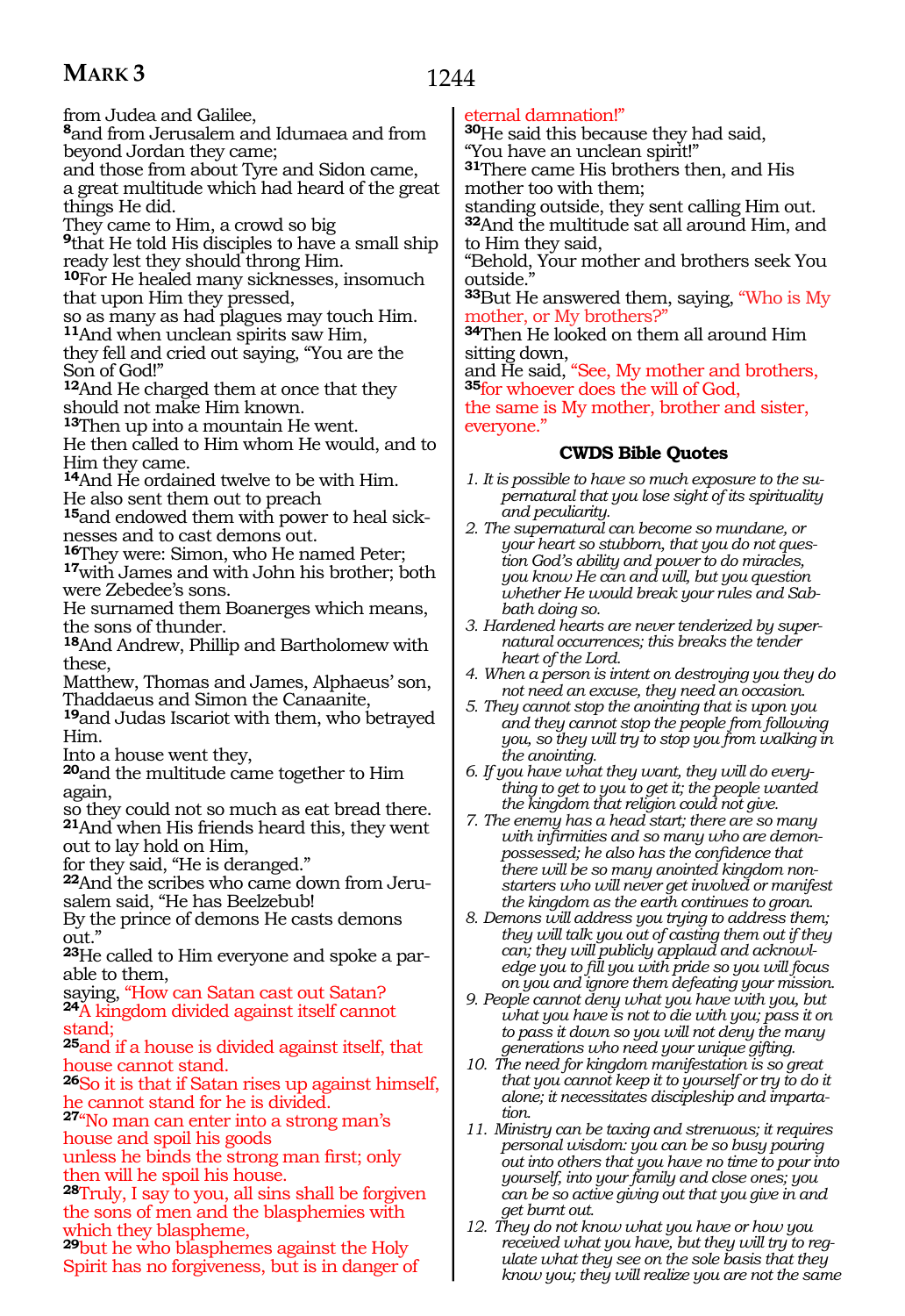from Judea and Galilee,

**<sup>8</sup>**and from Jerusalem and Idumaea and from beyond Jordan they came;

and those from about Tyre and Sidon came,

a great multitude which had heard of the great things He did.

They came to Him, a crowd so big

**<sup>9</sup>**that He told His disciples to have a small ship ready lest they should throng Him.

**<sup>10</sup>**For He healed many sicknesses, insomuch that upon Him they pressed,

so as many as had plagues may touch Him. **<sup>11</sup>**And when unclean spirits saw Him,

they fell and cried out saying, "You are the Son of God!"

**<sup>12</sup>**And He charged them at once that they should not make Him known.

**<sup>13</sup>**Then up into a mountain He went.

He then called to Him whom He would, and to Him they came.

14And He ordained twelve to be with Him. He also sent them out to preach

**15** and endowed them with power to heal sick-<br>nesses and to cast demons out.<br>**16**They were: Simon, who He named Peter;

17with James and with John his brother; both were Zebedee's sons.

He surnamed them Boanerges which means, the sons of thunder.

**<sup>18</sup>**And Andrew, Phillip and Bartholomew with these,

Matthew, Thomas and James, Alphaeus' son, Thaddaeus and Simon the Canaanite,

**<sup>19</sup>**and Judas Iscariot with them, who betrayed Him.

Into a house went they,

**<sup>20</sup>**and the multitude came together to Him again,

so they could not so much as eat bread there. **<sup>21</sup>**And when His friends heard this, they went out to lay hold on Him,

for they said, "He is deranged."

**22**And the scribes who came down from Jerusalem said, "He has Beelzebub!

By the prince of demons He casts demons out."

**23**He called to Him everyone and spoke a parable to them,

saying, "How can Satan cast out Satan? **<sup>24</sup>**A kingdom divided against itself cannot stand;

**<sup>25</sup>**and if a house is divided against itself, that house cannot stand.

**<sup>26</sup>**So it is that if Satan rises up against himself, he cannot stand for he is divided.

**<sup>27</sup>**"No man can enter into a strong man's house and spoil his goods

unless he binds the strong man first; only then will he spoil his house.

**<sup>28</sup>**Truly, I say to you, all sins shall be forgiven the sons of men and the blasphemies with which they blaspheme,

**<sup>29</sup>**but he who blasphemes against the Holy Spirit has no forgiveness, but is in danger of

### eternal damnation!"

**<sup>30</sup>**He said this because they had said, "You have an unclean spirit!"

**<sup>31</sup>**There came His brothers then, and His mother too with them;

standing outside, they sent calling Him out. **<sup>32</sup>**And the multitude sat all around Him, and

to Him they said, "Behold, Your mother and brothers seek You outside.

**<sup>33</sup>**But He answered them, saying, "Who is My mother, or My brothers?"

**<sup>34</sup>**Then He looked on them all around Him

sitting down,<br>and He said, "See, My mother and brothers, 35for whoever does the will of God,

the same is My mother, brother and sister, everyone."

### **CWDS Bible Quotes**

- *1. It is possible to have so much exposure to the supernatural that you lose sight of its spirituality and peculiarity.*
- *2. The supernatural can become so mundane, or your heart so stubborn, that you do not question God's ability and power to do miracles, you know He can and will, but you question whether He would break your rules and Sabbath doing so.*
- *3. Hardened hearts are never tenderized by supernatural occurrences; this breaks the tender heart of the Lord.*
- *4. When a person is intent on destroying you they do not need an excuse, they need an occasion.*
- *5. They cannot stop the anointing that is upon you and they cannot stop the people from following you, so they will try to stop you from walking in the anointing.*
- *6. If you have what they want, they will do everything to get to you to get it; the people wanted the kingdom that religion could not give.*
- *7. The enemy has a head start; there are so many with infirmities and so many who are demonpossessed; he also has the confidence that there will be so many anointed kingdom nonstarters who will never get involved or manifest the kingdom as the earth continues to groan.*

*8. Demons will address you trying to address them; they will talk you out of casting them out if they can; they will publicly applaud and acknowledge you to fill you with pride so you will focus on you and ignore them defeating your mission.*

*9. People cannot deny what you have with you, but what you have is not to die with you; pass it on to pass it down so you will not deny the many generations who need your unique gifting.*

*10. The need for kingdom manifestation is so great that you cannot keep it to yourself or try to do it alone; it necessitates discipleship and impartation.* 

*11. Ministry can be taxing and strenuous; it requires personal wisdom: you can be so busy pouring out into others that you have no time to pour into yourself, into your family and close ones; you can be so active giving out that you give in and get burnt out.*

*12. They do not know what you have or how you received what you have, but they will try to regulate what they see on the sole basis that they know you; they will realize you are not the same* 

1244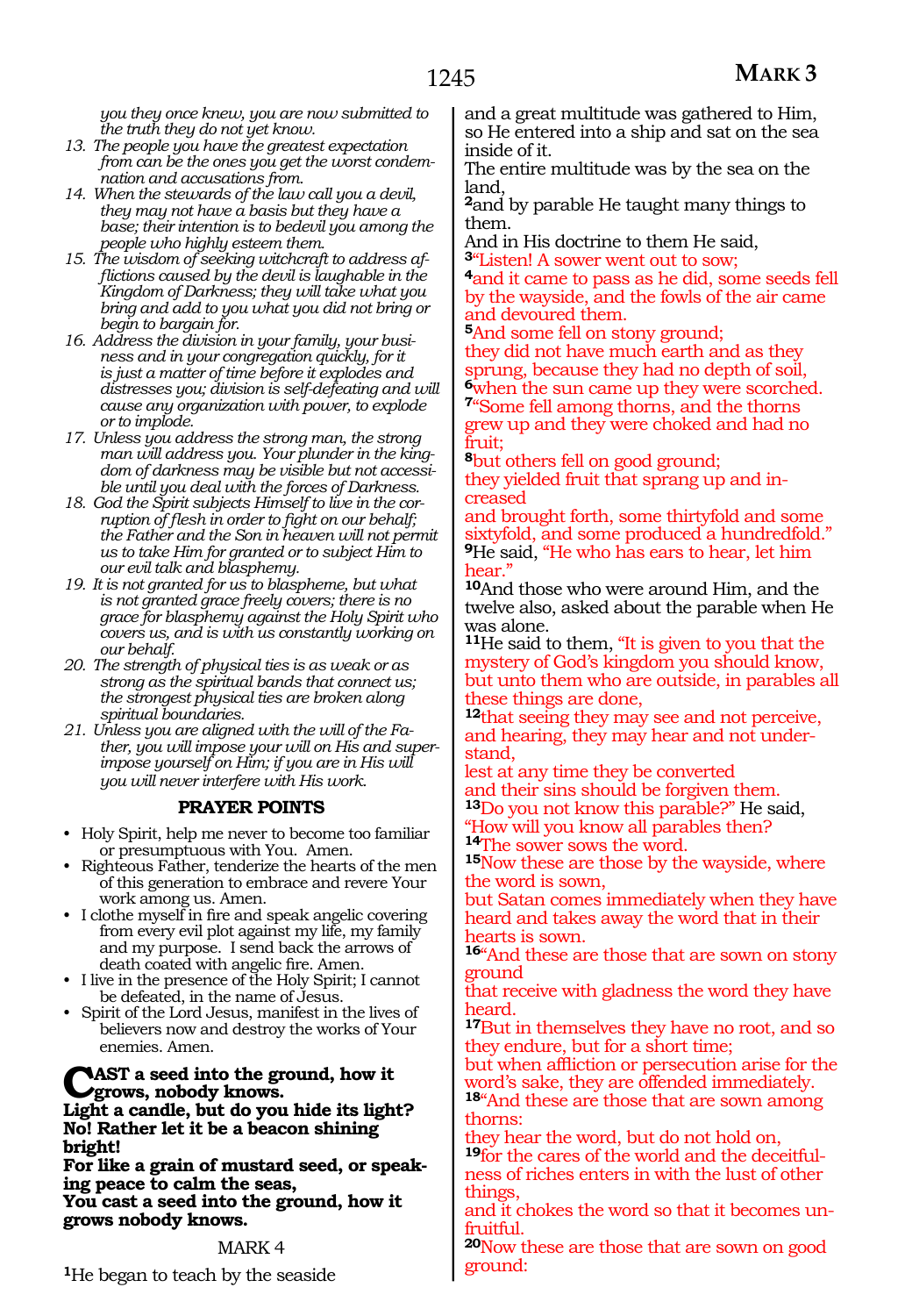*you they once knew, you are now submitted to the truth they do not yet know.*

*13. The people you have the greatest expectation from can be the ones you get the worst condemnation and accusations from.*

*14. When the stewards of the law call you a devil, they may not have a basis but they have a base; their intention is to bedevil you among the people who highly esteem them.*

*15. The wisdom of seeking witchcraft to address afflictions caused by the devil is laughable in the Kingdom of Darkness; they will take what you bring and add to you what you did not bring or begin to bargain for.*

*16. Address the division in your family, your business and in your congregation quickly, for it is just a matter of time before it explodes and distresses you; division is self-defeating and will cause any organization with power, to explode or to implode.*

*17. Unless you address the strong man, the strong man will address you. Your plunder in the kingdom of darkness may be visible but not accessible until you deal with the forces of Darkness.*

*18. God the Spirit subjects Himself to live in the corruption of flesh in order to fight on our behalf; the Father and the Son in heaven will not permit us to take Him for granted or to subject Him to our evil talk and blasphemy.*

*19. It is not granted for us to blaspheme, but what is not granted grace freely covers; there is no grace for blasphemy against the Holy Spirit who covers us, and is with us constantly working on our behalf.*

*20. The strength of physical ties is as weak or as strong as the spiritual bands that connect us; the strongest physical ties are broken along spiritual boundaries.*

*21. Unless you are aligned with the will of the Father, you will impose your will on His and superimpose yourself on Him; if you are in His will you will never interfere with His work.*

### **PRAYER POINTS**

• Holy Spirit, help me never to become too familiar or presumptuous with You. Amen.

• Righteous Father, tenderize the hearts of the men of this generation to embrace and revere Your work among us. Amen.

• I clothe myself in fire and speak angelic covering from every evil plot against my life, my family and my purpose. I send back the arrows of death coated with angelic fire. Amen.

• I live in the presence of the Holy Spirit; I cannot be defeated, in the name of Jesus.

• Spirit of the Lord Jesus, manifest in the lives of believers now and destroy the works of Your enemies. Amen.

**CAST** a seed into the ground, how it **grows, nobody knows.**

**Light a candle, but do you hide its light? No! Rather let it be a beacon shining bright!**

**For like a grain of mustard seed, or speak- ing peace to calm the seas, You cast a seed into the ground, how it grows nobody knows.**

### MARK 4

**<sup>1</sup>**He began to teach by the seaside

and a great multitude was gathered to Him, so He entered into a ship and sat on the sea inside of it.

The entire multitude was by the sea on the land,

**<sup>2</sup>**and by parable He taught many things to them.

And in His doctrine to them He said, **<sup>3</sup>**"Listen! A sower went out to sow;

**<sup>4</sup>**and it came to pass as he did, some seeds fell by the wayside, and the fowls of the air came and devoured them.

**<sup>5</sup>**And some fell on stony ground;

they did not have much earth and as they sprung, because they had no depth of soil, **6**when the sun came up they were scorched.

**<sup>7</sup>**"Some fell among thorns, and the thorns grew up and they were choked and had no fruit;

**<sup>8</sup>**but others fell on good ground;

they yielded fruit that sprang up and increased

and brought forth, some thirtyfold and some sixtyfold, and some produced a hundredfold." **<sup>9</sup>**He said, "He who has ears to hear, let him hear.'

**<sup>10</sup>**And those who were around Him, and the twelve also, asked about the parable when He was alone.

**<sup>11</sup>**He said to them, "It is given to you that the mystery of God's kingdom you should know, but unto them who are outside, in parables all these things are done,

**<sup>12</sup>**that seeing they may see and not perceive, and hearing, they may hear and not under- stand,

lest at any time they be converted and their sins should be forgiven them.

**<sup>13</sup>**Do you not know this parable?" He said,

"How will you know all parables then? **<sup>14</sup>**The sower sows the word.

**<sup>15</sup>**Now these are those by the wayside, where the word is sown,

but Satan comes immediately when they have heard and takes away the word that in their hearts is sown.

**<sup>16</sup>**"And these are those that are sown on stony ground

that receive with gladness the word they have heard.

**<sup>17</sup>**But in themselves they have no root, and so they endure, but for a short time;

but when affliction or persecution arise for the word's sake, they are offended immediately.

**<sup>18</sup>**"And these are those that are sown among thorns:

they hear the word, but do not hold on, **19**for the cares of the world and the deceitfulness of riches enters in with the lust of other things,

and it chokes the word so that it becomes unfruitful.

**<sup>20</sup>**Now these are those that are sown on good ground: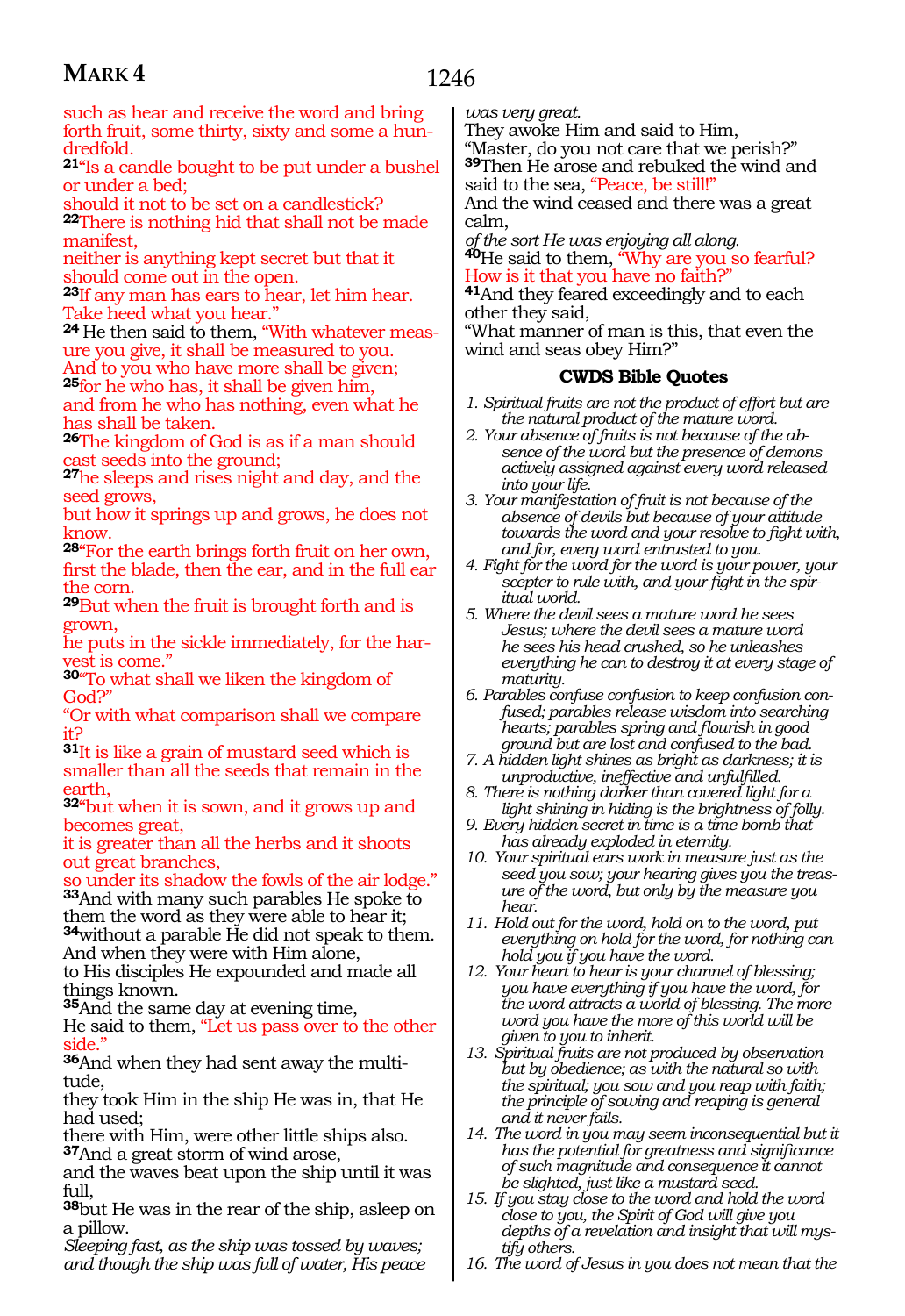such as hear and receive the word and bring forth fruit, some thirty, sixty and some a hundredfold.

**<sup>21</sup>**"Is a candle bought to be put under a bushel or under a bed;

should it not to be set on a candlestick?

**<sup>22</sup>**There is nothing hid that shall not be made manifest,

neither is anything kept secret but that it should come out in the open.

**<sup>23</sup>**If any man has ears to hear, let him hear. Take heed what you hear."

**24** He then said to them, "With whatever measure you give, it shall be measured to you.

And to you who have more shall be given; **<sup>25</sup>**for he who has, it shall be given him,

and from he who has nothing, even what he has shall be taken.

**<sup>26</sup>**The kingdom of God is as if a man should ast seeds into the ground;

**<sup>27</sup>**he sleeps and rises night and day, and the seed grows,

but how it springs up and grows, he does not know.

**<sup>28</sup>**"For the earth brings forth fruit on her own, first the blade, then the ear, and in the full ear the corn.

**<sup>29</sup>**But when the fruit is brought forth and is grown,

he puts in the sickle immediately, for the harvest is come."

**<sup>30</sup>**"To what shall we liken the kingdom of God?"

"Or with what comparison shall we compare it?

**<sup>31</sup>**It is like a grain of mustard seed which is smaller than all the seeds that remain in the arth.

**<sup>32</sup>**"but when it is sown, and it grows up and becomes great,

it is greater than all the herbs and it shoots out great branches,

o under its shadow the fowls of the air lodge."

**<sup>33</sup>**And with many such parables He spoke to them the word as they were able to hear it; **<sup>34</sup>**without a parable He did not speak to them. And when they were with Him alone,

to His disciples He expounded and made all things known.

**<sup>35</sup>**And the same day at evening time,

He said to them, "Let us pass over to the other side.'

**36**And when they had sent away the multitude,

they took Him in the ship He was in, that He had used;

there with Him, were other little ships also. **<sup>37</sup>**And a great storm of wind arose,

and the waves beat upon the ship until it was full,

**<sup>38</sup>**but He was in the rear of the ship, asleep on a pillow.

*Sleeping fast, as the ship was tossed by waves; and though the ship was full of water, His peace*  *was very great.*

They awoke Him and said to Him, "Master, do you not care that we perish?" **<sup>39</sup>**Then He arose and rebuked the wind and

said to the sea, "Peace, be still!"

And the wind ceased and there was a great calm,

*of the sort He was enjoying all along.*

**<sup>40</sup>**He said to them, "Why are you so fearful? How is it that you have no faith?"

**<sup>41</sup>**And they feared exceedingly and to each other they said,

"What manner of man is this, that even the wind and seas obey Him?"

### **CWDS Bible Quotes**

- *1. Spiritual fruits are not the product of effort but are the natural product of the mature word.*
- *2. Your absence of fruits is not because of the absence of the word but the presence of demons actively assigned against every word released into your life.*
- *3. Your manifestation of fruit is not because of the absence of devils but because of your attitude towards the word and your resolve to fight with, and for, every word entrusted to you.*
- *4. Fight for the word for the word is your power, your scepter to rule with, and your fight in the spiritual world.*
- *5. Where the devil sees a mature word he sees Jesus; where the devil sees a mature word he sees his head crushed, so he unleashes everything he can to destroy it at every stage of maturity.*
- *6. Parables confuse confusion to keep confusion confused; parables release wisdom into searching hearts; parables spring and flourish in good ground but are lost and confused to the bad.*
- *7. A hidden light shines as bright as darkness; it is unproductive, ineffective and unfulfilled.*
- *8. There is nothing darker than covered light for a light shining in hiding is the brightness of folly.*
- *9. Every hidden secret in time is a time bomb that has already exploded in eternity.*
- *10. Your spiritual ears work in measure just as the seed you sow; your hearing gives you the treasure of the word, but only by the measure you hear.*
- *11. Hold out for the word, hold on to the word, put everything on hold for the word, for nothing can hold you if you have the word.*
- *12. Your heart to hear is your channel of blessing; you have everything if you have the word, for the word attracts a world of blessing. The more word you have the more of this world will be given to you to inherit.*
- *13. Spiritual fruits are not produced by observation but by obedience; as with the natural so with the spiritual; you sow and you reap with faith; the principle of sowing and reaping is general and it never fails.*
- *14. The word in you may seem inconsequential but it has the potential for greatness and significance of such magnitude and consequence it cannot be slighted, just like a mustard seed.*
- *15. If you stay close to the word and hold the word close to you, the Spirit of God will give you depths of a revelation and insight that will mystify others.*
- *16. The word of Jesus in you does not mean that the*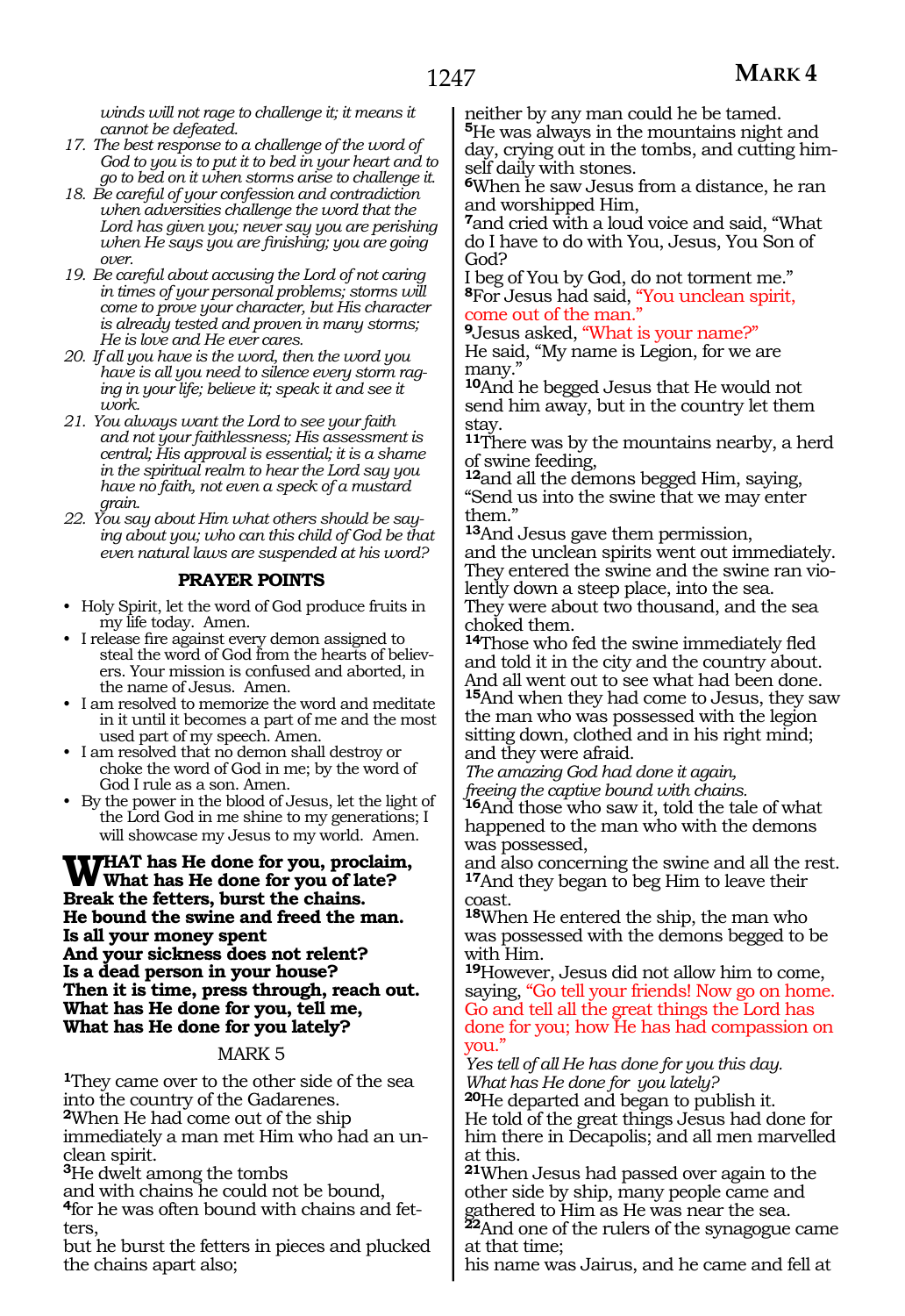*winds will not rage to challenge it; it means it cannot be defeated.*

- *17. The best response to a challenge of the word of God to you is to put it to bed in your heart and to go to bed on it when storms arise to challenge it.*
- *18. Be careful of your confession and contradiction when adversities challenge the word that the Lord has given you; never say you are perishing when He says you are finishing; you are going over.*
- *19. Be careful about accusing the Lord of not caring in times of your personal problems; storms will come to prove your character, but His character is already tested and proven in many storms; He is love and He ever cares.*
- *20. If all you have is the word, then the word you have is all you need to silence every storm raging in your life; believe it; speak it and see it work.*
- *21. You always want the Lord to see your faith and not your faithlessness; His assessment is central; His approval is essential; it is a shame in the spiritual realm to hear the Lord say you have no faith, not even a speck of a mustard grain.*
- *22. You say about Him what others should be saying about you; who can this child of God be that even natural laws are suspended at his word?*

### **PRAYER POINTS**

- Holy Spirit, let the word of God produce fruits in my life today. Amen.
- I release fire against every demon assigned to steal the word of God from the hearts of believers. Your mission is confused and aborted, in the name of Jesus. Amen.
- I am resolved to memorize the word and meditate in it until it becomes a part of me and the most used part of my speech. Amen.
- I am resolved that no demon shall destroy or choke the word of God in me; by the word of God I rule as a son. Amen.
- By the power in the blood of Jesus, let the light of the Lord God in me shine to my generations; I will showcase my Jesus to my world. Amen.

### **What has He done for you, proclaim, What has He done for you of late? Break the fetters, burst the chains. He bound the swine and freed the man. Is all your money spent And your sickness does not relent? Is a dead person in your house? Then it is time, press through, reach out. What has He done for you, tell me, What has He done for you lately?**

### MARK 5

**<sup>1</sup>**They came over to the other side of the sea into the country of the Gadarenes. **<sup>2</sup>**When He had come out of the ship immediately a man met Him who had an un- clean spirit.

**<sup>3</sup>**He dwelt among the tombs

and with chains he could not be bound, **4**for he was often bound with chains and fet-<br>ters,

but he burst the fetters in pieces and plucked the chains apart also;

neither by any man could he be tamed. **<sup>5</sup>**He was always in the mountains night and day, crying out in the tombs, and cutting himself daily with stones.

**<sup>6</sup>**When he saw Jesus from a distance, he ran and worshipped Him,

**<sup>7</sup>**and cried with a loud voice and said, "What do I have to do with You, Jesus, You Son of God?

I beg of You by God, do not torment me." **<sup>8</sup>**For Jesus had said, "You unclean spirit, come out of the man.  $\overline{a}$ 

**<sup>9</sup>**Jesus asked, "What is your name?" He said, "My name is Legion, for we are many."

**<sup>10</sup>**And he begged Jesus that He would not send him away, but in the country let them stay.

**<sup>11</sup>**There was by the mountains nearby, a herd of swine feeding,

**<sup>12</sup>**and all the demons begged Him, saying, "Send us into the swine that we may enter them."

**<sup>13</sup>**And Jesus gave them permission, and the unclean spirits went out immediately. They entered the swine and the swine ran violently down a steep place, into the sea. They were about two thousand, and the sea choked them.

**<sup>14</sup>**Those who fed the swine immediately fled and told it in the city and the country about. And all went out to see what had been done. **<sup>15</sup>**And when they had come to Jesus, they saw the man who was possessed with the legion sitting down, clothed and in his right mind; and they were afraid.

*The amazing God had done it again, freeing the captive bound with chains.*

**<sup>16</sup>**And those who saw it, told the tale of what happened to the man who with the demons was possessed,

and also concerning the swine and all the rest. **<sup>17</sup>**And they began to beg Him to leave their coast.

**<sup>18</sup>**When He entered the ship, the man who was possessed with the demons begged to be with Him.

**<sup>19</sup>**However, Jesus did not allow him to come, saying, "Go tell your friends! Now go on home. Go and tell all the great things the Lord has done for you; how He has had compassion on you."

*Yes tell of all He has done for you this day. What has He done for you lately?* **<sup>20</sup>**He departed and began to publish it. He told of the great things Jesus had done for him there in Decapolis; and all men marvelled at this.

**<sup>21</sup>**When Jesus had passed over again to the other side by ship, many people came and gathered to Him as He was near the sea.

**<sup>22</sup>**And one of the rulers of the synagogue came at that time;

his name was Jairus, and he came and fell at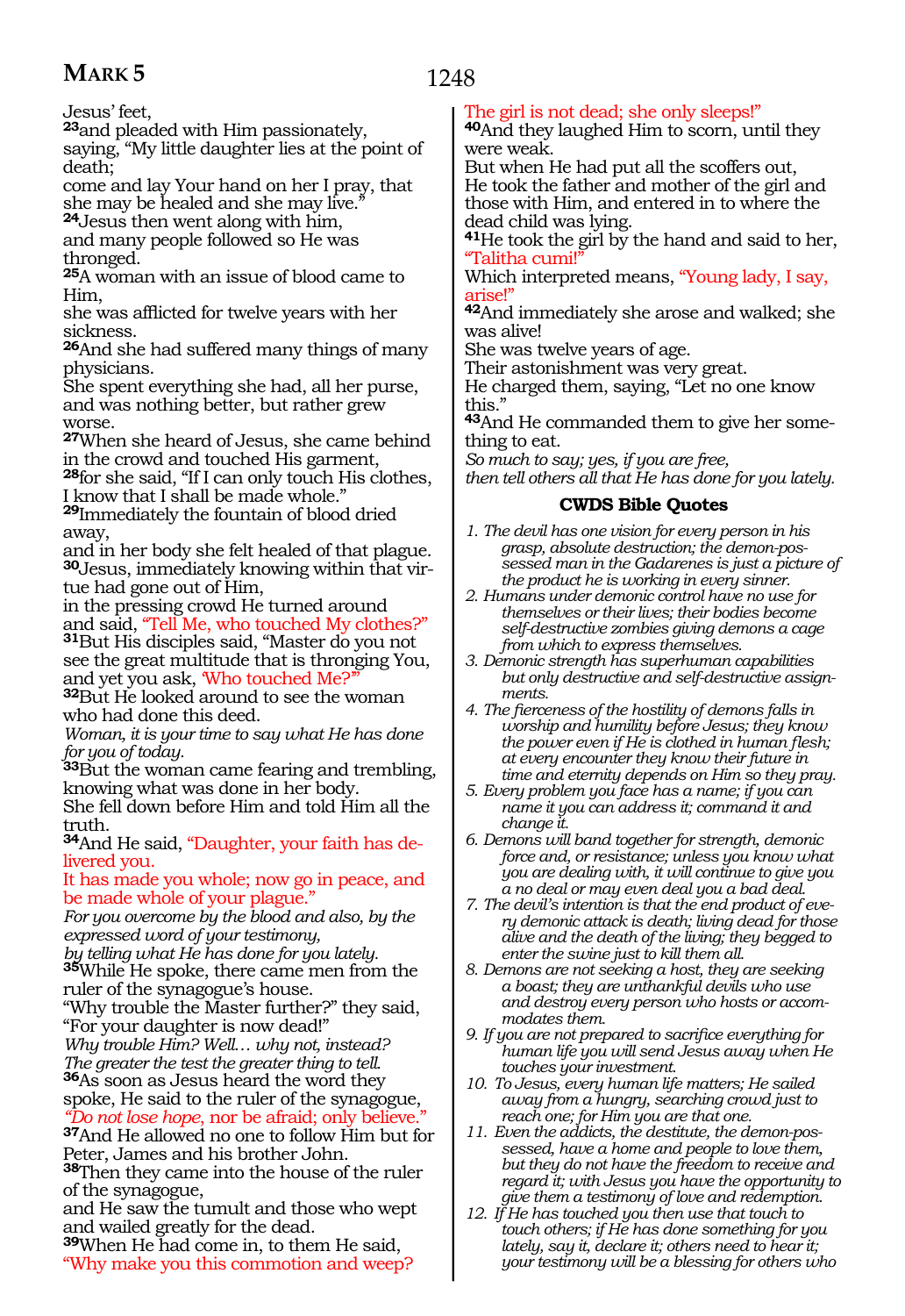1248

Jesus' feet,

**<sup>23</sup>**and pleaded with Him passionately,

saying, "My little daughter lies at the point of death;

come and lay Your hand on her I pray, that she may be healed and she may live."

**<sup>24</sup>**Jesus then went along with him, and many people followed so He was thronged.

**<sup>25</sup>**A woman with an issue of blood came to Him,

she was afflicted for twelve years with her sickness.

**<sup>26</sup>**And she had suffered many things of many physicians.

She spent everything she had, all her purse, and was nothing better, but rather grew worse.

**<sup>27</sup>**When she heard of Jesus, she came behind in the crowd and touched His garment,

**<sup>28</sup>**for she said, "If I can only touch His clothes, I know that I shall be made whole."

**<sup>29</sup>**Immediately the fountain of blood dried away,

and in her body she felt healed of that plague. **30**Jesus, immediately knowing within that virtue had gone out of Him,

in the pressing crowd He turned around<br>and said, "Tell Me, who touched My clothes?" <sup>31</sup>But His disciples said, "Master do you not

see the great multitude that is thronging You, and yet you ask, 'Who touched Me?'

**<sup>32</sup>**But He looked around to see the woman who had done this deed.

*Woman, it is your time to say what He has done for you of today.*

**<sup>33</sup>**But the woman came fearing and trembling, knowing what was done in her body.

She fell down before Him and told Him all the truth.

**34**And He said, "Daughter, your faith has delivered you.

It has made you whole; now go in peace, and be made whole of your plague."

*For you overcome by the blood and also, by the expressed word of your testimony,*

*by telling what He has done for you lately.*

**<sup>35</sup>**While He spoke, there came men from the ruler of the synagogue's house.

"Why trouble the Master further?" they said, "For your daughter is now dead!"

*Why trouble Him? Well… why not, instead? The greater the test the greater thing to tell.*

**<sup>36</sup>**As soon as Jesus heard the word they spoke, He said to the ruler of the synagogue,

*"Do not lose hope*, nor be afraid; only believe." **<sup>37</sup>**And He allowed no one to follow Him but for Peter, James and his brother John.

**<sup>38</sup>**Then they came into the house of the ruler of the synagogue,

and He saw the tumult and those who wept and wailed greatly for the dead.

**<sup>39</sup>**When He had come in, to them He said, "Why make you this commotion and weep?

### The girl is not dead; she only sleeps!"

**<sup>40</sup>**And they laughed Him to scorn, until they were weak.

But when He had put all the scoffers out, He took the father and mother of the girl and those with Him, and entered in to where the dead child was lying.

**<sup>41</sup>**He took the girl by the hand and said to her, "Talitha cumi!"

Which interpreted means, "Young lady, I say, arise!"

**<sup>42</sup>**And immediately she arose and walked; she was alive!

She was twelve years of age.

Their astonishment was very great.

He charged them, saying, "Let no one know this."

**43**And He commanded them to give her something to eat.

*So much to say; yes, if you are free,*

*then tell others all that He has done for you lately.*

### **CWDS Bible Quotes**

- *1. The devil has one vision for every person in his grasp, absolute destruction; the demon-possessed man in the Gadarenes is just a picture of the product he is working in every sinner.*
- *2. Humans under demonic control have no use for themselves or their lives; their bodies become self-destructive zombies giving demons a cage from which to express themselves.*
- *3. Demonic strength has superhuman capabilities but only destructive and self-destructive assignments.*
- *4. The fierceness of the hostility of demons falls in worship and humility before Jesus; they know the power even if He is clothed in human flesh; at every encounter they know their future in time and eternity depends on Him so they pray.*
- *5. Every problem you face has a name; if you can name it you can address it; command it and change it.*
- *6. Demons will band together for strength, demonic force and, or resistance; unless you know what you are dealing with, it will continue to give you a no deal or may even deal you a bad deal.*
- *7. The devil's intention is that the end product of every demonic attack is death; living dead for those alive and the death of the living; they begged to enter the swine just to kill them all.*
- *8. Demons are not seeking a host, they are seeking a boast; they are unthankful devils who use and destroy every person who hosts or accommodates them.*
- *9. If you are not prepared to sacrifice everything for human life you will send Jesus away when He touches your investment.*
- *10. To Jesus, every human life matters; He sailed away from a hungry, searching crowd just to reach one; for Him you are that one.*
- *11. Even the addicts, the destitute, the demon-possessed, have a home and people to love them, but they do not have the freedom to receive and regard it; with Jesus you have the opportunity to give them a testimony of love and redemption.*
- *12. If He has touched you then use that touch to touch others; if He has done something for you lately, say it, declare it; others need to hear it; your testimony will be a blessing for others who*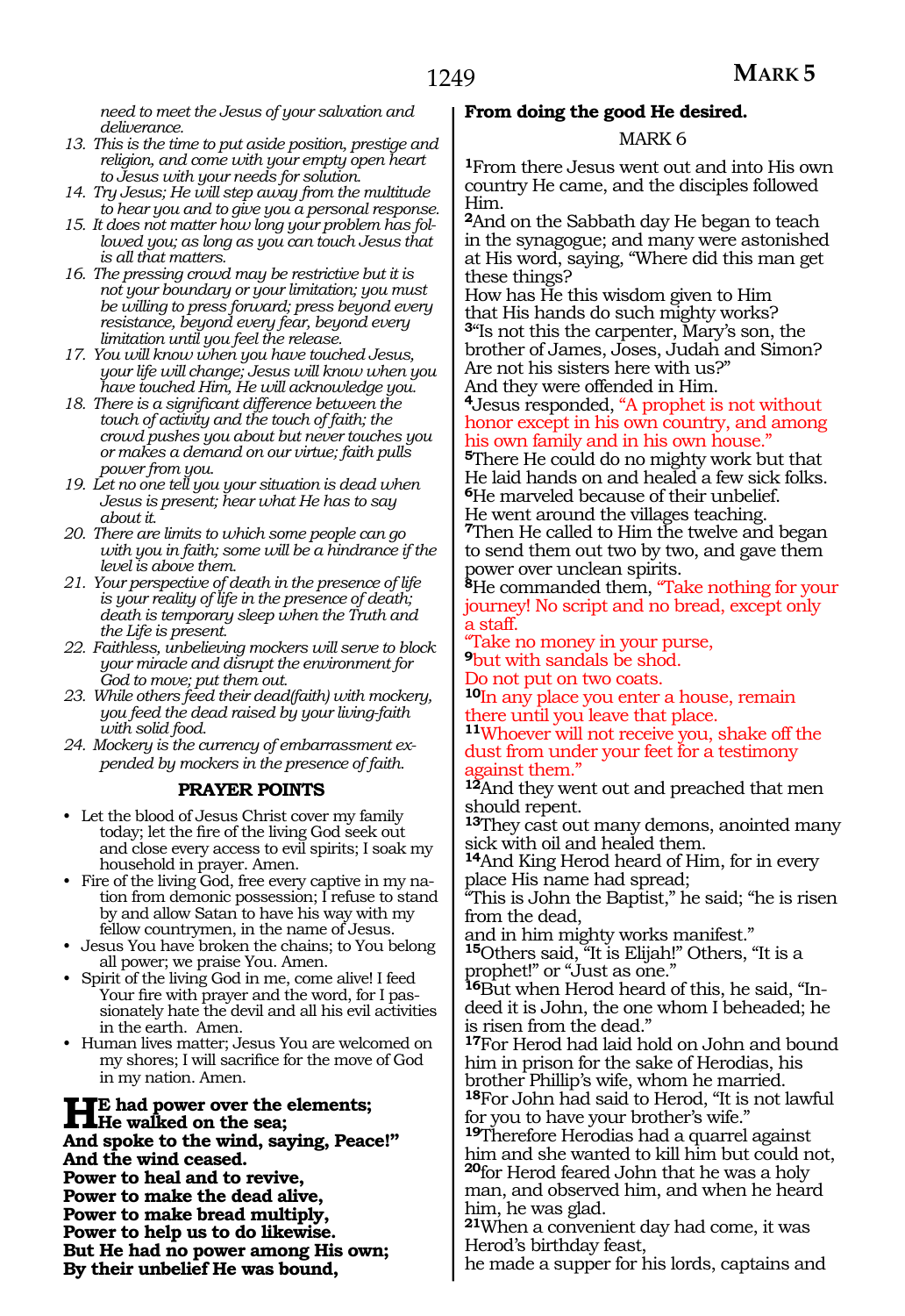*need to meet the Jesus of your salvation and deliverance.*

- *13. This is the time to put aside position, prestige and religion, and come with your empty open heart to Jesus with your needs for solution.*
- *14. Try Jesus; He will step away from the multitude to hear you and to give you a personal response.*
- *15. It does not matter how long your problem has followed you; as long as you can touch Jesus that is all that matters.*
- *16. The pressing crowd may be restrictive but it is not your boundary or your limitation; you must be willing to press forward; press beyond every resistance, beyond every fear, beyond every limitation until you feel the release.*
- *17. You will know when you have touched Jesus, your life will change; Jesus will know when you have touched Him, He will acknowledge you.*
- *18. There is a significant difference between the touch of activity and the touch of faith; the crowd pushes you about but never touches you or makes a demand on our virtue; faith pulls power from you.*
- *19. Let no one tell you your situation is dead when Jesus is present; hear what He has to say about it.*
- *20. There are limits to which some people can go with you in faith; some will be a hindrance if the level is above them.*
- *21. Your perspective of death in the presence of life is your reality of life in the presence of death; death is temporary sleep when the Truth and the Life is present.*
- *22. Faithless, unbelieving mockers will serve to block your miracle and disrupt the environment for God to move; put them out.*
- *23. While others feed their dead(faith) with mockery, you feed the dead raised by your living-faith with solid food.*
- *24. Mockery is the currency of embarrassment expended by mockers in the presence of faith.*

#### **PRAYER POINTS**

- Let the blood of Jesus Christ cover my family today; let the fire of the living God seek out and close every access to evil spirits; I soak my household in prayer. Amen.
- Fire of the living God, free every captive in my nation from demonic possession; I refuse to stand by and allow Satan to have his way with my fellow countrymen, in the name of Jesus.
- Jesus You have broken the chains; to You belong all power; we praise You. Amen.
- Spirit of the living God in me, come alive! I feed Your fire with prayer and the word, for I passionately hate the devil and all his evil activities in the earth. Amen.
- Human lives matter; Jesus You are welcomed on my shores; I will sacrifice for the move of God in my nation. Amen.

**HE** had power over the elements;<br> **He** walked on the sea;<br> **And angles to the wind, acrime Boos And spoke to the wind, saying, Peace!" And the wind ceased. Power to heal and to revive, Power to make the dead alive, Power to make bread multiply, Power to help us to do likewise. But He had no power among His own; By their unbelief He was bound,** 

### **From doing the good He desired.**

#### MARK 6

**<sup>1</sup>**From there Jesus went out and into His own country He came, and the disciples followed Him.

**<sup>2</sup>**And on the Sabbath day He began to teach in the synagogue; and many were astonished at His word, saying, "Where did this man get these things?

How has He this wisdom given to Him that His hands do such mighty works? **<sup>3</sup>**"Is not this the carpenter, Mary's son, the brother of James, Joses, Judah and Simon? Are not his sisters here with us?" And they were offended in Him.

**<sup>4</sup>**Jesus responded, "A prophet is not without honor except in his own country, and among his own family and in his own house."

**<sup>5</sup>**There He could do no mighty work but that He laid hands on and healed a few sick folks. **<sup>6</sup>**He marveled because of their unbelief. He went around the villages teaching.

**<sup>7</sup>**Then He called to Him the twelve and began to send them out two by two, and gave them power over unclean spirits.

**<sup>8</sup>**He commanded them, "Take nothing for your journey! No script and no bread, except only a staff.

"Take no money in your purse,

**<sup>9</sup>**but with sandals be shod. Do not put on two coats.

**<sup>10</sup>**In any place you enter a house, remain there until you leave that place.

**<sup>11</sup>**Whoever will not receive you, shake off the dust from under your feet for a testimony against them."

**<sup>12</sup>**And they went out and preached that men should repent.

**<sup>13</sup>**They cast out many demons, anointed many sick with oil and healed them.

**<sup>14</sup>**And King Herod heard of Him, for in every place His name had spread;

"This is John the Baptist," he said; "he is risen from the dead,

and in him mighty works manifest."

**<sup>15</sup>**Others said, "It is Elijah!" Others, "It is a prophet!" or "Just as one."

**16**But when Herod heard of this, he said, "Indeed it is John, the one whom I beheaded; he is risen from the dead."

**<sup>17</sup>**For Herod had laid hold on John and bound him in prison for the sake of Herodias, his brother Phillip's wife, whom he married.

**<sup>18</sup>**For John had said to Herod, "It is not lawful for you to have your brother's wife."

**<sup>19</sup>**Therefore Herodias had a quarrel against him and she wanted to kill him but could not, **<sup>20</sup>**for Herod feared John that he was a holy man, and observed him, and when he heard him, he was glad.

**<sup>21</sup>**When a convenient day had come, it was Herod's birthday feast,

he made a supper for his lords, captains and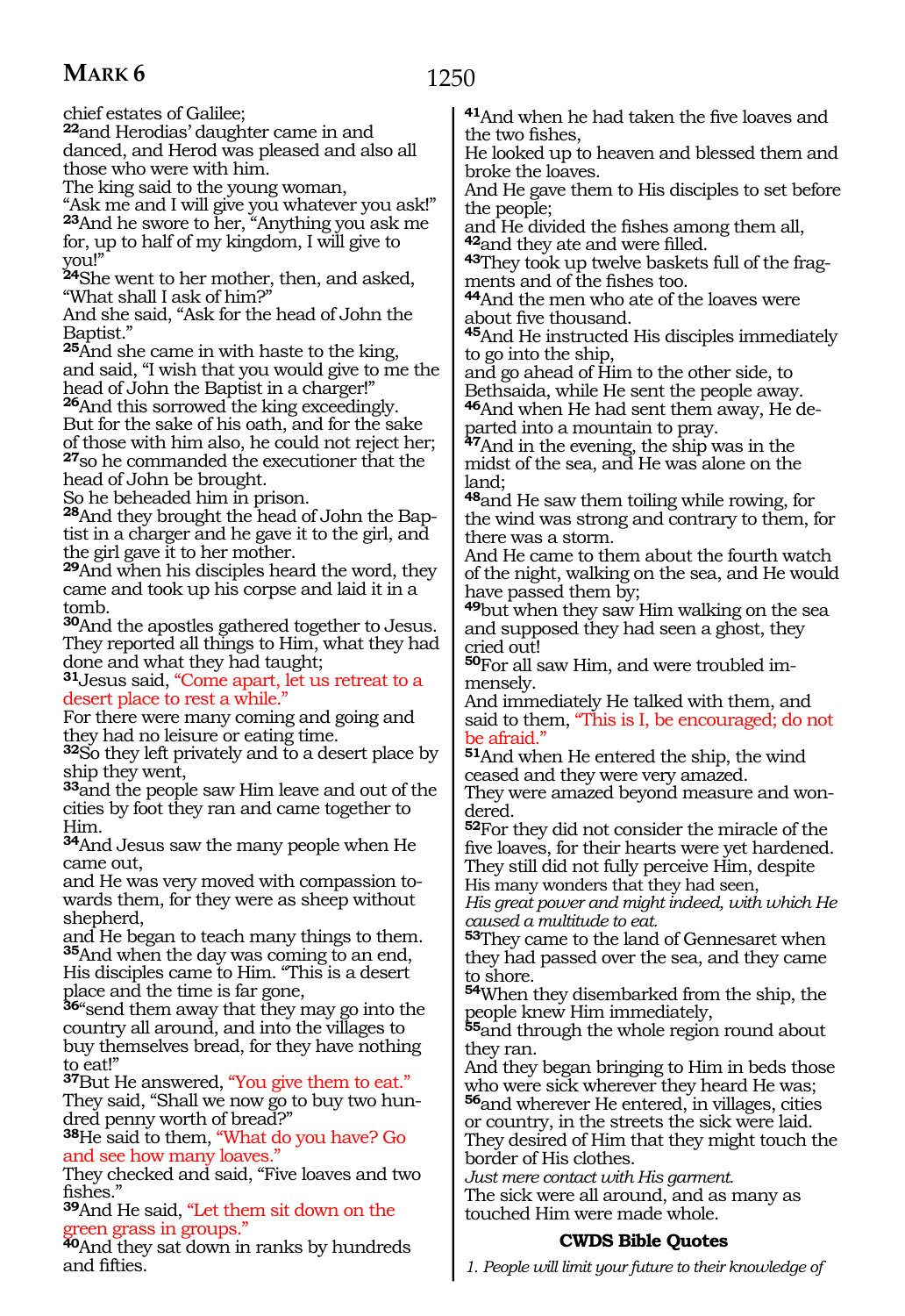chief estates of Galilee;

**<sup>22</sup>**and Herodias' daughter came in and danced, and Herod was pleased and also all those who were with him.

The king said to the young woman,

"Ask me and I will give you whatever you ask!" **<sup>23</sup>**And he swore to her, "Anything you ask me for, up to half of my kingdom, I will give to you!"

**<sup>24</sup>**She went to her mother, then, and asked, "What shall I ask of him?"

And she said, "Ask for the head of John the Baptist.'

**<sup>25</sup>**And she came in with haste to the king, and said, "I wish that you would give to me the head of John the Baptist in a charger!"

**<sup>26</sup>**And this sorrowed the king exceedingly. But for the sake of his oath, and for the sake of those with him also, he could not reject her; **<sup>27</sup>**so he commanded the executioner that the head of John be brought.

So he beheaded him in prison.

**28**And they brought the head of John the Baptist in a charger and he gave it to the girl, and the girl gave it to her mother.

**<sup>29</sup>**And when his disciples heard the word, they came and took up his corpse and laid it in a tomb.

**<sup>30</sup>**And the apostles gathered together to Jesus. They reported all things to Him, what they had done and what they had taught;

**<sup>31</sup>**Jesus said, "Come apart, let us retreat to a desert place to rest a while.

For there were many coming and going and they had no leisure or eating time.

**<sup>32</sup>**So they left privately and to a desert place by ship they went,

**<sup>33</sup>**and the people saw Him leave and out of the cities by foot they ran and came together to Him.

**<sup>34</sup>**And Jesus saw the many people when He came out,

and He was very moved with compassion towards them, for they were as sheep without shepherd,

and He began to teach many things to them. **<sup>35</sup>**And when the day was coming to an end, His disciples came to Him. "This is a desert place and the time is far gone,

**<sup>36</sup>**"send them away that they may go into the country all around, and into the villages to buy themselves bread, for they have nothing to eat!"

**<sup>37</sup>**But He answered, "You give them to eat." They said, "Shall we now go to buy two hundred penny worth of bread?"

**<sup>38</sup>**He said to them, "What do you have? Go and see how many loaves."

They checked and said, "Five loaves and two fishes."

**<sup>39</sup>**And He said, "Let them sit down on the green grass in groups."

**<sup>40</sup>**And they sat down in ranks by hundreds and fifties.

**<sup>41</sup>**And when he had taken the five loaves and the two fishes,

He looked up to heaven and blessed them and broke the loaves.

And He gave them to His disciples to set before the people;

and He divided the fishes among them all, **42** and they ate and were filled.

**43**They took up twelve baskets full of the fragments and of the fishes too.

**<sup>44</sup>**And the men who ate of the loaves were about five thousand.

**<sup>45</sup>**And He instructed His disciples immediately to go into the ship,

and go ahead of Him to the other side, to Bethsaida, while He sent the people away. 46And when He had sent them away, He de-

parted into a mountain to pray.<br><sup>47</sup>And in the evening, the ship was in the

midst of the sea, and He was alone on the land;

**<sup>48</sup>**and He saw them toiling while rowing, for the wind was strong and contrary to them, for there was a storm.

And He came to them about the fourth watch of the night, walking on the sea, and He would have passed them by;

**<sup>49</sup>**but when they saw Him walking on the sea and supposed they had seen a ghost, they cried out!

**<sup>50</sup>**For all saw Him, and were troubled im- mensely.

And immediately He talked with them, and said to them, "This is I, be encouraged; do not be afraid."

**<sup>51</sup>**And when He entered the ship, the wind ceased and they were very amazed.

They were amazed beyond measure and wondered.

**<sup>52</sup>**For they did not consider the miracle of the five loaves, for their hearts were yet hardened. They still did not fully perceive Him, despite His many wonders that they had seen,

*His great power and might indeed, with which He caused a multitude to eat.*

**<sup>53</sup>**They came to the land of Gennesaret when they had passed over the sea, and they came to shore.

**<sup>54</sup>**When they disembarked from the ship, the people knew Him immediately,

**<sup>55</sup>**and through the whole region round about they ran.

And they began bringing to Him in beds those who were sick wherever they heard He was; **<sup>56</sup>**and wherever He entered, in villages, cities or country, in the streets the sick were laid. They desired of Him that they might touch the border of His clothes.

*Just mere contact with His garment.* The sick were all around, and as many as touched Him were made whole.

### **CWDS Bible Quotes**

*1. People will limit your future to their knowledge of*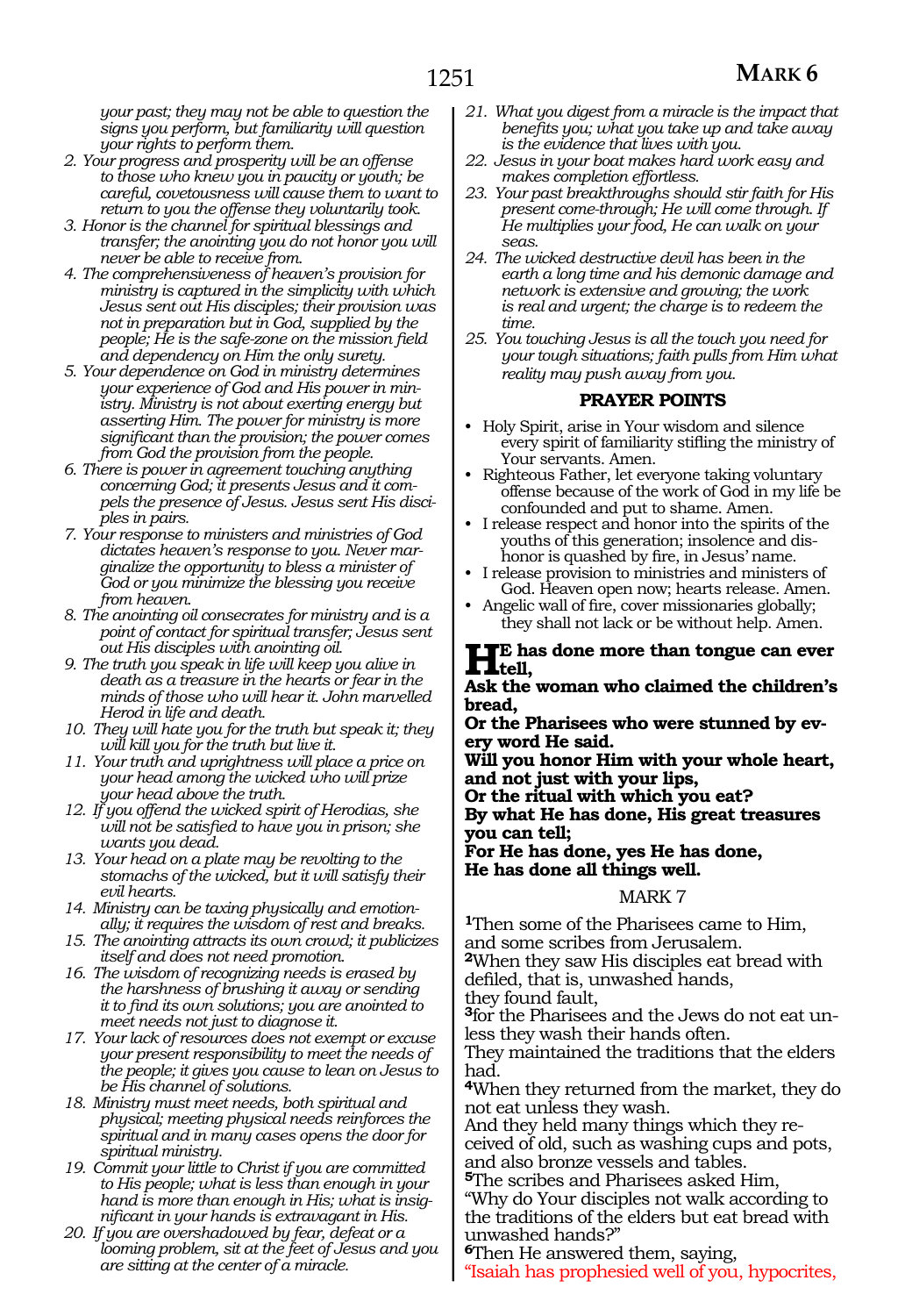*your past; they may not be able to question the signs you perform, but familiarity will question your rights to perform them.*

- *2. Your progress and prosperity will be an offense to those who knew you in paucity or youth; be careful, covetousness will cause them to want to return to you the offense they voluntarily took.*
- *3. Honor is the channel for spiritual blessings and transfer; the anointing you do not honor you will never be able to receive from.*
- *4. The comprehensiveness of heaven's provision for ministry is captured in the simplicity with which Jesus sent out His disciples; their provision was not in preparation but in God, supplied by the people; He is the safe-zone on the mission field and dependency on Him the only surety.*
- *5. Your dependence on God in ministry determines your experience of God and His power in ministry. Ministry is not about exerting energy but asserting Him. The power for ministry is more significant than the provision; the power comes from God the provision from the people.*
- *6. There is power in agreement touching anything concerning God; it presents Jesus and it compels the presence of Jesus. Jesus sent His disciples in pairs.*
- *7. Your response to ministers and ministries of God dictates heaven's response to you. Never marginalize the opportunity to bless a minister of God or you minimize the blessing you receive from heaven.*
- *8. The anointing oil consecrates for ministry and is a point of contact for spiritual transfer; Jesus sent out His disciples with anointing oil.*
- *9. The truth you speak in life will keep you alive in death as a treasure in the hearts or fear in the minds of those who will hear it. John marvelled Herod in life and death.*
- *10. They will hate you for the truth but speak it; they will kill you for the truth but live it.*
- *11. Your truth and uprightness will place a price on your head among the wicked who will prize your head above the truth.*
- *12. If you offend the wicked spirit of Herodias, she will not be satisfied to have you in prison; she wants you dead.*
- *13. Your head on a plate may be revolting to the stomachs of the wicked, but it will satisfy their evil hearts.*
- *14. Ministry can be taxing physically and emotionally; it requires the wisdom of rest and breaks.*
- *15. The anointing attracts its own crowd; it publicizes itself and does not need promotion.*
- *16. The wisdom of recognizing needs is erased by the harshness of brushing it away or sending it to find its own solutions; you are anointed to meet needs not just to diagnose it.*
- *17. Your lack of resources does not exempt or excuse your present responsibility to meet the needs of the people; it gives you cause to lean on Jesus to be His channel of solutions.*
- *18. Ministry must meet needs, both spiritual and physical; meeting physical needs reinforces the spiritual and in many cases opens the door for spiritual ministry.*
- *19. Commit your little to Christ if you are committed to His people; what is less than enough in your hand is more than enough in His; what is insignificant in your hands is extravagant in His.*
- *20. If you are overshadowed by fear, defeat or a looming problem, sit at the feet of Jesus and you are sitting at the center of a miracle.*
- *21. What you digest from a miracle is the impact that benefits you; what you take up and take away is the evidence that lives with you.*
- *22. Jesus in your boat makes hard work easy and makes completion effortless.*
- *23. Your past breakthroughs should stir faith for His present come-through; He will come through. If He multiplies your food, He can walk on your seas.*
- *24. The wicked destructive devil has been in the earth a long time and his demonic damage and network is extensive and growing; the work is real and urgent; the charge is to redeem the time.*
- *25. You touching Jesus is all the touch you need for your tough situations; faith pulls from Him what reality may push away from you.*

#### **PRAYER POINTS**

- Holy Spirit, arise in Your wisdom and silence every spirit of familiarity stifling the ministry of Your servants. Amen.
- Righteous Father, let everyone taking voluntary offense because of the work of God in my life be confounded and put to shame. Amen.
- I release respect and honor into the spirits of the youths of this generation; insolence and dishonor is quashed by fire, in Jesus' name.
- I release provision to ministries and ministers of God. Heaven open now; hearts release. Amen.
- Angelic wall of fire, cover missionaries globally; they shall not lack or be without help. Amen.

## **He** has done more than tongue can ever<br> **All the memor who claimed the abildren's**

#### **Ask the woman who claimed the children's bread,**

**Or the Pharisees who were stunned by ev- ery word He said.** 

**Will you honor Him with your whole heart, and not just with your lips,** 

**Or the ritual with which you eat?** 

**By what He has done, His great treasures you can tell;** 

**For He has done, yes He has done, He has done all things well.**

#### MARK 7

**<sup>1</sup>**Then some of the Pharisees came to Him, and some scribes from Jerusalem.

**<sup>2</sup>**When they saw His disciples eat bread with defiled, that is, unwashed hands,

they found fault,

**3**for the Pharisees and the Jews do not eat unless they wash their hands often.

They maintained the traditions that the elders had.

**<sup>4</sup>**When they returned from the market, they do not eat unless they wash.

And they held many things which they received of old, such as washing cups and pots, and also bronze vessels and tables.

**<sup>5</sup>**The scribes and Pharisees asked Him, "Why do Your disciples not walk according to the traditions of the elders but eat bread with unwashed hands?"

**<sup>6</sup>**Then He answered them, saying,

"Isaiah has prophesied well of you, hypocrites,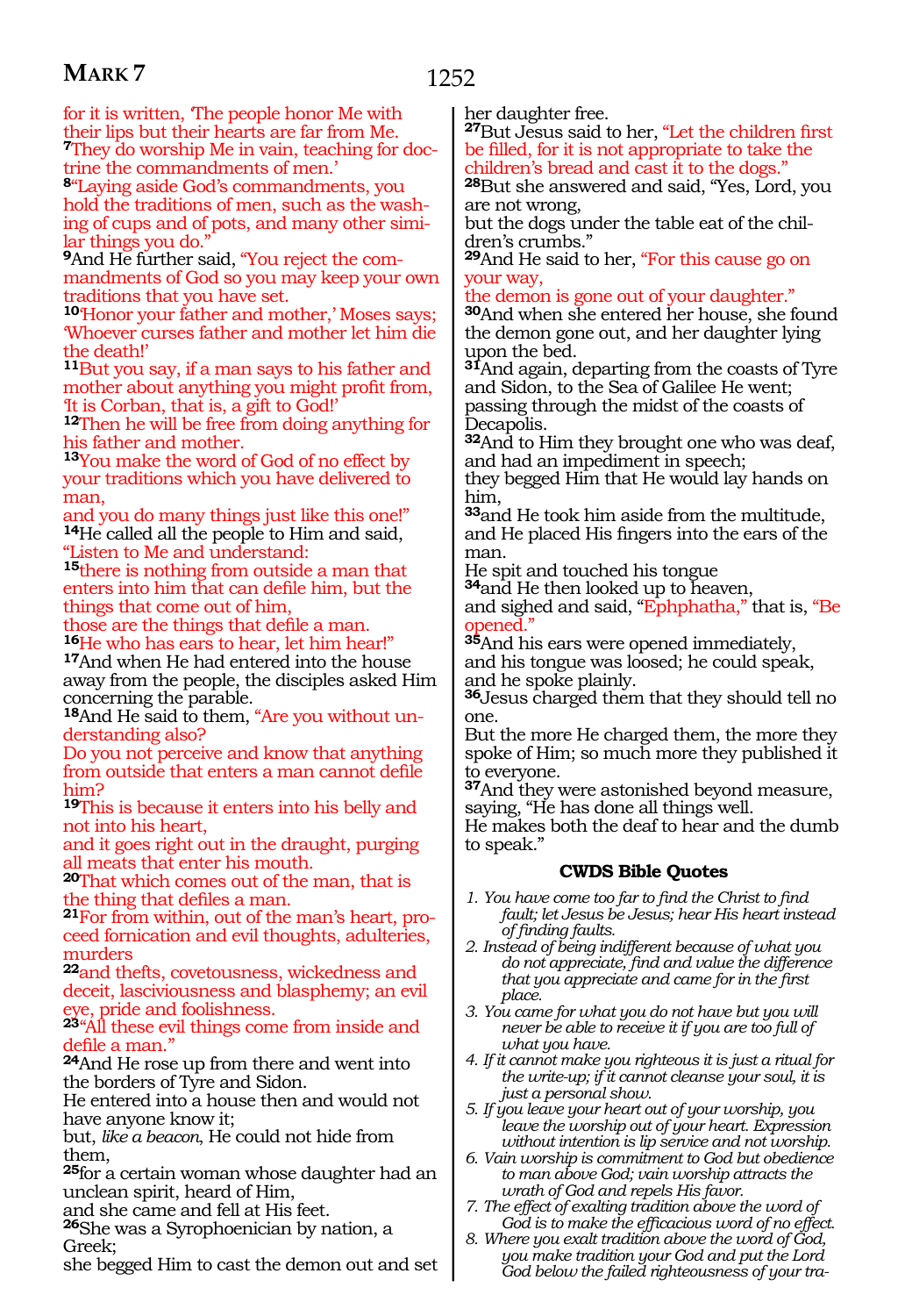for it is written, 'The people honor Me with their lips but their hearts are far from Me. **7**They do worship Me in vain, teaching for doctrine the commandments of men.'

**<sup>8</sup>**"Laying aside God's commandments, you hold the traditions of men, such as the washing of cups and of pots, and many other similar things you do."

**<sup>9</sup>**And He further said, "You reject the commandments of God so you may keep your own traditions that you have set.

**<sup>10</sup>**'Honor your father and mother,' Moses says; 'Whoever curses father and mother let him die the death!'

**<sup>11</sup>**But you say, if a man says to his father and mother about anything you might profit from, 'It is Corban, that is, a gift to God!'

**<sup>12</sup>**Then he will be free from doing anything for his father and mother.

**<sup>13</sup>**You make the word of God of no effect by your traditions which you have delivered to man,

and you do many things just like this one!" **<sup>14</sup>**He called all the people to Him and said, "Listen to Me and understand:

**<sup>15</sup>**there is nothing from outside a man that enters into him that can defile him, but the things that come out of him,

those are the things that defile a man. **<sup>16</sup>**He who has ears to hear, let him hear!"

**<sup>17</sup>**And when He had entered into the house away from the people, the disciples asked Him concerning the parable.

**18**And He said to them, "Are you without understanding also?

Do you not perceive and know that anything from outside that enters a man cannot defile him?

**<sup>19</sup>**This is because it enters into his belly and not into his heart,

and it goes right out in the draught, purging all meats that enter his mouth.

**<sup>20</sup>**That which comes out of the man, that is the thing that defiles a man.

**21**For from within, out of the man's heart, proceed fornication and evil thoughts, adulteries, murders

**<sup>22</sup>**and thefts, covetousness, wickedness and deceit, lasciviousness and blasphemy; an evil eye, pride and foolishness.

**<sup>23</sup>**''All these evil things come from inside and defile a man.''

**<sup>24</sup>**And He rose up from there and went into the borders of Tyre and Sidon.

He entered into a house then and would not have anyone know it;

but, *like a beacon*, He could not hide from them,

**<sup>25</sup>**for a certain woman whose daughter had an unclean spirit, heard of Him,

and she came and fell at His feet.

**<sup>26</sup>**She was a Syrophoenician by nation, a Greek;

she begged Him to cast the demon out and set

her daughter free.

**<sup>27</sup>**But Jesus said to her, "Let the children first be filled, for it is not appropriate to take the children's bread and cast it to the dogs."

**<sup>28</sup>**But she answered and said, "Yes, Lord, you are not wrong,

but the dogs under the table eat of the children's crumbs."

**<sup>29</sup>**And He said to her, "For this cause go on your way,

the demon is gone out of your daughter."

**<sup>30</sup>**And when she entered her house, she found the demon gone out, and her daughter lying upon the bed.

**<sup>31</sup>**And again, departing from the coasts of Tyre and Sidon, to the Sea of Galilee He went; passing through the midst of the coasts of Decapolis.

**<sup>32</sup>**And to Him they brought one who was deaf, and had an impediment in speech;

they begged Him that He would lay hands on him,

**<sup>33</sup>**and He took him aside from the multitude, and He placed His fingers into the ears of the man.

He spit and touched his tongue

**<sup>34</sup>**and He then looked up to heaven,

and sighed and said, "Ephphatha," that is, "Be opened."

**<sup>35</sup>**And his ears were opened immediately,

and his tongue was loosed; he could speak, and he spoke plainly.

**<sup>36</sup>**Jesus charged them that they should tell no one.

But the more He charged them, the more they spoke of Him; so much more they published it to everyone.

**<sup>37</sup>**And they were astonished beyond measure, saying, "He has done all things well.

He makes both the deaf to hear and the dumb to speak."

### **CWDS Bible Quotes**

- *1. You have come too far to find the Christ to find fault; let Jesus be Jesus; hear His heart instead of finding faults.*
- *2. Instead of being indifferent because of what you do not appreciate, find and value the difference that you appreciate and came for in the first place.*
- *3. You came for what you do not have but you will never be able to receive it if you are too full of what you have.*
- *4. If it cannot make you righteous it is just a ritual for the write-up; if it cannot cleanse your soul, it is just a personal show.*
- *5. If you leave your heart out of your worship, you leave the worship out of your heart. Expression without intention is lip service and not worship.*
- *6. Vain worship is commitment to God but obedience to man above God; vain worship attracts the wrath of God and repels His favor.*
- *7. The effect of exalting tradition above the word of God is to make the efficacious word of no effect.*
- *8. Where you exalt tradition above the word of God, you make tradition your God and put the Lord God below the failed righteousness of your tra-*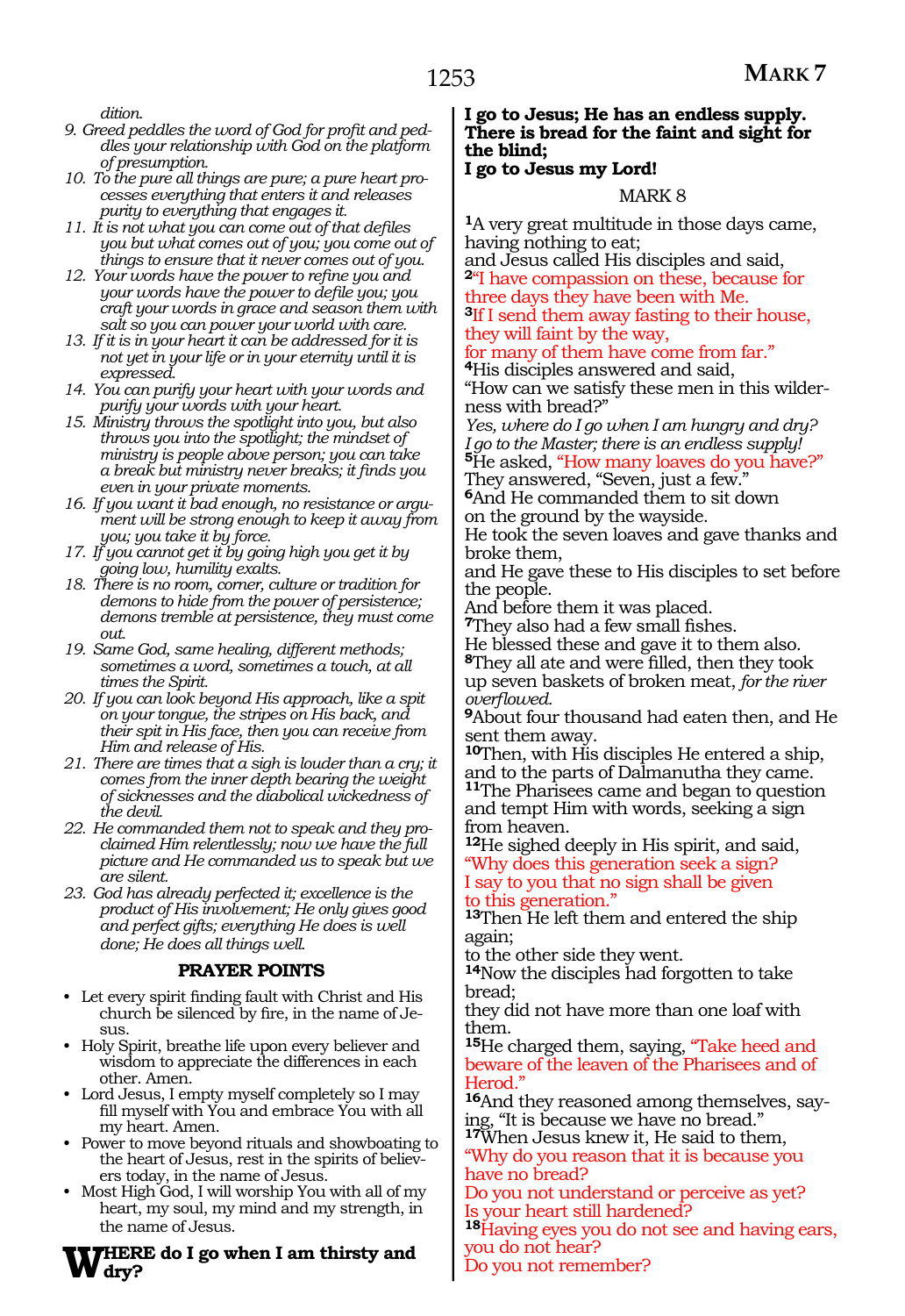*dition.*

- *9. Greed peddles the word of God for profit and peddles your relationship with God on the platform of presumption.*
- *10. To the pure all things are pure; a pure heart processes everything that enters it and releases purity to everything that engages it.*
- *11. It is not what you can come out of that defiles you but what comes out of you; you come out of things to ensure that it never comes out of you.*
- *12. Your words have the power to refine you and your words have the power to defile you; you craft your words in grace and season them with salt so you can power your world with care.*
- *13. If it is in your heart it can be addressed for it is not yet in your life or in your eternity until it is expressed.*
- *14. You can purify your heart with your words and purify your words with your heart.*
- *15. Ministry throws the spotlight into you, but also throws you into the spotlight; the mindset of ministry is people above person; you can take a break but ministry never breaks; it finds you even in your private moments.*
- *16. If you want it bad enough, no resistance or argument will be strong enough to keep it away from you; you take it by force.*
- *17. If you cannot get it by going high you get it by going low, humility exalts.*
- *18. There is no room, corner, culture or tradition for demons to hide from the power of persistence; demons tremble at persistence, they must come out.*
- *19. Same God, same healing, different methods; sometimes a word, sometimes a touch, at all times the Spirit.*
- *20. If you can look beyond His approach, like a spit on your tongue, the stripes on His back, and their spit in His face, then you can receive from Him and release of His.*
- *21. There are times that a sigh is louder than a cry; it comes from the inner depth bearing the weight of sicknesses and the diabolical wickedness of the devil.*
- *22. He commanded them not to speak and they proclaimed Him relentlessly; now we have the full picture and He commanded us to speak but we are silent.*
- *23. God has already perfected it; excellence is the product of His involvement; He only gives good and perfect gifts; everything He does is well done; He does all things well.*

### **PRAYER POINTS**

- Let every spirit finding fault with Christ and His church be silenced by fire, in the name of Jesus.
- Holy Spirit, breathe life upon every believer and wisdom to appreciate the differences in each other. Amen.
- Lord Jesus, I empty myself completely so I may fill myself with You and embrace You with all my heart. Amen.
- Power to move beyond rituals and showboating to the heart of Jesus, rest in the spirits of believers today, in the name of Jesus.
- Most High God, I will worship You with all of my heart, my soul, my mind and my strength, in the name of Jesus.

#### **Where do I go when I am thirsty and dry?**

### **I go to Jesus; He has an endless supply. There is bread for the faint and sight for the blind;**

### **I go to Jesus my Lord!**

### MARK 8

**<sup>1</sup>**A very great multitude in those days came, having nothing to eat;

and Jesus called His disciples and said, **<sup>2</sup>**"I have compassion on these, because for three days they have been with Me. **<sup>3</sup>**If I send them away fasting to their house,

### they will faint by the way,

for many of them have come from far." **<sup>4</sup>**His disciples answered and said,

"How can we satisfy these men in this wilderness with bread?"

*Yes, where do I go when I am hungry and dry? I go to the Master; there is an endless supply!* **<sup>5</sup>**He asked, "How many loaves do you have?"

They answered, "Seven, just a few."

**<sup>6</sup>**And He commanded them to sit down on the ground by the wayside.

He took the seven loaves and gave thanks and broke them,

and He gave these to His disciples to set before the people.

And before them it was placed.

**<sup>7</sup>**They also had a few small fishes.

He blessed these and gave it to them also.

**<sup>8</sup>**They all ate and were filled, then they took up seven baskets of broken meat, *for the river overflowed.* 

**<sup>9</sup>**About four thousand had eaten then, and He sent them away.

**<sup>10</sup>**Then, with His disciples He entered a ship, and to the parts of Dalmanutha they came. **<sup>11</sup>**The Pharisees came and began to question and tempt Him with words, seeking a sign from heaven.

**<sup>12</sup>**He sighed deeply in His spirit, and said, "Why does this generation seek a sign? I say to you that no sign shall be given to this generation."

**<sup>13</sup>**Then He left them and entered the ship again;

to the other side they went.

**<sup>14</sup>**Now the disciples had forgotten to take bread;

they did not have more than one loaf with them.

**<sup>15</sup>**He charged them, saying, "Take heed and beware of the leaven of the Pharisees and of Herod.

**16**And they reasoned among themselves, saying, "It is because we have no bread."

**<sup>17</sup>**When Jesus knew it, He said to them, "Why do you reason that it is because you have no bread?

Do you not understand or perceive as yet? Is your heart still hardened?

**<sup>18</sup>**Having eyes you do not see and having ears, you do not hear?

Do you not remember?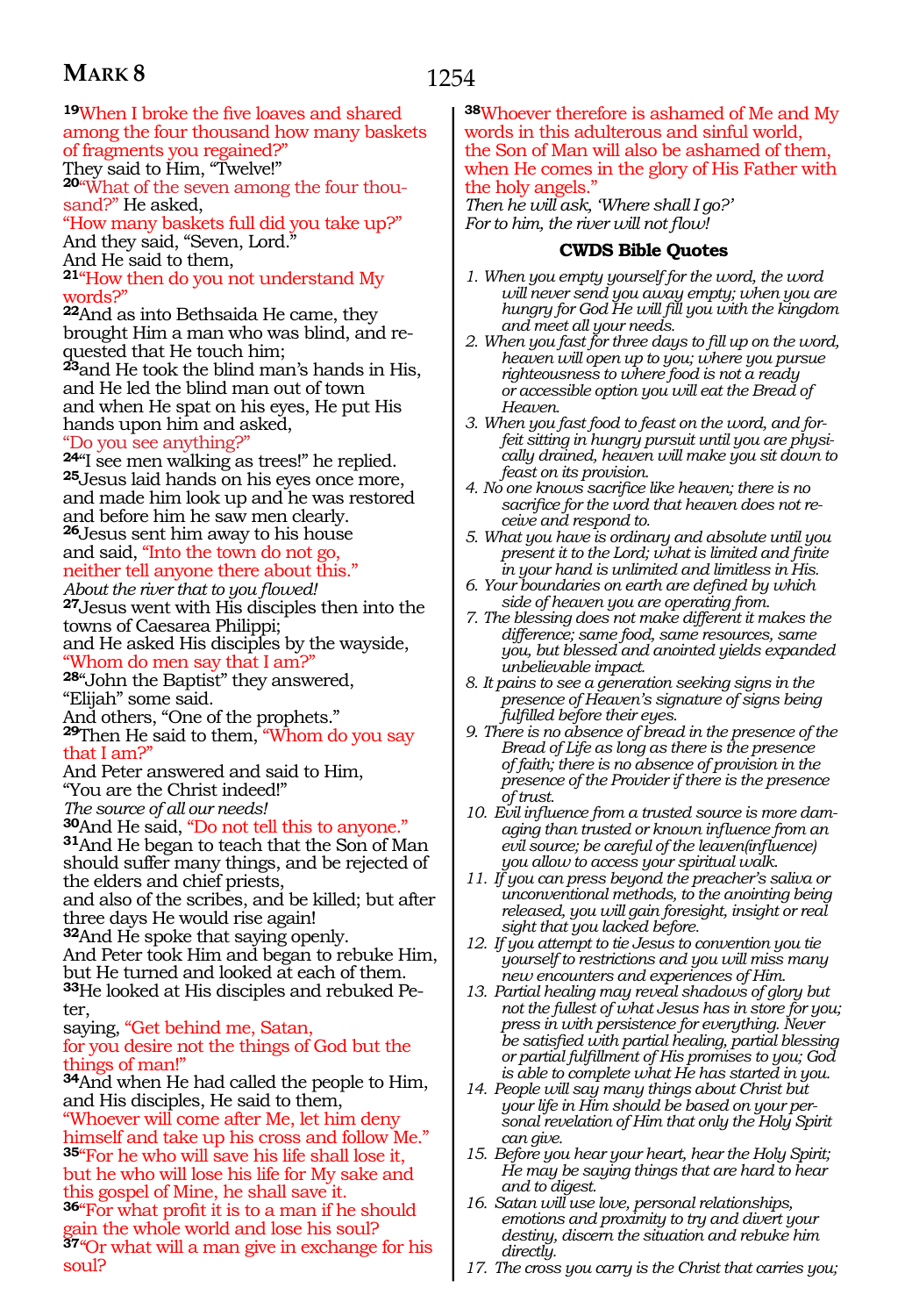**<sup>19</sup>**When I broke the five loaves and shared among the four thousand how many baskets of fragments you regained?" They said to Him, "Twelve!" **20**"What of the seven among the four thou-

sand?" He asked, "How many baskets full did you take up?" And they said, "Seven, Lord." And He said to them,

**<sup>21</sup>**"How then do you not understand My words?"

**<sup>22</sup>**And as into Bethsaida He came, they brought Him a man who was blind, and requested that He touch him;

**<sup>23</sup>**and He took the blind man's hands in His, and He led the blind man out of town and when He spat on his eyes, He put His hands upon him and asked,

#### "Do you see anything?"

**<sup>24</sup>**"I see men walking as trees!" he replied. **25**Jesus laid hands on his eyes once more, and made him look up and he was restored and before him he saw men clearly.

**<sup>26</sup>**Jesus sent him away to his house and said, "Into the town do not go, neither tell anyone there about this."

*About the river that to you flowed!* 

**<sup>27</sup>**Jesus went with His disciples then into the towns of Caesarea Philippi; and He asked His disciples by the wayside,

Whom do men say that I am?

**<sup>28</sup>**"John the Baptist" they answered, "Elijah" some said.

And others, "One of the prophets." **<sup>29</sup>**Then He said to them, "Whom do you say that I am?

And Peter answered and said to Him, "You are the Christ indeed!"

*The source of all our needs!* 

**<sup>30</sup>**And He said, "Do not tell this to anyone." **31**And He began to teach that the Son of Man

should suffer many things, and be rejected of the elders and chief priests,

and also of the scribes, and be killed; but after three days He would rise again!

**<sup>32</sup>**And He spoke that saying openly.

And Peter took Him and began to rebuke Him, but He turned and looked at each of them. **33**He looked at His disciples and rebuked Peter,

saying, "Get behind me, Satan, for you desire not the things of God but the things of man!"

**<sup>34</sup>**And when He had called the people to Him, and His disciples, He said to them, "Whoever will come after Me, let him deny himself and take up his cross and follow Me." **<sup>35</sup>**"For he who will save his life shall lose it,

but he who will lose his life for My sake and this gospel of Mine, he shall save it.

**<sup>36</sup>**"For what profit it is to a man if he should ain the whole world and lose his soul?

**<sup>37</sup>**''Or what will a man give in exchange for his soul?

**<sup>38</sup>**Whoever therefore is ashamed of Me and My words in this adulterous and sinful world, the Son of Man will also be ashamed of them, when He comes in the glory of His Father with the holy angels."

*Then he will ask, 'Where shall I go?' For to him, the river will not flow!*

### **CWDS Bible Quotes**

- *1. When you empty yourself for the word, the word will never send you away empty; when you are hungry for God He will fill you with the kingdom and meet all your needs.*
- *2. When you fast for three days to fill up on the word, heaven will open up to you; where you pursue righteousness to where food is not a ready or accessible option you will eat the Bread of Heaven.*
- *3. When you fast food to feast on the word, and forfeit sitting in hungry pursuit until you are physically drained, heaven will make you sit down to feast on its provision.*
- *4. No one knows sacrifice like heaven; there is no sacrifice for the word that heaven does not receive and respond to.*
- *5. What you have is ordinary and absolute until you present it to the Lord; what is limited and finite in your hand is unlimited and limitless in His.*
- *6. Your boundaries on earth are defined by which side of heaven you are operating from.*
- *7. The blessing does not make different it makes the difference; same food, same resources, same you, but blessed and anointed yields expanded unbelievable impact.*
- *8. It pains to see a generation seeking signs in the presence of Heaven's signature of signs being fulfilled before their eyes.*
- *9. There is no absence of bread in the presence of the Bread of Life as long as there is the presence of faith; there is no absence of provision in the presence of the Provider if there is the presence of trust.*
- *10. Evil influence from a trusted source is more damaging than trusted or known influence from an evil source; be careful of the leaven(influence) you allow to access your spiritual walk.*
- *11. If you can press beyond the preacher's saliva or unconventional methods, to the anointing being released, you will gain foresight, insight or real sight that you lacked before.*
- *12. If you attempt to tie Jesus to convention you tie yourself to restrictions and you will miss many new encounters and experiences of Him.*
- *13. Partial healing may reveal shadows of glory but not the fullest of what Jesus has in store for you; press in with persistence for everything. Never be satisfied with partial healing, partial blessing or partial fulfillment of His promises to you; God is able to complete what He has started in you.*
- *14. People will say many things about Christ but your life in Him should be based on your personal revelation of Him that only the Holy Spirit can give.*
- *15. Before you hear your heart, hear the Holy Spirit; He may be saying things that are hard to hear and to digest.*
- *16. Satan will use love, personal relationships, emotions and proximity to try and divert your destiny, discern the situation and rebuke him directly.*
- *17. The cross you carry is the Christ that carries you;*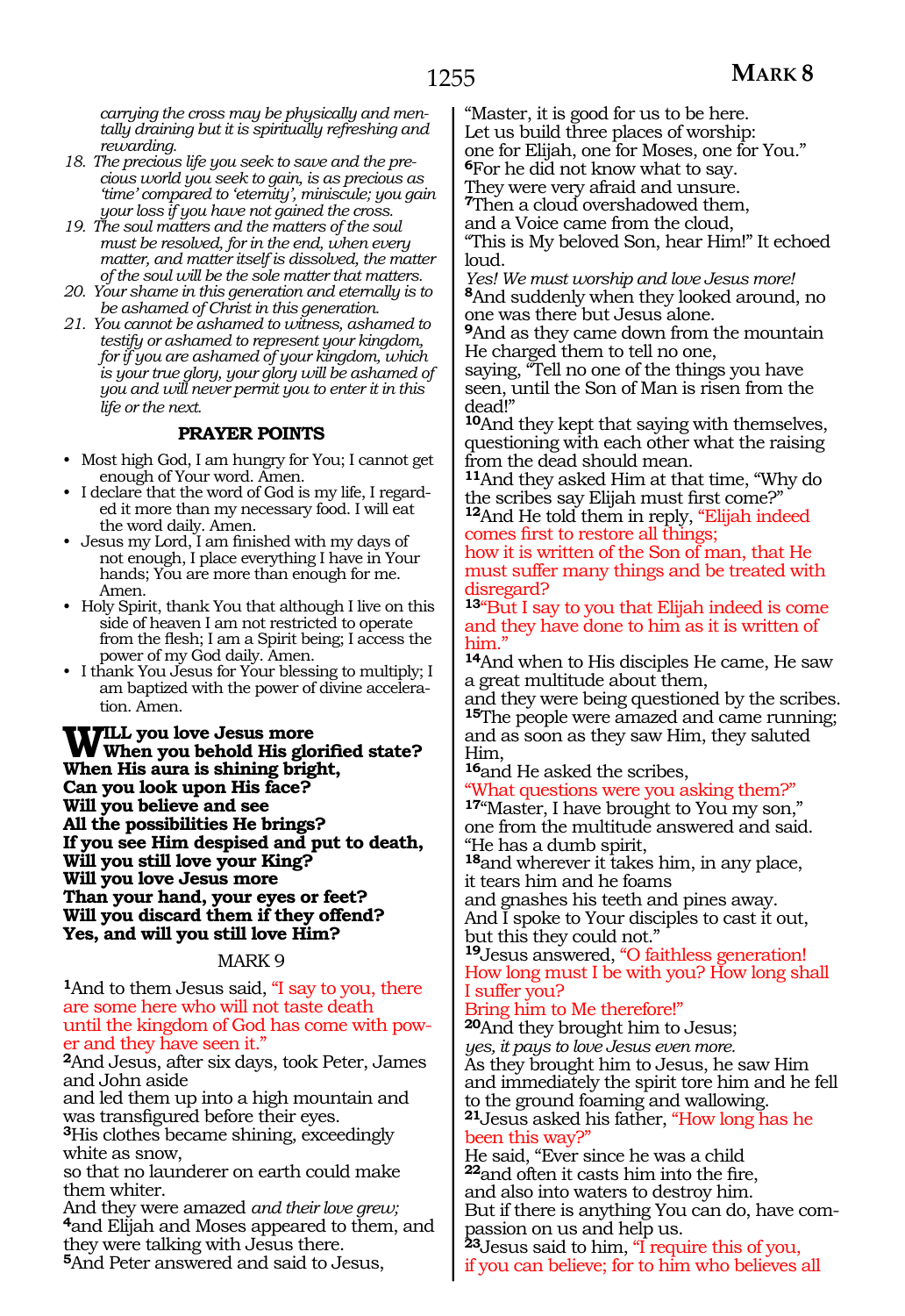*carrying the cross may be physically and mentally draining but it is spiritually refreshing and rewarding.*

- *18. The precious life you seek to save and the precious world you seek to gain, is as precious as 'time' compared to 'eternity', miniscule; you gain your loss if you have not gained the cross.*
- *19. The soul matters and the matters of the soul must be resolved, for in the end, when every matter, and matter itself is dissolved, the matter of the soul will be the sole matter that matters.*
- *20. Your shame in this generation and eternally is to be ashamed of Christ in this generation.*
- *21. You cannot be ashamed to witness, ashamed to testify or ashamed to represent your kingdom, for if you are ashamed of your kingdom, which is your true glory, your glory will be ashamed of you and will never permit you to enter it in this life or the next.*

### **PRAYER POINTS**

- Most high God, I am hungry for You; I cannot get enough of Your word. Amen.
- I declare that the word of God is my life, I regarded it more than my necessary food. I will eat the word daily. Amen.
- Jesus my Lord, I am finished with my days of not enough, I place everything I have in Your hands; You are more than enough for me. Amen.
- Holy Spirit, thank You that although I live on this side of heaven I am not restricted to operate from the flesh; I am a Spirit being; I access the power of my God daily. Amen.
- I thank You Jesus for Your blessing to multiply; I am baptized with the power of divine acceleration. Amen.

**Will you love Jesus more When you behold His glorified state? When His aura is shining bright, Can you look upon His face? Will you believe and see All the possibilities He brings? If you see Him despised and put to death, Will you still love your King? Will you love Jesus more Than your hand, your eyes or feet? Will you discard them if they offend? Yes, and will you still love Him?**

### MARK 9

**<sup>1</sup>**And to them Jesus said, "I say to you, there are some here who will not taste death until the kingdom of God has come with power and they have seen it."

**<sup>2</sup>**And Jesus, after six days, took Peter, James and John aside

and led them up into a high mountain and was transfigured before their eyes.

**<sup>3</sup>**His clothes became shining, exceedingly white as snow,

so that no launderer on earth could make them whiter.

And they were amazed *and their love grew;* **<sup>4</sup>**and Elijah and Moses appeared to them, and they were talking with Jesus there.

**<sup>5</sup>**And Peter answered and said to Jesus,

"Master, it is good for us to be here. Let us build three places of worship: one for Elijah, one for Moses, one for You." **<sup>6</sup>**For he did not know what to say.

They were very afraid and unsure. **<sup>7</sup>**Then a cloud overshadowed them, and a Voice came from the cloud,

"This is My beloved Son, hear Him!" It echoed loud.

*Yes! We must worship and love Jesus more!* **<sup>8</sup>**And suddenly when they looked around, no one was there but Jesus alone.

**<sup>9</sup>**And as they came down from the mountain He charged them to tell no one,

saying, "Tell no one of the things you have seen, until the Son of Man is risen from the dead!"

**<sup>10</sup>**And they kept that saying with themselves, questioning with each other what the raising from the dead should mean.

**<sup>11</sup>**And they asked Him at that time, "Why do the scribes say Elijah must first come?" **<sup>12</sup>**And He told them in reply, "Elijah indeed

comes first to restore all things; how it is written of the Son of man, that He must suffer many things and be treated with disregard?

**<sup>13</sup>**"But I say to you that Elijah indeed is come and they have done to him as it is written of him."

**<sup>14</sup>**And when to His disciples He came, He saw a great multitude about them,

and they were being questioned by the scribes. **<sup>15</sup>**The people were amazed and came running; and as soon as they saw Him, they saluted Him,

**<sup>16</sup>**and He asked the scribes,

What questions were you asking them?"

17"Master, I have brought to You my son," one from the multitude answered and said. "He has a dumb spirit,

**<sup>18</sup>**and wherever it takes him, in any place, it tears him and he foams

and gnashes his teeth and pines away.

And I spoke to Your disciples to cast it out, but this they could not."

**<sup>19</sup>**Jesus answered, "O faithless generation! How long must I be with you? How long shall I suffer you?

### Bring him to Me therefore!"

**<sup>20</sup>**And they brought him to Jesus; *yes, it pays to love Jesus even more.* As they brought him to Jesus, he saw Him and immediately the spirit tore him and he fell to the ground foaming and wallowing. **<sup>21</sup>**Jesus asked his father, "How long has he been this way?"

He said, "Ever since he was a child **<sup>22</sup>**and often it casts him into the fire, and also into waters to destroy him. But if there is anything You can do, have compassion on us and help us.

**<sup>23</sup>**Jesus said to him, "I require this of you, if you can believe; for to him who believes all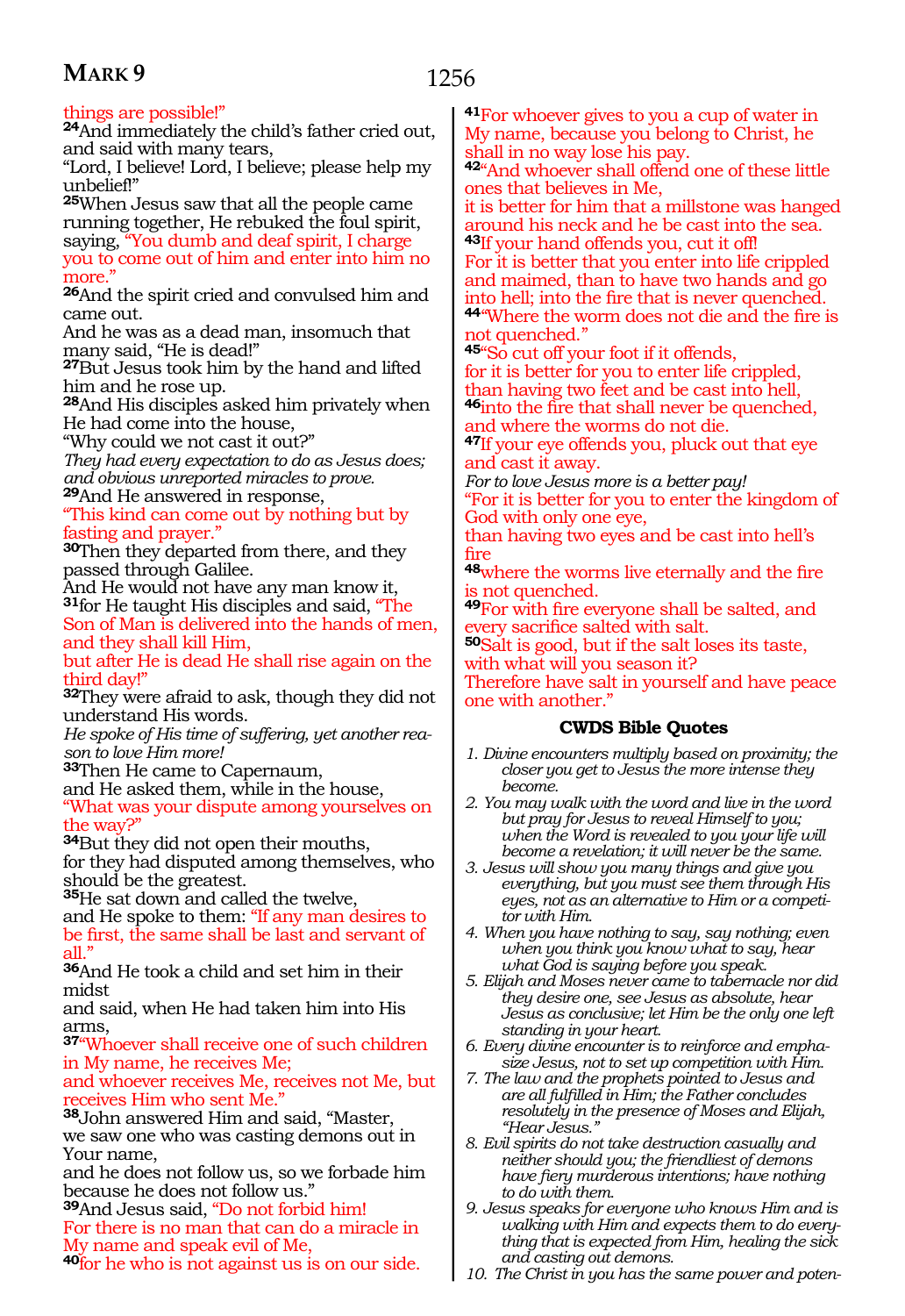### 1256

### things are possible!"

**<sup>24</sup>**And immediately the child's father cried out, and said with many tears,

"Lord, I believe! Lord, I believe; please help my unbelief!"

**<sup>25</sup>**When Jesus saw that all the people came running together, He rebuked the foul spirit, saying, "You dumb and deaf spirit, I charge you to come out of him and enter into him no more."

**<sup>26</sup>**And the spirit cried and convulsed him and came out.

And he was as a dead man, insomuch that many said, "He is dead!"

**<sup>27</sup>**But Jesus took him by the hand and lifted him and he rose up.

**<sup>28</sup>**And His disciples asked him privately when He had come into the house,

"Why could we not cast it out?"

*They had every expectation to do as Jesus does; and obvious unreported miracles to prove.* **<sup>29</sup>**And He answered in response,

"This kind can come out by nothing but by fasting and prayer."

**<sup>30</sup>**Then they departed from there, and they passed through Galilee.

And He would not have any man know it, **<sup>31</sup>**for He taught His disciples and said, "The Son of Man is delivered into the hands of men, and they shall kill Him,

but after He is dead He shall rise again on the third day!"

**<sup>32</sup>**They were afraid to ask, though they did not understand His words.

*He spoke of His time of suffering, yet another reason to love Him more!*

**<sup>33</sup>**Then He came to Capernaum,

and He asked them, while in the house,

"What was your dispute among yourselves on the way?"

**<sup>34</sup>**But they did not open their mouths, for they had disputed among themselves, who should be the greatest.

**<sup>35</sup>**He sat down and called the twelve,

and He spoke to them: "If any man desires to be first, the same shall be last and servant of all."

**<sup>36</sup>**And He took a child and set him in their midst

and said, when He had taken him into His arms,

**<sup>37</sup>**"Whoever shall receive one of such children in My name, he receives Me;

and whoever receives Me, receives not Me, but receives Him who sent Me."

**<sup>38</sup>**John answered Him and said, "Master, we saw one who was casting demons out in Your name,

and he does not follow us, so we forbade him because he does not follow us."

**<sup>39</sup>**And Jesus said, "Do not forbid him! For there is no man that can do a miracle in My name and speak evil of Me,

**<sup>40</sup>**for he who is not against us is on our side.

**<sup>41</sup>**For whoever gives to you a cup of water in My name, because you belong to Christ, he shall in no way lose his pay.

**<sup>42</sup>**"And whoever shall offend one of these little ones that believes in Me,

it is better for him that a millstone was hanged around his neck and he be cast into the sea. **<sup>43</sup>**If your hand offends you, cut it off!

For it is better that you enter into life crippled and maimed, than to have two hands and go into hell; into the fire that is never quenched.

**<sup>44</sup>**''Where the worm does not die and the fire is not quenched.''

**<sup>45</sup>**"So cut off your foot if it offends, for it is better for you to enter life crippled, than having two feet and be cast into hell, **<sup>46</sup>**into the fire that shall never be quenched, and where the worms do not die.

**<sup>47</sup>**If your eye offends you, pluck out that eye and cast it away.

*For to love Jesus more is a better pay!*

"For it is better for you to enter the kingdom of God with only one eye,

than having two eyes and be cast into hell's fire

**<sup>48</sup>**where the worms live eternally and the fire s not quenched.

**<sup>49</sup>**For with fire everyone shall be salted, and every sacrifice salted with salt.

**<sup>50</sup>**Salt is good, but if the salt loses its taste, with what will you season it?

Therefore have salt in yourself and have peace one with another."

### **CWDS Bible Quotes**

- *1. Divine encounters multiply based on proximity; the closer you get to Jesus the more intense they become.*
- *2. You may walk with the word and live in the word but pray for Jesus to reveal Himself to you; when the Word is revealed to you your life will become a revelation; it will never be the same.*
- *3. Jesus will show you many things and give you everything, but you must see them through His eyes, not as an alternative to Him or a competitor with Him.*
- *4. When you have nothing to say, say nothing; even when you think you know what to say, hear what God is saying before you speak.*
- *5. Elijah and Moses never came to tabernacle nor did they desire one, see Jesus as absolute, hear Jesus as conclusive; let Him be the only one left standing in your heart.*
- *6. Every divine encounter is to reinforce and emphasize Jesus, not to set up competition with Him.*
- *7. The law and the prophets pointed to Jesus and are all fulfilled in Him; the Father concludes resolutely in the presence of Moses and Elijah, "Hear Jesus."*
- *8. Evil spirits do not take destruction casually and neither should you; the friendliest of demons have fiery murderous intentions; have nothing to do with them.*
- *9. Jesus speaks for everyone who knows Him and is walking with Him and expects them to do everything that is expected from Him, healing the sick and casting out demons.*
- *10. The Christ in you has the same power and poten-*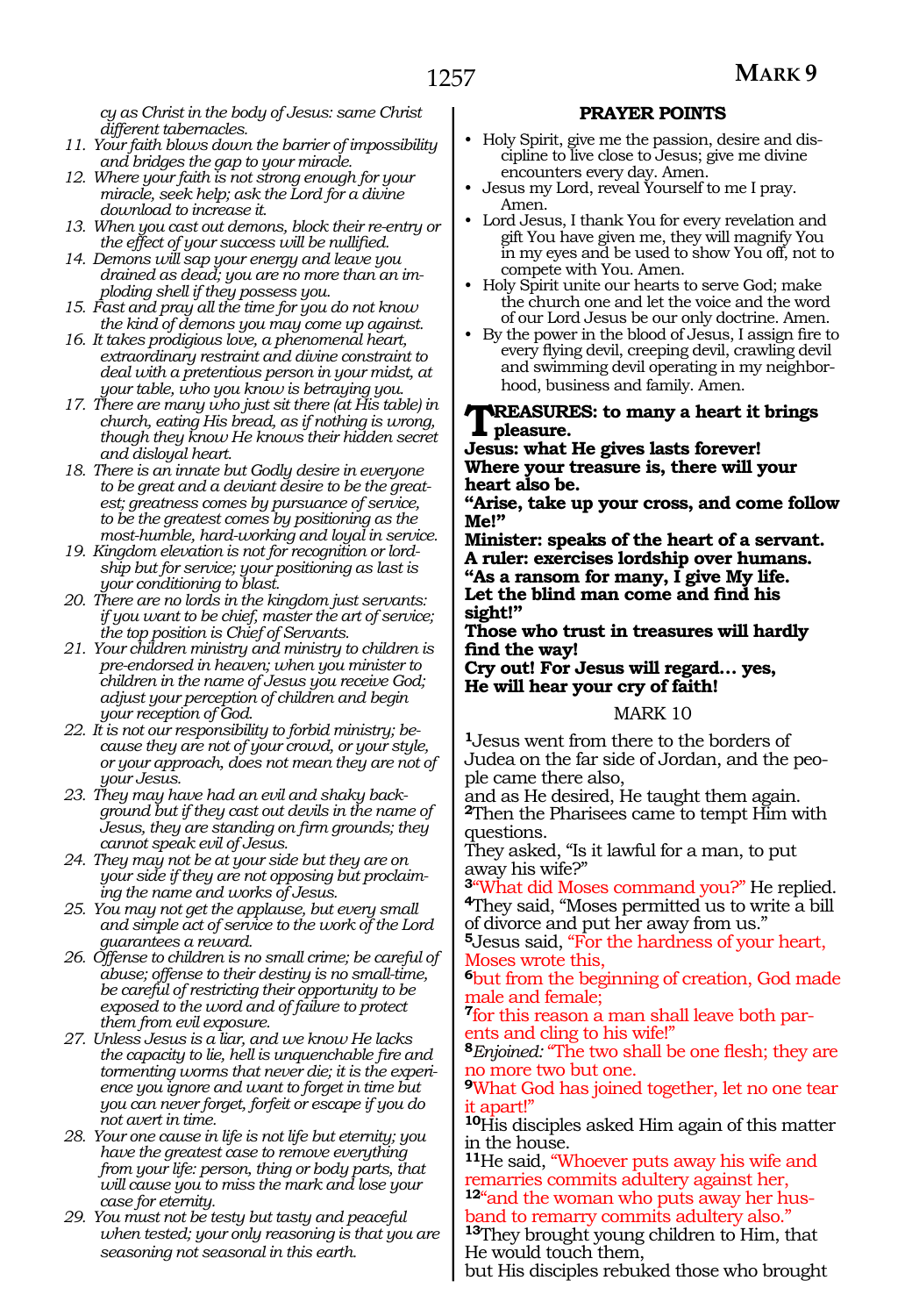*cy as Christ in the body of Jesus: same Christ different tabernacles.*

- *11. Your faith blows down the barrier of impossibility and bridges the gap to your miracle.*
- *12. Where your faith is not strong enough for your miracle, seek help; ask the Lord for a divine download to increase it.*
- *13. When you cast out demons, block their re-entry or the effect of your success will be nullified.*
- *14. Demons will sap your energy and leave you drained as dead; you are no more than an imploding shell if they possess you.*
- *15. Fast and pray all the time for you do not know the kind of demons you may come up against.*
- *16. It takes prodigious love, a phenomenal heart, extraordinary restraint and divine constraint to deal with a pretentious person in your midst, at your table, who you know is betraying you.*
- *17. There are many who just sit there (at His table) in church, eating His bread, as if nothing is wrong, though they know He knows their hidden secret and disloyal heart.*
- *18. There is an innate but Godly desire in everyone to be great and a deviant desire to be the greatest; greatness comes by pursuance of service, to be the greatest comes by positioning as the most-humble, hard-working and loyal in service.*
- *19. Kingdom elevation is not for recognition or lordship but for service; your positioning as last is your conditioning to blast.*
- *20. There are no lords in the kingdom just servants: if you want to be chief, master the art of service; the top position is Chief of Servants.*
- *21. Your children ministry and ministry to children is pre-endorsed in heaven; when you minister to children in the name of Jesus you receive God; adjust your perception of children and begin your reception of God.*
- *22. It is not our responsibility to forbid ministry; because they are not of your crowd, or your style, or your approach, does not mean they are not of your Jesus.*
- *23. They may have had an evil and shaky background but if they cast out devils in the name of Jesus, they are standing on firm grounds; they cannot speak evil of Jesus.*
- *24. They may not be at your side but they are on your side if they are not opposing but proclaiming the name and works of Jesus.*
- *25. You may not get the applause, but every small and simple act of service to the work of the Lord guarantees a reward.*
- *26. Offense to children is no small crime; be careful of abuse; offense to their destiny is no small-time, be careful of restricting their opportunity to be exposed to the word and of failure to protect them from evil exposure.*
- *27. Unless Jesus is a liar, and we know He lacks the capacity to lie, hell is unquenchable fire and tormenting worms that never die; it is the experience you ignore and want to forget in time but you can never forget, forfeit or escape if you do not avert in time.*
- *28. Your one cause in life is not life but eternity; you have the greatest case to remove everything from your life: person, thing or body parts, that will cause you to miss the mark and lose your case for eternity.*
- *29. You must not be testy but tasty and peaceful when tested; your only reasoning is that you are seasoning not seasonal in this earth.*

### **PRAYER POINTS**

- Holy Spirit, give me the passion, desire and discipline to live close to Jesus; give me divine encounters every day. Amen.
- Jesus my Lord, reveal Yourself to me I pray. Amen.
- Lord Jesus, I thank You for every revelation and gift You have given me, they will magnify You in my eyes and be used to show You off, not to compete with You. Amen.
- Holy Spirit unite our hearts to serve God; make the church one and let the voice and the word of our Lord Jesus be our only doctrine. Amen.
- By the power in the blood of Jesus, I assign fire to every flying devil, creeping devil, crawling devil and swimming devil operating in my neighborhood, business and family. Amen.

#### **REASURES: to many a heart it brings pleasure.**

**Jesus: what He gives lasts forever! Where your treasure is, there will your heart also be.**

**"Arise, take up your cross, and come follow Me!"** 

**Minister: speaks of the heart of a servant. A ruler: exercises lordship over humans. "As a ransom for many, I give My life. Let the blind man come and find his sight!"**

**Those who trust in treasures will hardly find the way!** 

**Cry out! For Jesus will regard… yes, He will hear your cry of faith!**

#### MARK 10

**<sup>1</sup>**Jesus went from there to the borders of Judea on the far side of Jordan, and the people came there also,

and as He desired, He taught them again. **<sup>2</sup>**Then the Pharisees came to tempt Him with questions.

They asked, "Is it lawful for a man, to put away his wife?"

**<sup>3</sup>**"What did Moses command you?" He replied. **<sup>4</sup>**They said, "Moses permitted us to write a bill of divorce and put her away from us."

**<sup>5</sup>**Jesus said, "For the hardness of your heart, Moses wrote this,

**<sup>6</sup>**but from the beginning of creation, God made male and female;

**<sup>7</sup>**for this reason a man shall leave both par- ents and cling to his wife!"

**<sup>8</sup>***Enjoined:* "The two shall be one flesh; they are no more two but one.

**<sup>9</sup>**What God has joined together, let no one tear it apart!"

**<sup>10</sup>**His disciples asked Him again of this matter in the house.

**<sup>11</sup>**He said, "Whoever puts away his wife and remarries commits adultery against her,

**12**"and the woman who puts away her husband to remarry commits adultery also."

**<sup>13</sup>**They brought young children to Him, that He would touch them,

but His disciples rebuked those who brought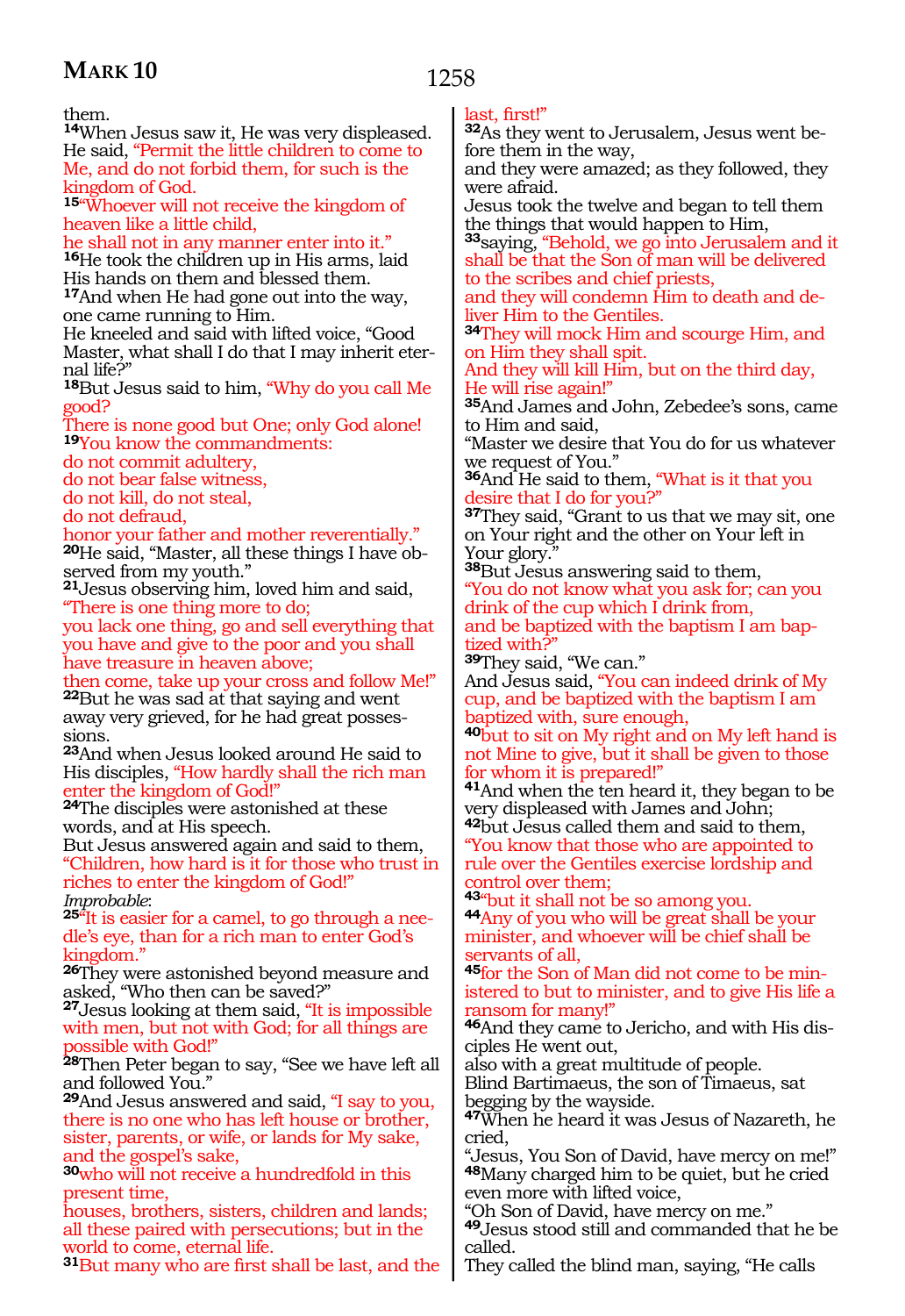1258

them.

**<sup>14</sup>**When Jesus saw it, He was very displeased. He said, "Permit the little children to come to Me, and do not forbid them, for such is the kingdom of God.

**<sup>15</sup>**"Whoever will not receive the kingdom of heaven like a little child,

he shall not in any manner enter into it." **<sup>16</sup>**He took the children up in His arms, laid His hands on them and blessed them. **<sup>17</sup>**And when He had gone out into the way, one came running to Him.

He kneeled and said with lifted voice, "Good Master, what shall I do that I may inherit eternal life?"

**<sup>18</sup>**But Jesus said to him, "Why do you call Me good?

There is none good but One; only God alone! **<sup>19</sup>**You know the commandments:

do not commit adultery,

do not bear false witness,

do not kill, do not steal,

do not defraud,

honor your father and mother reverentially." **20**He said, "Master, all these things I have observed from my youth."

**<sup>21</sup>**Jesus observing him, loved him and said, "There is one thing more to do;

you lack one thing, go and sell everything that you have and give to the poor and you shall have treasure in heaven above;

then come, take up your cross and follow Me!" **<sup>22</sup>**But he was sad at that saying and went

away very grieved, for he had great possessions.

**<sup>23</sup>**And when Jesus looked around He said to His disciples, "How hardly shall the rich man enter the kingdom of God!"

**<sup>24</sup>**The disciples were astonished at these words, and at His speech.

But Jesus answered again and said to them, "Children, how hard is it for those who trust in riches to enter the kingdom of God!"

*Improbable*: **<sup>25</sup>**"It is easier for a camel, to go through a nee- dle's eye, than for a rich man to enter God's kingdom."

**<sup>26</sup>**They were astonished beyond measure and asked, "Who then can be saved?"

**<sup>27</sup>**Jesus looking at them said, "It is impossible with men, but not with God; for all things are possible with God!"

**<sup>28</sup>**Then Peter began to say, "See we have left all and followed You."

**<sup>29</sup>**And Jesus answered and said, "I say to you, there is no one who has left house or brother, sister, parents, or wife, or lands for My sake, and the gospel's sake,

**<sup>30</sup>**who will not receive a hundredfold in this present time,

houses, brothers, sisters, children and lands; all these paired with persecutions; but in the world to come, eternal life.

**<sup>31</sup>**But many who are first shall be last, and the

### last, first!"

**32**As they went to Jerusalem, Jesus went before them in the way,

and they were amazed; as they followed, they were afraid.

Jesus took the twelve and began to tell them the things that would happen to Him,

**<sup>33</sup>**saying, "Behold, we go into Jerusalem and it shall be that the Son of man will be delivered to the scribes and chief priests,

and they will condemn Him to death and deliver Him to the Gentiles.

**<sup>34</sup>**They will mock Him and scourge Him, and on Him they shall spit.

And they will kill Him, but on the third day, He will rise again!"

**<sup>35</sup>**And James and John, Zebedee's sons, came to Him and said,

"Master we desire that You do for us whatever we request of You."

**<sup>36</sup>**And He said to them, "What is it that you desire that I do for you?"

**<sup>37</sup>**They said, "Grant to us that we may sit, one on Your right and the other on Your left in Your glory.'

**<sup>38</sup>**But Jesus answering said to them,

"You do not know what you ask for; can you drink of the cup which I drink from,

and be baptized with the baptism I am baptized with?"

**<sup>39</sup>**They said, "We can."

And Jesus said, "You can indeed drink of My cup, and be baptized with the baptism I am baptized with, sure enough,

**<sup>40</sup>**but to sit on My right and on My left hand is not Mine to give, but it shall be given to those for whom it is prepared!"

**<sup>41</sup>**And when the ten heard it, they began to be very displeased with James and John;

**<sup>42</sup>**but Jesus called them and said to them, "You know that those who are appointed to rule over the Gentiles exercise lordship and

control over them;<br>43"but it shall not be so among you.

**44** Any of you who will be great shall be your minister, and whoever will be chief shall be servants of all,

**<sup>45</sup>**for the Son of Man did not come to be min- istered to but to minister, and to give His life a ransom for many!"

**46**And they came to Jericho, and with His disciples He went out,

also with a great multitude of people.

Blind Bartimaeus, the son of Timaeus, sat begging by the wayside.

**<sup>47</sup>**When he heard it was Jesus of Nazareth, he cried,

"Jesus, You Son of David, have mercy on me!" **<sup>48</sup>**Many charged him to be quiet, but he cried even more with lifted voice,

"Oh Son of David, have mercy on me."

**<sup>49</sup>**Jesus stood still and commanded that he be called.

They called the blind man, saying, "He calls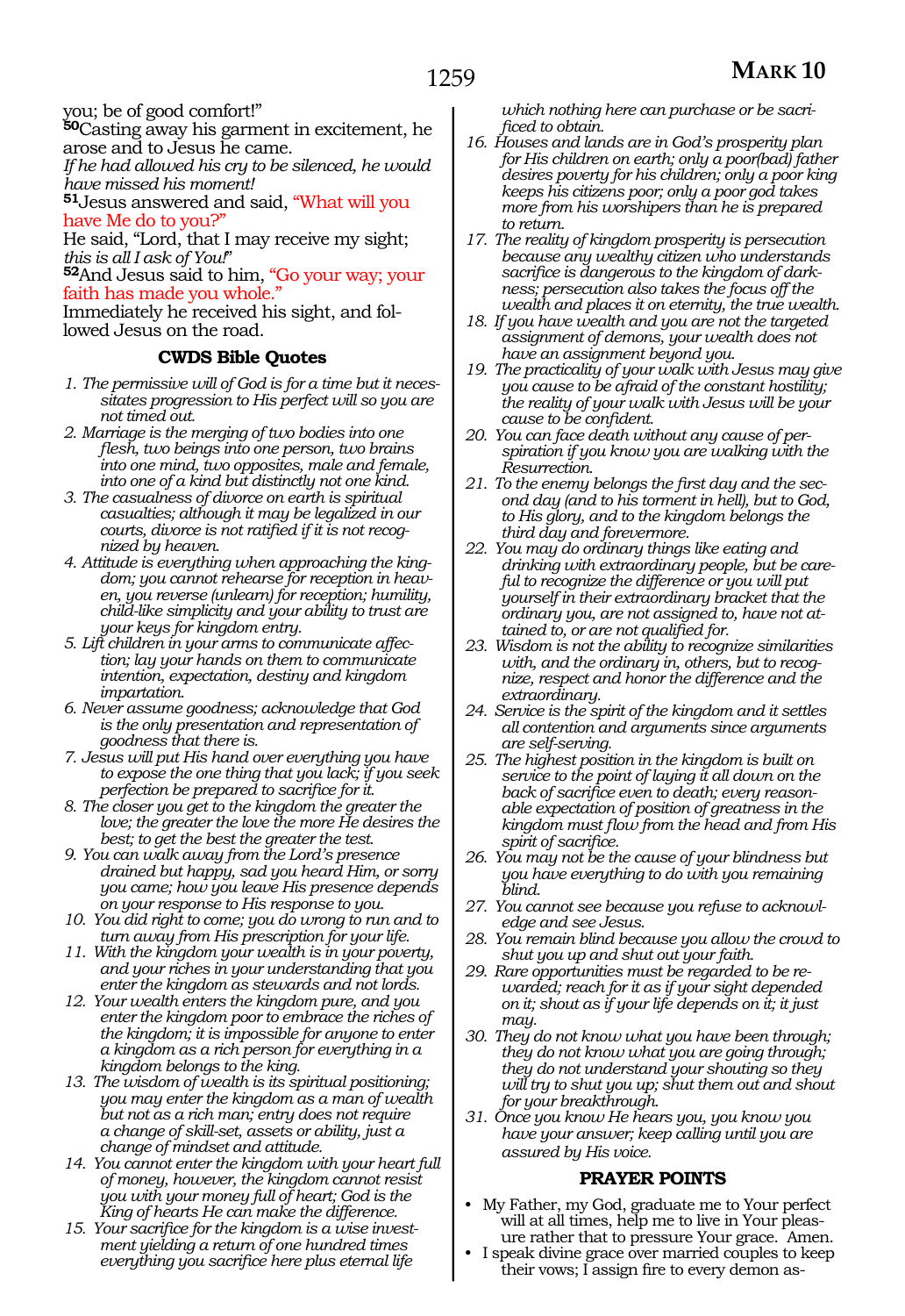you; be of good comfort!"

**<sup>50</sup>**Casting away his garment in excitement, he arose and to Jesus he came.

*If he had allowed his cry to be silenced, he would have missed his moment!* 

**<sup>51</sup>**Jesus answered and said, "What will you have Me do to you?"

He said, "Lord, that I may receive my sight;

*this is all I ask of You!*" **<sup>52</sup>**And Jesus said to him, "Go your way; your faith has made you whole."

Immediately he received his sight, and followed Jesus on the road.

### **CWDS Bible Quotes**

- *1. The permissive will of God is for a time but it necessitates progression to His perfect will so you are not timed out.*
- *2. Marriage is the merging of two bodies into one flesh, two beings into one person, two brains into one mind, two opposites, male and female, into one of a kind but distinctly not one kind.*
- *3. The casualness of divorce on earth is spiritual casualties; although it may be legalized in our courts, divorce is not ratified if it is not recognized by heaven.*
- *4. Attitude is everything when approaching the kingdom; you cannot rehearse for reception in heaven, you reverse (unlearn) for reception; humility, child-like simplicity and your ability to trust are your keys for kingdom entry.*
- *5. Lift children in your arms to communicate affection; lay your hands on them to communicate intention, expectation, destiny and kingdom impartation.*
- *6. Never assume goodness; acknowledge that God is the only presentation and representation of goodness that there is.*
- *7. Jesus will put His hand over everything you have to expose the one thing that you lack; if you seek perfection be prepared to sacrifice for it.*
- *8. The closer you get to the kingdom the greater the love; the greater the love the more He desires the best; to get the best the greater the test.*
- *9. You can walk away from the Lord's presence drained but happy, sad you heard Him, or sorry you came; how you leave His presence depends on your response to His response to you.*
- *10. You did right to come; you do wrong to run and to turn away from His prescription for your life.*
- *11. With the kingdom your wealth is in your poverty, and your riches in your understanding that you enter the kingdom as stewards and not lords.*
- *12. Your wealth enters the kingdom pure, and you enter the kingdom poor to embrace the riches of the kingdom; it is impossible for anyone to enter a kingdom as a rich person for everything in a kingdom belongs to the king.*
- *13. The wisdom of wealth is its spiritual positioning; you may enter the kingdom as a man of wealth but not as a rich man; entry does not require a change of skill-set, assets or ability, just a change of mindset and attitude.*
- *14. You cannot enter the kingdom with your heart full of money, however, the kingdom cannot resist you with your money full of heart; God is the King of hearts He can make the difference.*
- *15. Your sacrifice for the kingdom is a wise investment yielding a return of one hundred times everything you sacrifice here plus eternal life*

*which nothing here can purchase or be sacrificed to obtain.*

- *16. Houses and lands are in God's prosperity plan for His children on earth; only a poor(bad) father desires poverty for his children; only a poor king keeps his citizens poor; only a poor god takes more from his worshipers than he is prepared to return.*
- *17. The reality of kingdom prosperity is persecution because any wealthy citizen who understands sacrifice is dangerous to the kingdom of darkness; persecution also takes the focus off the wealth and places it on eternity, the true wealth.*
- *18. If you have wealth and you are not the targeted assignment of demons, your wealth does not have an assignment beyond you.*
- *19. The practicality of your walk with Jesus may give you cause to be afraid of the constant hostility; the reality of your walk with Jesus will be your cause to be confident.*
- *20. You can face death without any cause of perspiration if you know you are walking with the Resurrection.*
- *21. To the enemy belongs the first day and the second day (and to his torment in hell), but to God, to His glory, and to the kingdom belongs the third day and forevermore.*
- *22. You may do ordinary things like eating and drinking with extraordinary people, but be careful to recognize the difference or you will put yourself in their extraordinary bracket that the ordinary you, are not assigned to, have not attained to, or are not qualified for.*
- *23. Wisdom is not the ability to recognize similarities with, and the ordinary in, others, but to recognize, respect and honor the difference and the extraordinary.*
- *24. Service is the spirit of the kingdom and it settles all contention and arguments since arguments are self-serving.*
- *25. The highest position in the kingdom is built on service to the point of laying it all down on the back of sacrifice even to death; every reasonable expectation of position of greatness in the kingdom must flow from the head and from His spirit of sacrifice.*
- *26. You may not be the cause of your blindness but you have everything to do with you remaining blind.*
- *27. You cannot see because you refuse to acknowledge and see Jesus.*
- *28. You remain blind because you allow the crowd to shut you up and shut out your faith.*
- *29. Rare opportunities must be regarded to be rewarded; reach for it as if your sight depended on it; shout as if your life depends on it; it just may.*
- *30. They do not know what you have been through; they do not know what you are going through; they do not understand your shouting so they will try to shut you up; shut them out and shout for your breakthrough.*
- *31. Once you know He hears you, you know you have your answer; keep calling until you are assured by His voice.*

#### **PRAYER POINTS**

- My Father, my God, graduate me to Your perfect will at all times, help me to live in Your pleasure rather that to pressure Your grace. Amen.
- I speak divine grace over married couples to keep their vows; I assign fire to every demon as-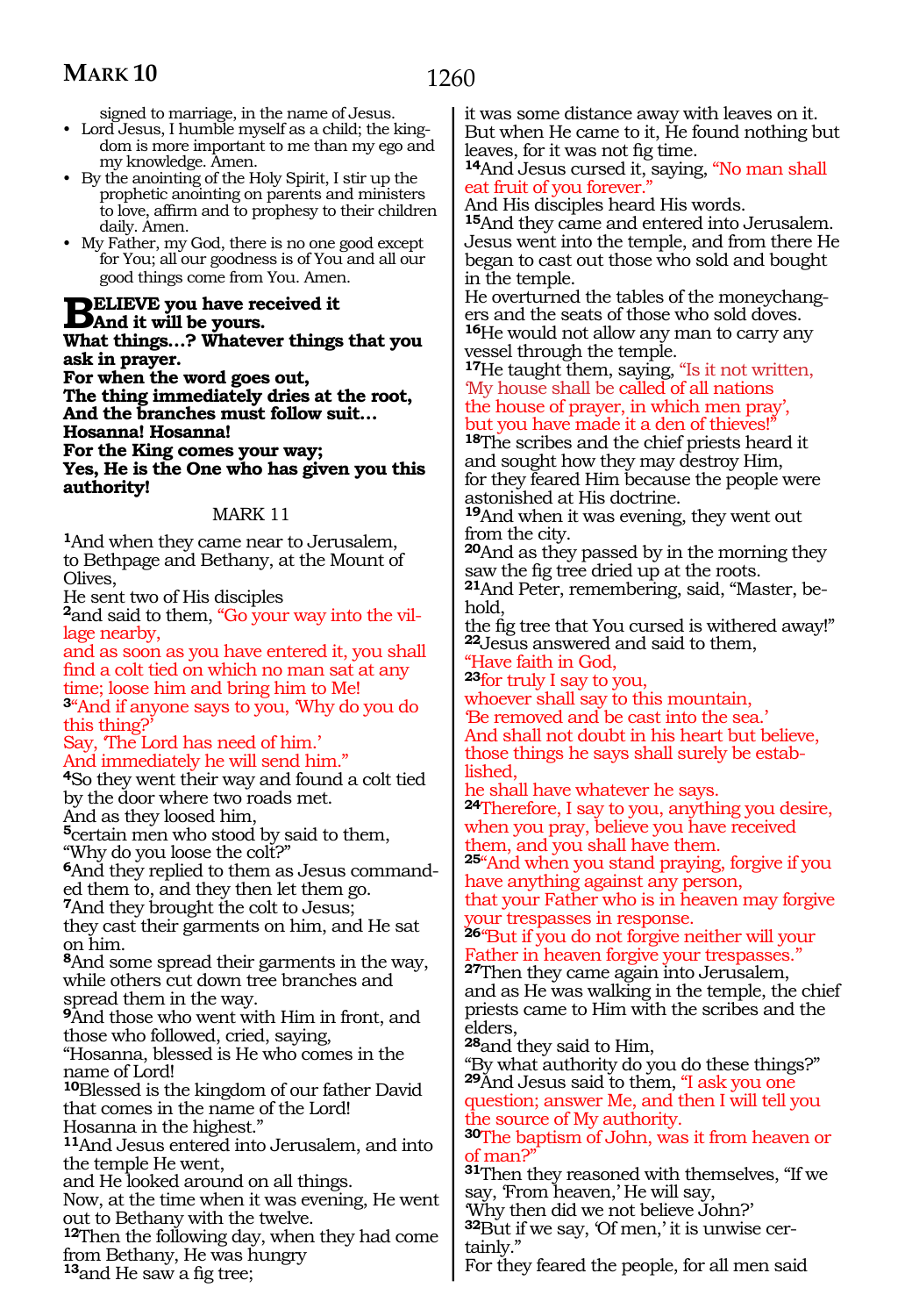signed to marriage, in the name of Jesus.

- Lord Jesus, I humble myself as a child; the kingdom is more important to me than my ego and my knowledge. Amen.
- By the anointing of the Holy Spirit, I stir up the prophetic anointing on parents and ministers to love, affirm and to prophesy to their children daily. Amen.
- My Father, my God, there is no one good except for You; all our goodness is of You and all our good things come from You. Amen.

**BELIEVE** you have received it<br>
Mand it will be yours.<br>
What things 2 Whatever things **What things…? Whatever things that you ask in prayer.**

**For when the word goes out, The thing immediately dries at the root, And the branches must follow suit…**

**Hosanna! Hosanna! For the King comes your way;**

**Yes, He is the One who has given you this authority!**

### MARK 11

**<sup>1</sup>**And when they came near to Jerusalem, to Bethpage and Bethany, at the Mount of Olives,

He sent two of His disciples

**2**and said to them, "Go your way into the village nearby,

and as soon as you have entered it, you shall find a colt tied on which no man sat at any time; loose him and bring him to Me! **<sup>3</sup>**"And if anyone says to you, 'Why do you do

this thing?'

Say, 'The Lord has need of him.'

And immediately he will send him."

**<sup>4</sup>**So they went their way and found a colt tied by the door where two roads met. And as they loosed him,

**<sup>5</sup>**certain men who stood by said to them, "Why do you loose the colt?"

**6**And they replied to them as Jesus commanded them to, and they then let them go.

**<sup>7</sup>**And they brought the colt to Jesus;

they cast their garments on him, and He sat on him.

**<sup>8</sup>**And some spread their garments in the way, while others cut down tree branches and spread them in the way.

**<sup>9</sup>**And those who went with Him in front, and those who followed, cried, saying,

"Hosanna, blessed is He who comes in the name of Lord!

**<sup>10</sup>**Blessed is the kingdom of our father David that comes in the name of the Lord!

Hosanna in the highest."

**<sup>11</sup>**And Jesus entered into Jerusalem, and into the temple He went,

and He looked around on all things.

Now, at the time when it was evening, He went out to Bethany with the twelve.

**<sup>12</sup>**Then the following day, when they had come from Bethany, He was hungry

**<sup>13</sup>**and He saw a fig tree;

it was some distance away with leaves on it. But when He came to it, He found nothing but leaves, for it was not fig time.

**<sup>14</sup>**And Jesus cursed it, saying, "No man shall eat fruit of you forever.

And His disciples heard His words.

**<sup>15</sup>**And they came and entered into Jerusalem. Jesus went into the temple, and from there He began to cast out those who sold and bought in the temple.

He overturned the tables of the moneychangers and the seats of those who sold doves. **<sup>16</sup>**He would not allow any man to carry any vessel through the temple.

**<sup>17</sup>**He taught them, saying, "Is it not written, 'My house shall be called of all nations the house of prayer, in which men pray', but you have made it a den of thieves!"

**<sup>18</sup>**The scribes and the chief priests heard it and sought how they may destroy Him, for they feared Him because the people were astonished at His doctrine.

**<sup>19</sup>**And when it was evening, they went out from the city.

**<sup>20</sup>**And as they passed by in the morning they saw the fig tree dried up at the roots.

**21**And Peter, remembering, said, "Master, behold,

the fig tree that You cursed is withered away!" **<sup>22</sup>**Jesus answered and said to them,

"Have faith in God,

**<sup>23</sup>**for truly I say to you,

whoever shall say to this mountain, 'Be removed and be cast into the sea.' And shall not doubt in his heart but believe, those things he says shall surely be estab- lished,

he shall have whatever he says.

**<sup>24</sup>**Therefore, I say to you, anything you desire, when you pray, believe you have received them, and you shall have them.

**<sup>25</sup>**"And when you stand praying, forgive if you have anything against any person,

that your Father who is in heaven may forgive your trespasses in response.

**<sup>26</sup>**''But if you do not forgive neither will your Father in heaven forgive your trespasses.''

**<sup>27</sup>**Then they came again into Jerusalem, and as He was walking in the temple, the chief priests came to Him with the scribes and the elders,

**<sup>28</sup>**and they said to Him,

"By what authority do you do these things?" **<sup>29</sup>**And Jesus said to them, "I ask you one

question; answer Me, and then I will tell you the source of My authority.

**<sup>30</sup>**The baptism of John, was it from heaven or f man?

**<sup>31</sup>**Then they reasoned with themselves, "If we say, 'From heaven,' He will say,

'Why then did we not believe John?'

**32**But if we say, 'Of men,' it is unwise certainly."

For they feared the people, for all men said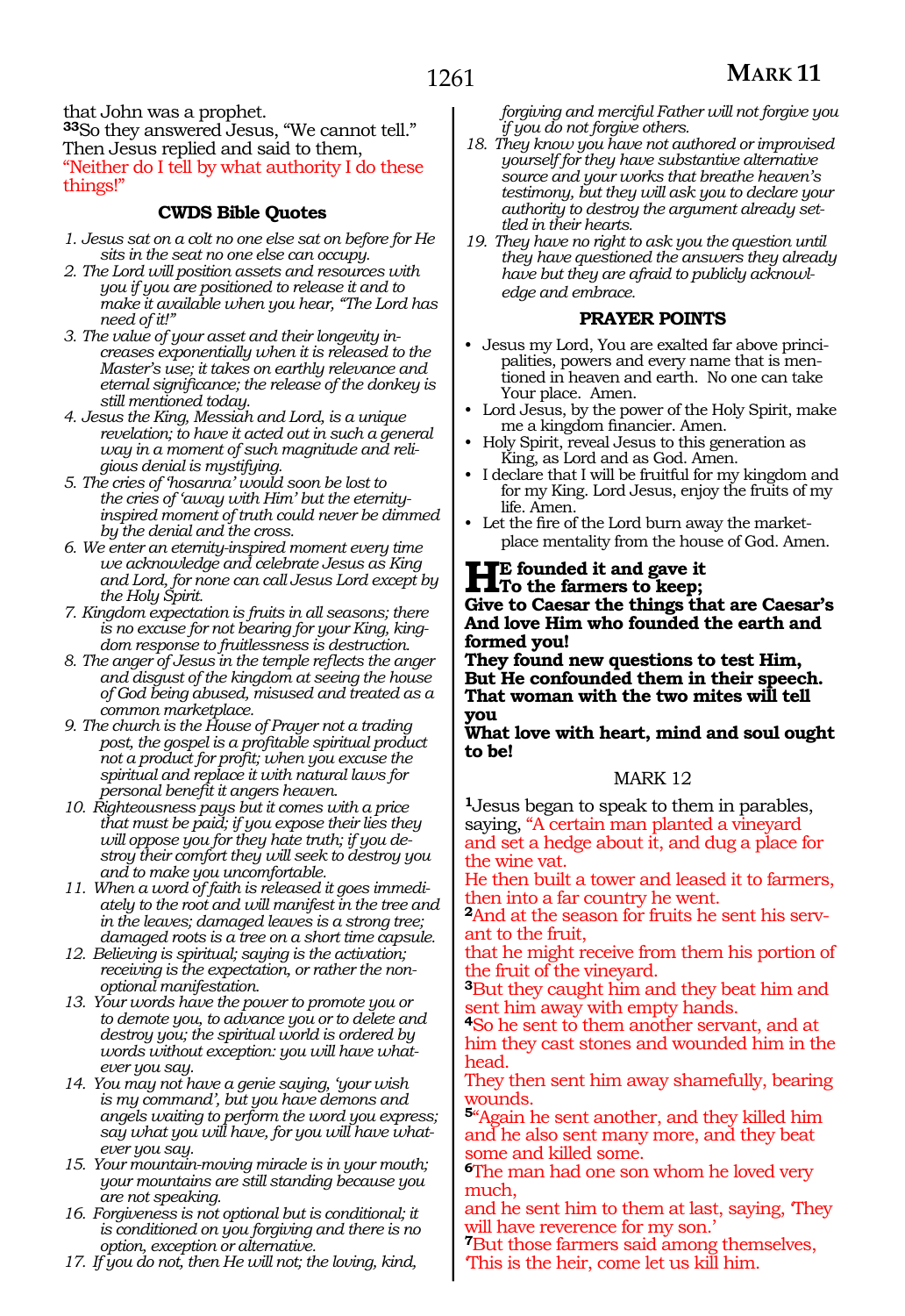that John was a prophet. **<sup>33</sup>**So they answered Jesus, "We cannot tell." Then Jesus replied and said to them, "Neither do I tell by what authority I do these things!"

### **CWDS Bible Quotes**

- *1. Jesus sat on a colt no one else sat on before for He sits in the seat no one else can occupy.*
- *2. The Lord will position assets and resources with you if you are positioned to release it and to make it available when you hear, "The Lord has need of it!"*
- *3. The value of your asset and their longevity increases exponentially when it is released to the Master's use; it takes on earthly relevance and eternal significance; the release of the donkey is still mentioned today.*
- *4. Jesus the King, Messiah and Lord, is a unique revelation; to have it acted out in such a general way in a moment of such magnitude and religious denial is mystifying.*
- *5. The cries of 'hosanna' would soon be lost to the cries of 'away with Him' but the eternityinspired moment of truth could never be dimmed by the denial and the cross.*
- *6. We enter an eternity-inspired moment every time we acknowledge and celebrate Jesus as King and Lord, for none can call Jesus Lord except by the Holy Spirit.*
- *7. Kingdom expectation is fruits in all seasons; there is no excuse for not bearing for your King, kingdom response to fruitlessness is destruction.*
- *8. The anger of Jesus in the temple reflects the anger and disgust of the kingdom at seeing the house of God being abused, misused and treated as a common marketplace.*
- *9. The church is the House of Prayer not a trading post, the gospel is a profitable spiritual product not a product for profit; when you excuse the spiritual and replace it with natural laws for personal benefit it angers heaven.*
- *10. Righteousness pays but it comes with a price that must be paid; if you expose their lies they will oppose you for they hate truth; if you destroy their comfort they will seek to destroy you and to make you uncomfortable.*
- *11. When a word of faith is released it goes immediately to the root and will manifest in the tree and in the leaves; damaged leaves is a strong tree; damaged roots is a tree on a short time capsule.*
- *12. Believing is spiritual; saying is the activation; receiving is the expectation, or rather the nonoptional manifestation.*
- *13. Your words have the power to promote you or to demote you, to advance you or to delete and destroy you; the spiritual world is ordered by words without exception: you will have whatever you say.*
- *14. You may not have a genie saying, 'your wish is my command', but you have demons and angels waiting to perform the word you express; say what you will have, for you will have whatever you say.*
- *15. Your mountain-moving miracle is in your mouth; your mountains are still standing because you are not speaking.*
- *16. Forgiveness is not optional but is conditional; it is conditioned on you forgiving and there is no option, exception or alternative.*
- *17. If you do not, then He will not; the loving, kind,*

*forgiving and merciful Father will not forgive you if you do not forgive others.*

- *18. They know you have not authored or improvised yourself for they have substantive alternative source and your works that breathe heaven's testimony, but they will ask you to declare your authority to destroy the argument already settled in their hearts.*
- *19. They have no right to ask you the question until they have questioned the answers they already have but they are afraid to publicly acknowledge and embrace.*

#### **PRAYER POINTS**

- Jesus my Lord, You are exalted far above principalities, powers and every name that is mentioned in heaven and earth. No one can take Your place. Amen.
- Lord Jesus, by the power of the Holy Spirit, make me a kingdom financier. Amen.
- Holy Spirit, reveal Jesus to this generation as King, as Lord and as God. Amen.
- I declare that I will be fruitful for my kingdom and for my King. Lord Jesus, enjoy the fruits of my life. Amen.
- Let the fire of the Lord burn away the marketplace mentality from the house of God. Amen.

# **HE**<sup>E</sup> founded it and gave it<br>
To the farmers to keep;<br>
Give to Gassen the things it

**Give to Caesar the things that are Caesar's And love Him who founded the earth and formed you!**

**They found new questions to test Him, But He confounded them in their speech. That woman with the two mites will tell you**

**What love with heart, mind and soul ought to be!**

### MARK 12

**<sup>1</sup>**Jesus began to speak to them in parables, saying, "A certain man planted a vineyard and set a hedge about it, and dug a place for the wine vat.

He then built a tower and leased it to farmers, then into a far country he went.

**2**And at the season for fruits he sent his servant to the fruit,

that he might receive from them his portion of the fruit of the vineyard.

**<sup>3</sup>**But they caught him and they beat him and sent him away with empty hands.

**<sup>4</sup>**So he sent to them another servant, and at him they cast stones and wounded him in the head.

They then sent him away shamefully, bearing wounds.

**<sup>5</sup>**"Again he sent another, and they killed him and he also sent many more, and they beat some and killed some.

**<sup>6</sup>**The man had one son whom he loved very much,

and he sent him to them at last, saying, 'They will have reverence for my son.'

**<sup>7</sup>**But those farmers said among themselves, 'This is the heir, come let us kill him.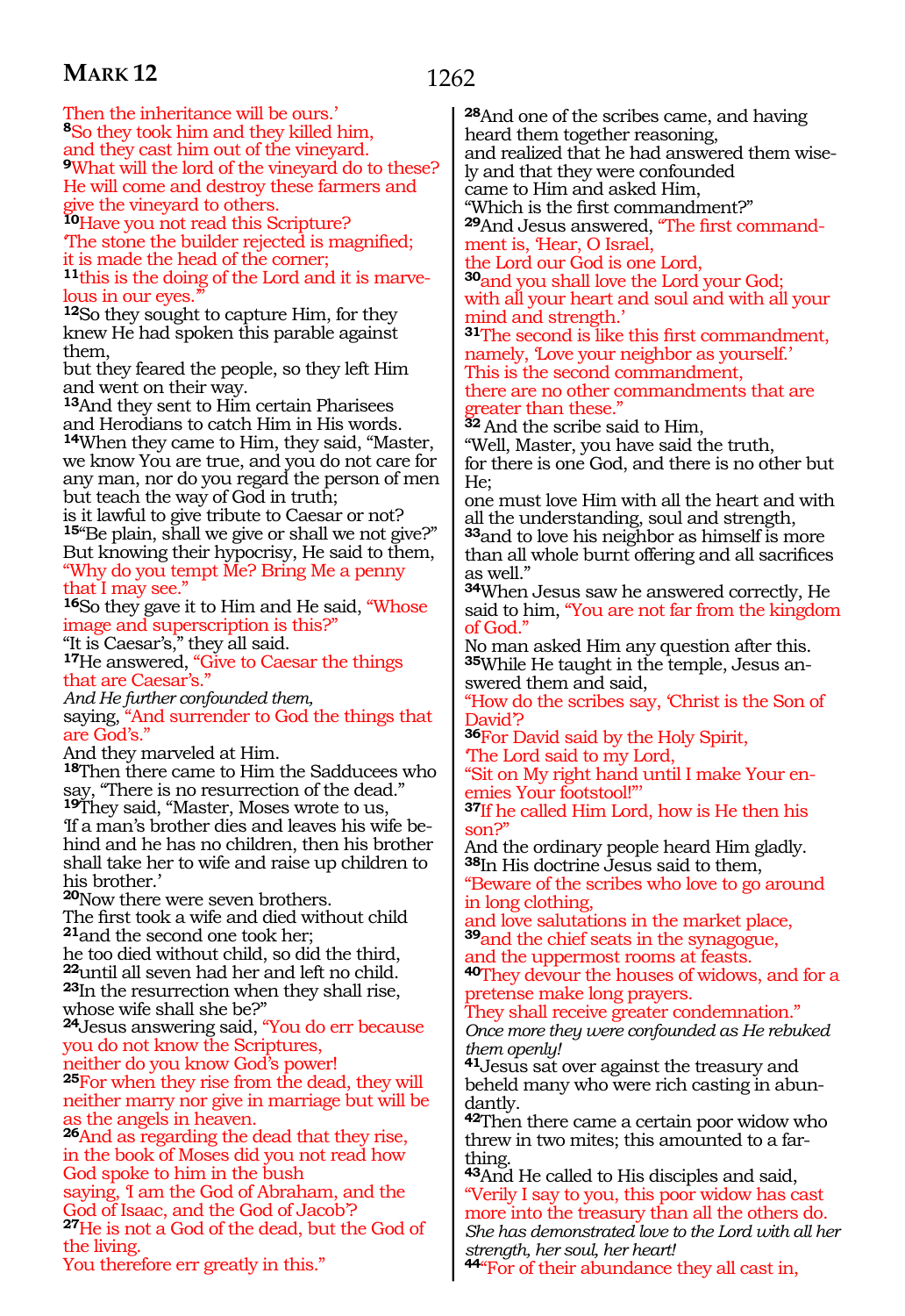1262

Then the inheritance will be ours.' **<sup>8</sup>**So they took him and they killed him, and they cast him out of the vineyard. **<sup>9</sup>**What will the lord of the vineyard do to these? He will come and destroy these farmers and give the vineyard to others.

**<sup>10</sup>**Have you not read this Scripture? 'The stone the builder rejected is magnified; it is made the head of the corner; **<sup>11</sup>**this is the doing of the Lord and it is marve- lous in our eyes.'"

**<sup>12</sup>**So they sought to capture Him, for they knew He had spoken this parable against them,

but they feared the people, so they left Him and went on their way.

**<sup>13</sup>**And they sent to Him certain Pharisees and Herodians to catch Him in His words. **<sup>14</sup>**When they came to Him, they said, "Master, we know You are true, and you do not care for any man, nor do you regard the person of men but teach the way of God in truth;

is it lawful to give tribute to Caesar or not? **<sup>15</sup>**"Be plain, shall we give or shall we not give?" But knowing their hypocrisy, He said to them, "Why do you tempt Me? Bring Me a penny that I may see.'

**<sup>16</sup>**So they gave it to Him and He said, "Whose image and superscription is this?" "It is Caesar's," they all said.

**<sup>17</sup>**He answered, "Give to Caesar the things

that are Caesar's."

*And He further confounded them,*

saying, "And surrender to God the things that are God's."

And they marveled at Him.

**<sup>18</sup>**Then there came to Him the Sadducees who say, "There is no resurrection of the dead." **<sup>19</sup>**They said, "Master, Moses wrote to us, 'If a man's brother dies and leaves his wife behind and he has no children, then his brother shall take her to wife and raise up children to his brother.'

**<sup>20</sup>**Now there were seven brothers. The first took a wife and died without child **<sup>21</sup>**and the second one took her; he too died without child, so did the third, **<sup>22</sup>**until all seven had her and left no child. **<sup>23</sup>**In the resurrection when they shall rise, whose wife shall she be?"

**<sup>24</sup>**Jesus answering said, "You do err because you do not know the Scriptures,

neither do you know God's power! **<sup>25</sup>**For when they rise from the dead, they will neither marry nor give in marriage but will be as the angels in heaven.

**<sup>26</sup>**And as regarding the dead that they rise, in the book of Moses did you not read how God spoke to him in the bush saying, 'I am the God of Abraham, and the God of Isaac, and the God of Jacob'? **<sup>27</sup>**He is not a God of the dead, but the God of

the living. You therefore err greatly in this." **<sup>28</sup>**And one of the scribes came, and having heard them together reasoning, and realized that he had answered them wisely and that they were confounded came to Him and asked Him,

"Which is the first commandment?" **29**And Jesus answered, "The first command-

ment is, 'Hear, O Israel,

the Lord our God is one Lord, **<sup>30</sup>**and you shall love the Lord your God; with all your heart and soul and with all your mind and strength.'

**<sup>31</sup>**The second is like this first commandment, namely, 'Love your neighbor as yourself.'

This is the second commandment, there are no other commandments that are greater than these."

**<sup>32</sup>**And the scribe said to Him,

"Well, Master, you have said the truth, for there is one God, and there is no other but

He; one must love Him with all the heart and with

all the understanding, soul and strength, **<sup>33</sup>**and to love his neighbor as himself is more than all whole burnt offering and all sacrifices as well."

**<sup>34</sup>**When Jesus saw he answered correctly, He said to him, "You are not far from the kingdom of God."

No man asked Him any question after this. **35**While He taught in the temple, Jesus answered them and said,

"How do the scribes say, 'Christ is the Son of David?

**<sup>36</sup>**For David said by the Holy Spirit, 'The Lord said to my Lord,

"Sit on My right hand until I make Your enemies Your footstool!"'

**<sup>37</sup>**If he called Him Lord, how is He then his son?"

And the ordinary people heard Him gladly. **<sup>38</sup>**In His doctrine Jesus said to them, "Beware of the scribes who love to go around in long clothing,

and love salutations in the market place, **<sup>39</sup>**and the chief seats in the synagogue, and the uppermost rooms at feasts.

**<sup>40</sup>**They devour the houses of widows, and for a pretense make long prayers.

They shall receive greater condemnation." *Once more they were confounded as He rebuked them openly!*

**<sup>41</sup>**Jesus sat over against the treasury and beheld many who were rich casting in abun- dantly.

**<sup>42</sup>**Then there came a certain poor widow who threw in two mites; this amounted to a farthing.

**<sup>43</sup>**And He called to His disciples and said, "Verily I say to you, this poor widow has cast more into the treasury than all the others do.

*She has demonstrated love to the Lord with all her strength, her soul, her heart!*

**<sup>44</sup>**"For of their abundance they all cast in,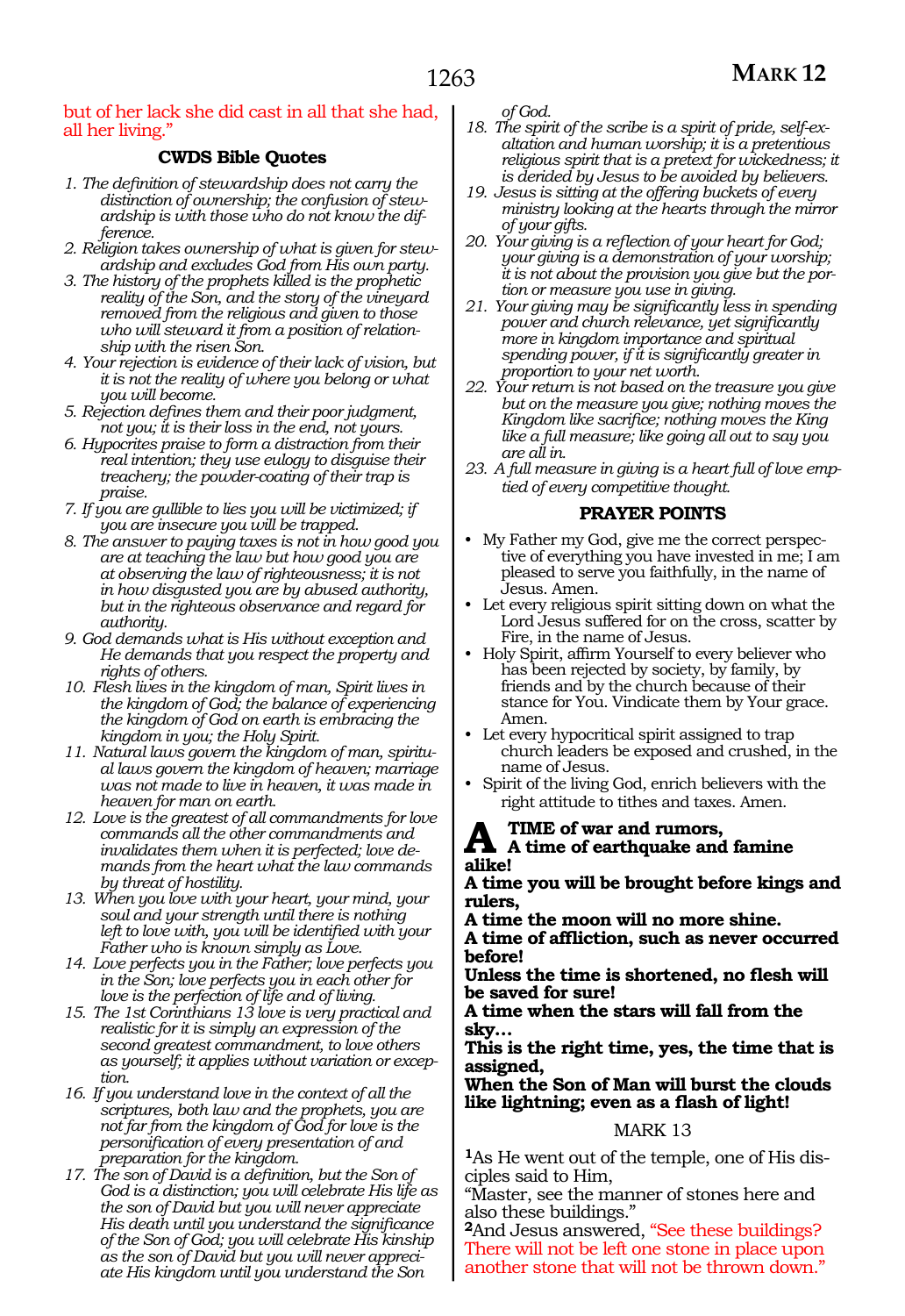#### but of her lack she did cast in all that she had, all her living."

### **CWDS Bible Quotes**

- *1. The definition of stewardship does not carry the distinction of ownership; the confusion of stewardship is with those who do not know the difference.*
- *2. Religion takes ownership of what is given for stewardship and excludes God from His own party.*
- *3. The history of the prophets killed is the prophetic reality of the Son, and the story of the vineyard removed from the religious and given to those who will steward it from a position of relationship with the risen Son.*
- *4. Your rejection is evidence of their lack of vision, but it is not the reality of where you belong or what you will become.*
- *5. Rejection defines them and their poor judgment, not you; it is their loss in the end, not yours.*
- *6. Hypocrites praise to form a distraction from their real intention; they use eulogy to disguise their treachery; the powder-coating of their trap is praise.*
- *7. If you are gullible to lies you will be victimized; if you are insecure you will be trapped.*
- *8. The answer to paying taxes is not in how good you are at teaching the law but how good you are at observing the law of righteousness; it is not in how disgusted you are by abused authority, but in the righteous observance and regard for authority.*
- *9. God demands what is His without exception and He demands that you respect the property and rights of others.*
- *10. Flesh lives in the kingdom of man, Spirit lives in the kingdom of God; the balance of experiencing the kingdom of God on earth is embracing the kingdom in you; the Holy Spirit.*
- *11. Natural laws govern the kingdom of man, spiritual laws govern the kingdom of heaven; marriage was not made to live in heaven, it was made in heaven for man on earth.*
- *12. Love is the greatest of all commandments for love commands all the other commandments and invalidates them when it is perfected; love demands from the heart what the law commands by threat of hostility.*
- *13. When you love with your heart, your mind, your soul and your strength until there is nothing left to love with, you will be identified with your Father who is known simply as Love.*
- *14. Love perfects you in the Father; love perfects you in the Son; love perfects you in each other for love is the perfection of life and of living.*
- *15. The 1st Corinthians 13 love is very practical and realistic for it is simply an expression of the second greatest commandment, to love others as yourself; it applies without variation or exception.*
- *16. If you understand love in the context of all the scriptures, both law and the prophets, you are not far from the kingdom of God for love is the personification of every presentation of and preparation for the kingdom.*
- *17. The son of David is a definition, but the Son of God is a distinction; you will celebrate His life as the son of David but you will never appreciate His death until you understand the significance of the Son of God; you will celebrate His kinship as the son of David but you will never appreciate His kingdom until you understand the Son*

*of God.*

- *18. The spirit of the scribe is a spirit of pride, self-exaltation and human worship; it is a pretentious religious spirit that is a pretext for wickedness; it is derided by Jesus to be avoided by believers.*
- *19. Jesus is sitting at the offering buckets of every ministry looking at the hearts through the mirror of your gifts.*
- *20. Your giving is a reflection of your heart for God; your giving is a demonstration of your worship; it is not about the provision you give but the portion or measure you use in giving.*
- *21. Your giving may be significantly less in spending power and church relevance, yet significantly more in kingdom importance and spiritual spending power, if it is significantly greater in proportion to your net worth.*
- *22. Your return is not based on the treasure you give but on the measure you give; nothing moves the Kingdom like sacrifice; nothing moves the King like a full measure; like going all out to say you are all in.*
- *23. A full measure in giving is a heart full of love emptied of every competitive thought.*

#### **PRAYER POINTS**

- My Father my God, give me the correct perspective of everything you have invested in me; I am pleased to serve you faithfully, in the name of Jesus. Amen.
- Let every religious spirit sitting down on what the Lord Jesus suffered for on the cross, scatter by Fire, in the name of Jesus.
- Holy Spirit, affirm Yourself to every believer who has been rejected by society, by family, by friends and by the church because of their stance for You. Vindicate them by Your grace. Amen.
- Let every hypocritical spirit assigned to trap church leaders be exposed and crushed, in the name of Jesus.
- Spirit of the living God, enrich believers with the right attitude to tithes and taxes. Amen.

### **A time of war and rumors, A time of earthquake and famine alike!**

**A time you will be brought before kings and rulers,**

**A time the moon will no more shine.**

**A time of affliction, such as never occurred before!**

**Unless the time is shortened, no flesh will be saved for sure!**

**A time when the stars will fall from the sky…**

**This is the right time, yes, the time that is assigned,**

**When the Son of Man will burst the clouds like lightning; even as a flash of light!**

### MARK 13

**<sup>1</sup>**As He went out of the temple, one of His dis- ciples said to Him,

"Master, see the manner of stones here and also these buildings."

**<sup>2</sup>**And Jesus answered, "See these buildings? There will not be left one stone in place upon another stone that will not be thrown down."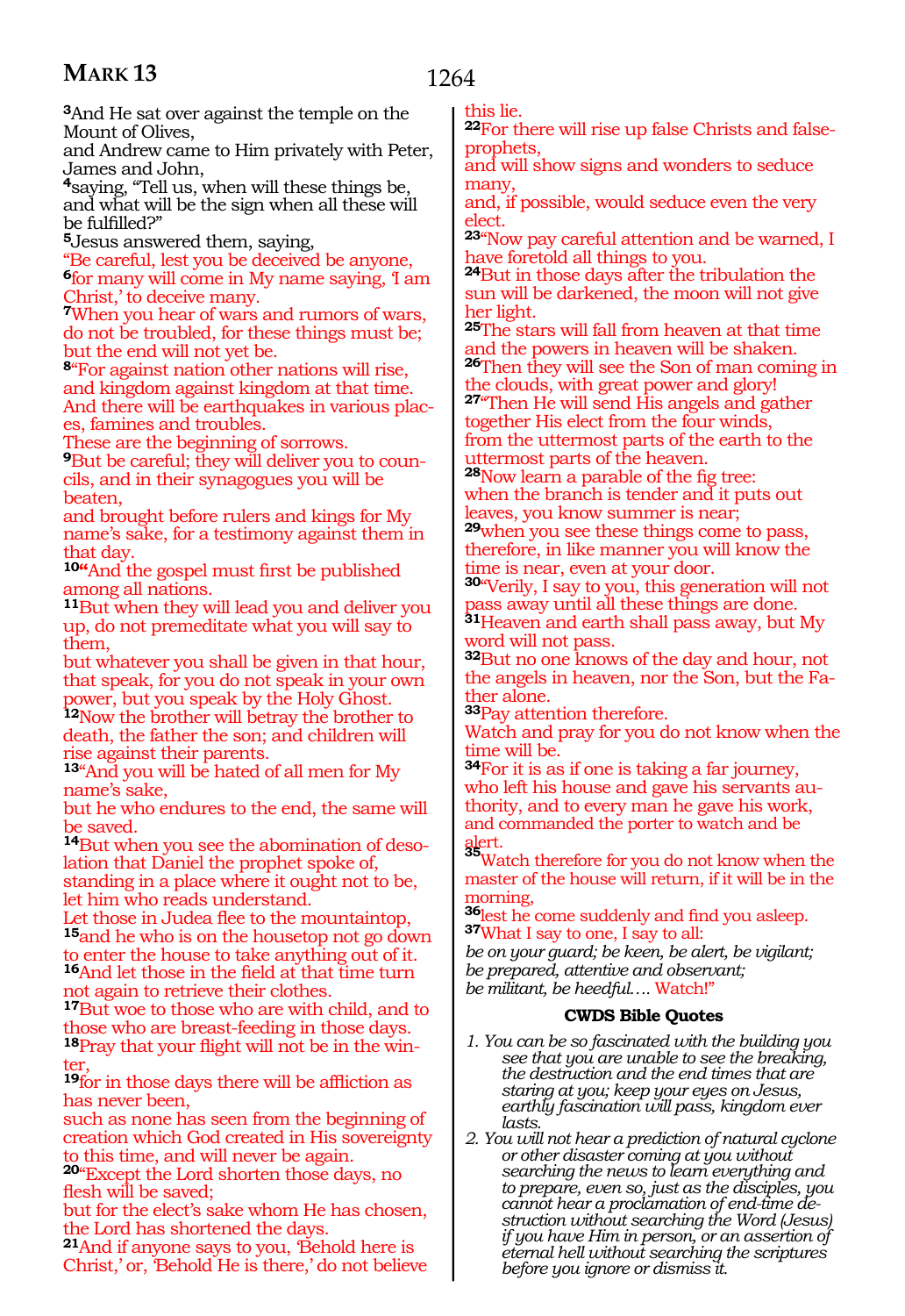1264

**<sup>3</sup>**And He sat over against the temple on the Mount of Olives,

and Andrew came to Him privately with Peter, James and John,

**<sup>4</sup>**saying, "Tell us, when will these things be, and what will be the sign when all these will be fulfilled?"

**<sup>5</sup>**Jesus answered them, saying,

"Be careful, lest you be deceived be anyone, **<sup>6</sup>**for many will come in My name saying, 'I am Christ,' to deceive many.

**<sup>7</sup>**When you hear of wars and rumors of wars, do not be troubled, for these things must be; but the end will not yet be.

**<sup>8</sup>**"For against nation other nations will rise, and kingdom against kingdom at that time. And there will be earthquakes in various places, famines and troubles.

These are the beginning of sorrows.

**9**But be careful; they will deliver you to councils, and in their synagogues you will be beaten,

and brought before rulers and kings for My name's sake, for a testimony against them in that day.

**10"**And the gospel must first be published among all nations.

**<sup>11</sup>**But when they will lead you and deliver you up, do not premeditate what you will say to them,

but whatever you shall be given in that hour, that speak, for you do not speak in your own power, but you speak by the Holy Ghost.

**<sup>12</sup>**Now the brother will betray the brother to death, the father the son; and children will rise against their parents.

**<sup>13</sup>**"And you will be hated of all men for My name's sake,

but he who endures to the end, the same will be saved.

**14**But when you see the abomination of desolation that Daniel the prophet spoke of, standing in a place where it ought not to be, let him who reads understand.

Let those in Judea flee to the mountaintop, **<sup>15</sup>**and he who is on the housetop not go down to enter the house to take anything out of it.

**<sup>16</sup>**And let those in the field at that time turn not again to retrieve their clothes.

**<sup>17</sup>**But woe to those who are with child, and to those who are breast-feeding in those days. **18**Pray that your flight will not be in the winter,

**<sup>19</sup>**for in those days there will be affliction as has never been,

such as none has seen from the beginning of creation which God created in His sovereignty to this time, and will never be again.

**<sup>20</sup>**"Except the Lord shorten those days, no flesh will be saved;

but for the elect's sake whom He has chosen, the Lord has shortened the days.

**<sup>21</sup>**And if anyone says to you, 'Behold here is Christ,' or, 'Behold He is there,' do not believe this lie.

**22**For there will rise up false Christs and falseprophets,

and will show signs and wonders to seduce many,

and, if possible, would seduce even the very elect.

**<sup>23</sup>**"Now pay careful attention and be warned, I have foretold all things to you.

**<sup>24</sup>**But in those days after the tribulation the sun will be darkened, the moon will not give her light.

**<sup>25</sup>**The stars will fall from heaven at that time and the powers in heaven will be shaken. **<sup>26</sup>**Then they will see the Son of man coming in

the clouds, with great power and glory! **<sup>27</sup>**"Then He will send His angels and gather together His elect from the four winds, from the uttermost parts of the earth to the uttermost parts of the heaven.

**<sup>28</sup>**Now learn a parable of the fig tree: when the branch is tender and it puts out leaves, you know summer is near;

**<sup>29</sup>**when you see these things come to pass, therefore, in like manner you will know the time is near, even at your door.

**<sup>30</sup>**"Verily, I say to you, this generation will not pass away until all these things are done.

**<sup>31</sup>**Heaven and earth shall pass away, but My word will not pass.

**<sup>32</sup>**But no one knows of the day and hour, not the angels in heaven, nor the Son, but the Father alone.

**<sup>33</sup>**Pay attention therefore.

Watch and pray for you do not know when the time will be.

**<sup>34</sup>**For it is as if one is taking a far journey, who left his house and gave his servants authority, and to every man he gave his work, and commanded the porter to watch and be

alert. **<sup>35</sup>**Watch therefore for you do not know when the master of the house will return, if it will be in the morning,

**<sup>36</sup>**lest he come suddenly and find you asleep. **37**What I say to one, I say to all:

*be on your guard; be keen, be alert, be vigilant; be prepared, attentive and observant; be militant, be heedful….* Watch!"

### **CWDS Bible Quotes**

- *1. You can be so fascinated with the building you see that you are unable to see the breaking, the destruction and the end times that are staring at you; keep your eyes on Jesus, earthly fascination will pass, kingdom ever lasts.*
- *2. You will not hear a prediction of natural cyclone or other disaster coming at you without searching the news to learn everything and to prepare, even so, just as the disciples, you cannot hear a proclamation of end-time de- struction without searching the Word (Jesus) if you have Him in person, or an assertion of eternal hell without searching the scriptures before you ignore or dismiss it.*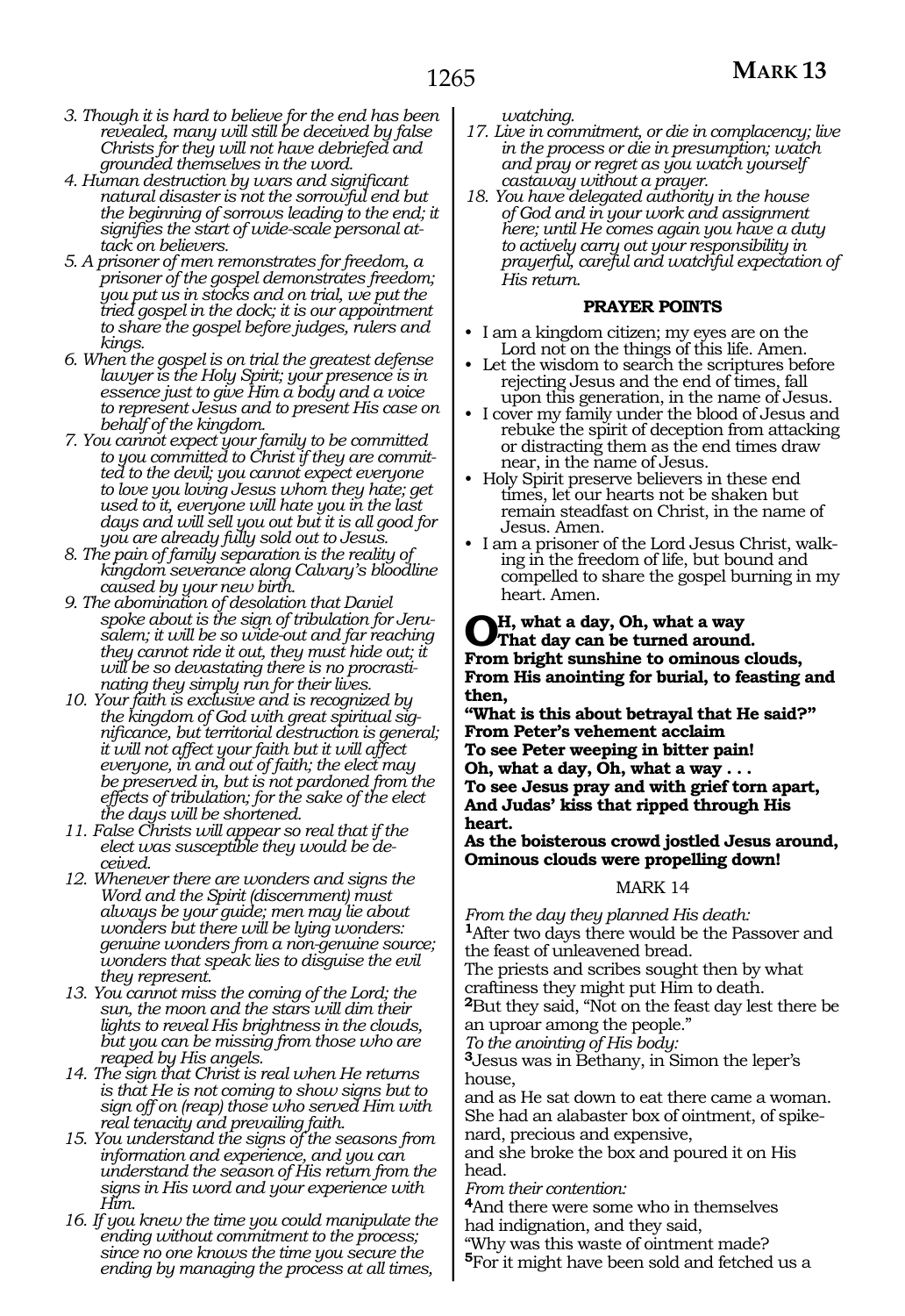- *3. Though it is hard to believe for the end has been revealed, many will still be deceived by false Christs for they will not have debriefed and grounded themselves in the word.*
- *4. Human destruction by wars and significant natural disaster is not the sorrowful end but the beginning of sorrows leading to the end; it signifies the start of wide-scale personal at- tack on believers.*
- *5. A prisoner of men remonstrates for freedom, a prisoner of the gospel demonstrates freedom; you put us in stocks and on trial, we put the tried gospel in the dock; it is our appointment to share the gospel before judges, rulers and*
- *kings. 6. When the gospel is on trial the greatest defense lawyer is the Holy Spirit; your presence is in essence just to give Him a body and a voice to represent Jesus and to present His case on behalf of the kingdom.*
- *7. You cannot expect your family to be committed to you committed to Christ if they are commit- ted to the devil; you cannot expect everyone to love you loving Jesus whom they hate; get used to it, everyone will hate you in the last days and will sell you out but it is all good for you are already fully sold out to Jesus.*
- *8. The pain of family separation is the reality of kingdom severance along Calvary's bloodline caused by your new birth.*
- *9. The abomination of desolation that Daniel spoke about is the sign of tribulation for Jeru- salem; it will be so wide-out and far reaching they cannot ride it out, they must hide out; it will be so devastating there is no procrasti- nating they simply run for their lives.*
- *10. Your faith is exclusive and is recognized by the kingdom of God with great spiritual sig- nificance, but territorial destruction is general; it will not affect your faith but it will affect everyone, in and out of faith; the elect may be preserved in, but is not pardoned from the effects of tribulation; for the sake of the elect the days will be shortened.*
- *11. False Christs will appear so real that if the elect was susceptible they would be de- ceived.*
- *12. Whenever there are wonders and signs the Word and the Spirit (discernment) must always be your guide; men may lie about wonders but there will be lying wonders: genuine wonders from a non-genuine source; wonders that speak lies to disguise the evil they represent.*
- *13. You cannot miss the coming of the Lord; the sun, the moon and the stars will dim their lights to reveal His brightness in the clouds, but you can be missing from those who are reaped by His angels.*
- *14. The sign that Christ is real when He returns is that He is not coming to show signs but to sign off on (reap) those who served Him with real tenacity and prevailing faith.*
- *15. You understand the signs of the seasons from information and experience, and you can understand the season of His return from the signs in His word and your experience with Him.*
- *16. If you knew the time you could manipulate the ending without commitment to the process; since no one knows the time you secure the ending by managing the process at all times,*

*watching.*

- *17. Live in commitment, or die in complacency; live in the process or die in presumption; watch and pray or regret as you watch yourself castaway without a prayer.*
- *18. You have delegated authority in the house of God and in your work and assignment here; until He comes again you have a duty to actively carry out your responsibility in prayerful, careful and watchful expectation of His return.*

#### **PRAYER POINTS**

- I am a kingdom citizen; my eyes are on the
- Let the wisdom to search the scriptures before. rejecting Jesus and the end of times, fall
- I cover my family under the blood of Jesus and rebuke the spirit of deception from attacking or distracting them as the end times draw
- Holy Spirit preserve believers in these end times, let our hearts not be shaken but remain steadfast on Christ, in the name of
- I am a prisoner of the Lord Jesus Christ, walk-<br>ing in the freedom of life, but bound and compelled to share the gospel burning in my heart. Amen.

#### **Oh, what a day, Oh, what a way That day can be turned around. From bright sunshine to ominous clouds, From His anointing for burial, to feasting and then,**

**"What is this about betrayal that He said?" From Peter's vehement acclaim To see Peter weeping in bitter pain! Oh, what a day, Oh, what a way . . .** 

**To see Jesus pray and with grief torn apart, And Judas' kiss that ripped through His heart.** 

**As the boisterous crowd jostled Jesus around, Ominous clouds were propelling down!**

#### MARK 14

*From the day they planned His death:*  **<sup>1</sup>**After two days there would be the Passover and the feast of unleavened bread.

The priests and scribes sought then by what craftiness they might put Him to death.

**<sup>2</sup>**But they said, "Not on the feast day lest there be an uproar among the people."

*To the anointing of His body:* 

**<sup>3</sup>**Jesus was in Bethany, in Simon the leper's house,

and as He sat down to eat there came a woman. She had an alabaster box of ointment, of spikenard, precious and expensive,

and she broke the box and poured it on His head.

*From their contention:*

**<sup>4</sup>**And there were some who in themselves had indignation, and they said,

"Why was this waste of ointment made?

**<sup>5</sup>**For it might have been sold and fetched us a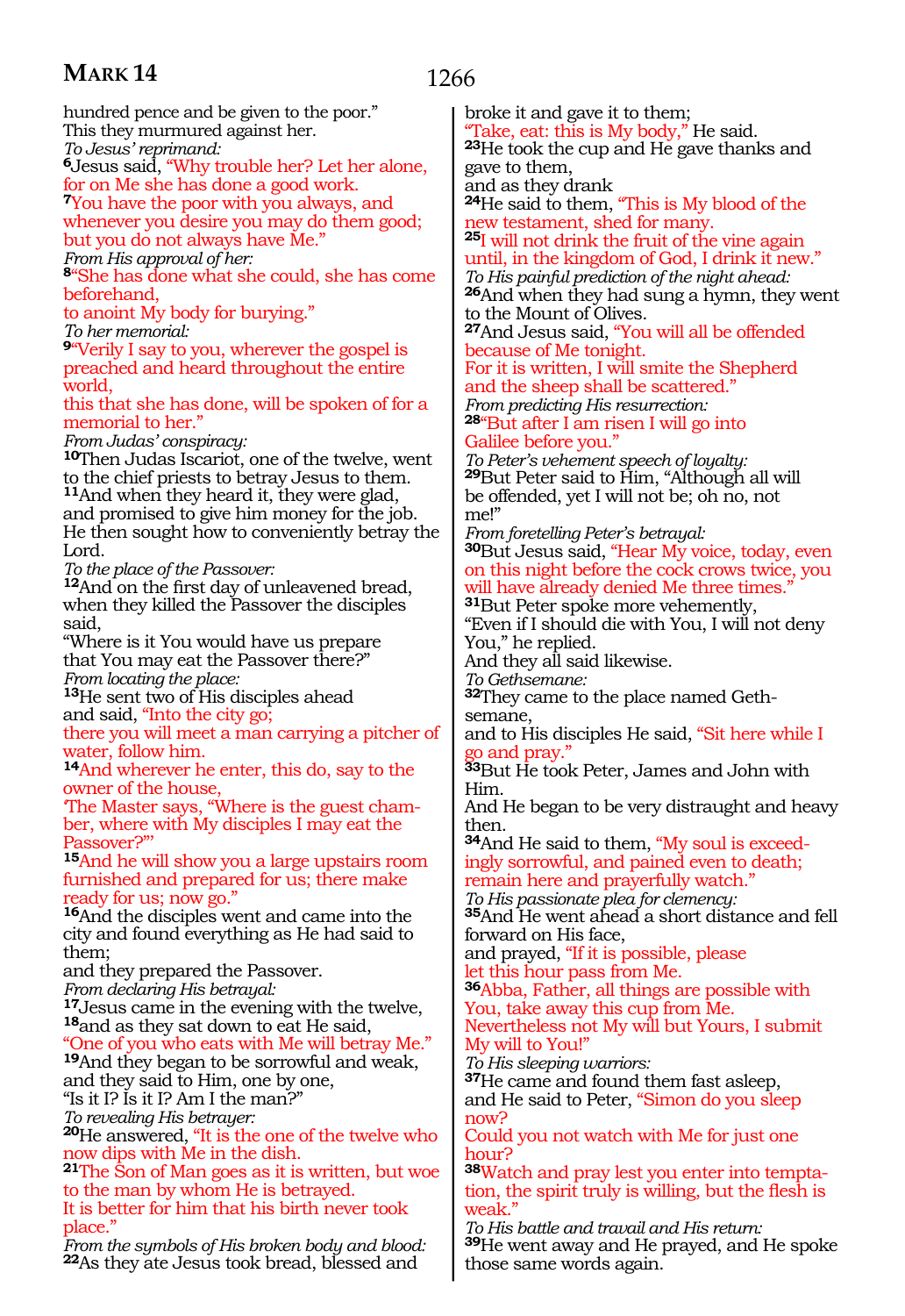### 1266

hundred pence and be given to the poor." This they murmured against her. *To Jesus' reprimand:*  **<sup>6</sup>**Jesus said, "Why trouble her? Let her alone, for on Me she has done a good work. **<sup>7</sup>**You have the poor with you always, and whenever you desire you may do them good; but you do not always have Me." *From His approval of her:*  **<sup>8</sup>**"She has done what she could, she has come beforehand, to anoint My body for burying." *To her memorial:*  **<sup>9</sup>**"Verily I say to you, wherever the gospel is preached and heard throughout the entire world, this that she has done, will be spoken of for a memorial to her." *From Judas' conspiracy:*  **<sup>10</sup>**Then Judas Iscariot, one of the twelve, went to the chief priests to betray Jesus to them. **<sup>11</sup>**And when they heard it, they were glad, and promised to give him money for the job. He then sought how to conveniently betray the Lord. *To the place of the Passover:*  **<sup>12</sup>**And on the first day of unleavened bread, when they killed the Passover the disciples said, "Where is it You would have us prepare that You may eat the Passover there?" *From locating the place:* **<sup>13</sup>**He sent two of His disciples ahead and said, "Into the city go; there you will meet a man carrying a pitcher of water, follow him. **<sup>14</sup>**And wherever he enter, this do, say to the owner of the house,<br>The Master says, "Where is the guest chamber, where with My disciples I may eat the Passover?' **<sup>15</sup>**And he will show you a large upstairs room furnished and prepared for us; there make ready for us; now go." **<sup>16</sup>**And the disciples went and came into the city and found everything as He had said to them; and they prepared the Passover. *From declaring His betrayal:*  **<sup>17</sup>**Jesus came in the evening with the twelve, **18**and as they sat down to eat He said, "One of you who eats with Me will betray Me." **<sup>19</sup>**And they began to be sorrowful and weak, and they said to Him, one by one, "Is it I? Is it I? Am I the man?" *To revealing His betrayer:*  **<sup>20</sup>**He answered, "It is the one of the twelve who now dips with Me in the dish. **<sup>21</sup>**The Son of Man goes as it is written, but woe to the man by whom He is betrayed. It is better for him that his birth never took place. me!" semane, Him. then. now? hour? weak.'

*From the symbols of His broken body and blood:*  **<sup>22</sup>**As they ate Jesus took bread, blessed and

broke it and gave it to them; Take, eat: this is My body," He said. **<sup>23</sup>**He took the cup and He gave thanks and gave to them, and as they drank **<sup>24</sup>**He said to them, "This is My blood of the ew testament, shed for many. **<sup>25</sup>**I will not drink the fruit of the vine again until, in the kingdom of God, I drink it new." *To His painful prediction of the night ahead:*  **<sup>26</sup>**And when they had sung a hymn, they went to the Mount of Olives. **<sup>27</sup>**And Jesus said, "You will all be offended because of Me tonight. For it is written, I will smite the Shepherd and the sheep shall be scattered." *From predicting His resurrection:*  **<sup>28</sup>**"But after I am risen I will go into Galilee before you." *To Peter's vehement speech of loyalty:* **<sup>29</sup>**But Peter said to Him, "Although all will be offended, yet I will not be; oh no, not *From foretelling Peter's betrayal:*  **<sup>30</sup>**But Jesus said, "Hear My voice, today, even on this night before the cock crows twice, you will have already denied Me three times." **<sup>31</sup>**But Peter spoke more vehemently, "Even if I should die with You, I will not deny You," he replied. And they all said likewise. *To Gethsemane:*  **32**They came to the place named Gethand to His disciples He said, "Sit here while I  $\rm{so}$  and pray.' **<sup>33</sup>**But He took Peter, James and John with And He began to be very distraught and heavy **34**And He said to them, "My soul is exceedingly sorrowful, and pained even to death; remain here and prayerfully watch." *To His passionate plea for clemency:*  **<sup>35</sup>**And He went ahead a short distance and fell forward on His face, and prayed, "If it is possible, please let this hour pass from Me. **<sup>36</sup>**Abba, Father, all things are possible with You, take away this cup from Me. Nevertheless not My will but Yours, I submit My will to You!" *To His sleeping warriors:*  **<sup>37</sup>**He came and found them fast asleep, and He said to Peter, "Simon do you sleep Could you not watch with Me for just one **38**Watch and pray lest you enter into temptation, the spirit truly is willing, but the flesh is *To His battle and travail and His return:*  **<sup>39</sup>**He went away and He prayed, and He spoke those same words again.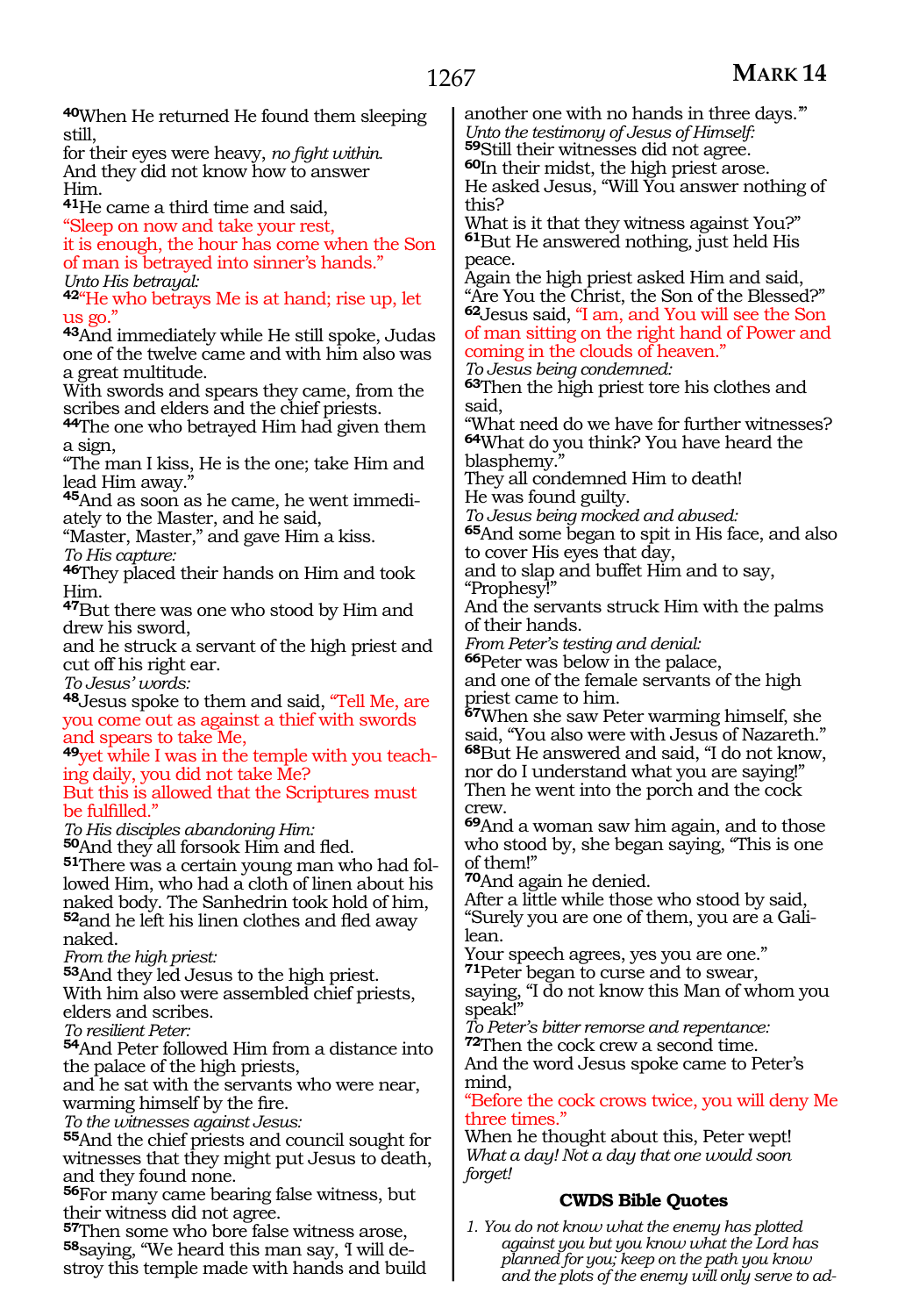| 40When He returned He found them sleeping                                             | another one with no hands in three days."                                             |
|---------------------------------------------------------------------------------------|---------------------------------------------------------------------------------------|
| still,                                                                                | Unto the testimony of Jesus of Himself:                                               |
| for their eyes were heavy, no fight within.                                           | 59Still their witnesses did not agree.                                                |
| And they did not know how to answer                                                   | <b><sup>60</sup>In their midst, the high priest arose.</b>                            |
| Him.                                                                                  | He asked Jesus, "Will You answer nothing of                                           |
| <sup>41</sup> He came a third time and said,                                          | this?                                                                                 |
| "Sleep on now and take your rest,                                                     | What is it that they witness against You?"                                            |
| it is enough, the hour has come when the Son                                          | <sup>61</sup> But He answered nothing, just held His                                  |
| of man is betrayed into sinner's hands."                                              | peace.                                                                                |
| Unto His betrayal:                                                                    | Again the high priest asked Him and said,                                             |
| 42"He who betrays Me is at hand; rise up, let                                         | "Are You the Christ, the Son of the Blessed?"                                         |
| us go."                                                                               | <sup>62</sup> Jesus said, "I am, and You will see the Son                             |
| 43And immediately while He still spoke, Judas                                         | of man sitting on the right hand of Power and                                         |
| one of the twelve came and with him also was                                          | coming in the clouds of heaven."                                                      |
| a great multitude.                                                                    | To Jesus being condemned:                                                             |
| With swords and spears they came, from the                                            | <b>63</b> Then the high priest tore his clothes and                                   |
| scribes and elders and the chief priests.                                             | said,                                                                                 |
| 44The one who betrayed Him had given them                                             | "What need do we have for further witnesses?                                          |
| a sıgn,                                                                               | <sup>64</sup> What do you think? You have heard the                                   |
| "The man I kiss, He is the one; take Him and                                          | blasphemy."                                                                           |
| lead Him away."                                                                       | They all condemned Him to death!                                                      |
| 45And as soon as he came, he went immedi-                                             | He was found guilty.                                                                  |
| ately to the Master, and he said,                                                     | To Jesus being mocked and abused:                                                     |
| "Master, Master," and gave Him a kiss.                                                | <sup>65</sup> And some began to spit in His face, and also                            |
| To His capture:                                                                       | to cover His eyes that day,                                                           |
| 46They placed their hands on Him and took                                             | and to slap and buffet Him and to say,                                                |
| Him.                                                                                  | "Prophesy!"                                                                           |
| <sup>47</sup> But there was one who stood by Him and                                  | And the servants struck Him with the palms                                            |
| drew his sword,                                                                       | of their hands.                                                                       |
| and he struck a servant of the high priest and                                        | From Peter's testing and denial:                                                      |
| cut off his right ear.                                                                | <b><sup>66</sup>Peter was below in the palace,</b>                                    |
| To Jesus' words:                                                                      | and one of the female servants of the high                                            |
| <sup>48</sup> Jesus spoke to them and said, "Tell Me, are                             | priest came to him.                                                                   |
| you come out as against a thief with swords                                           | <sup>67</sup> When she saw Peter warming himself, she                                 |
| and spears to take Me,                                                                | said, "You also were with Jesus of Nazareth."                                         |
| <sup>49</sup> yet while I was in the temple with you teach-                           | <sup>68</sup> But He answered and said, "I do not know,                               |
| ing daily, you did not take Me?                                                       | nor do I understand what you are saying!"<br>Then he went into the porch and the cock |
| But this is allowed that the Scriptures must                                          | crew.                                                                                 |
| be fulfilled."                                                                        | 69 And a woman saw him again, and to those                                            |
| To His disciples abandoning Him:                                                      | who stood by, she began saying, "This is one                                          |
| 50And they all forsook Him and fled.<br>51 There was a certain young man who had fol- | of them!"                                                                             |
| lowed Him, who had a cloth of linen about his                                         | 70 And again he denied.                                                               |
| naked body. The Sanhedrin took hold of him,                                           | After a little while those who stood by said,                                         |
| 52and he left his linen clothes and fled away                                         | "Surely you are one of them, you are a Gali-                                          |
| naked.                                                                                | lean.                                                                                 |
| From the high priest:                                                                 | Your speech agrees, yes you are one."                                                 |
| 53 And they led Jesus to the high priest.                                             | 71 Peter began to curse and to swear,                                                 |
| With him also were assembled chief priests,                                           | saying, "I do not know this Man of whom you                                           |
| elders and scribes.                                                                   | speak!"                                                                               |
| To resilient Peter:                                                                   | To Peter's bitter remorse and repentance:                                             |
| 54 And Peter followed Him from a distance into                                        | <b>72</b> Then the cock crew a second time.                                           |
| the palace of the high priests,                                                       | And the word Jesus spoke came to Peter's                                              |
| and he sat with the servants who were near,                                           | mind,                                                                                 |
| warming himself by the fire.                                                          | "Before the cock crows twice, you will deny Me                                        |
| To the witnesses against Jesus:                                                       | three times."                                                                         |
| 55 And the chief priests and council sought for                                       | When he thought about this, Peter wept!                                               |
| witnesses that they might put Jesus to death,                                         | What a day! Not a day that one would soon                                             |
| and they found none.                                                                  | forget!                                                                               |
|                                                                                       |                                                                                       |

#### **<sup>56</sup>**For many came bearing false witness, but their witness did not agree.

**<sup>57</sup>**Then some who bore false witness arose, **<sup>58</sup>**saying, "We heard this man say, 'I will de- stroy this temple made with hands and build

### **CWDS Bible Quotes**

*1. You do not know what the enemy has plotted against you but you know what the Lord has planned for you; keep on the path you know and the plots of the enemy will only serve to ad-*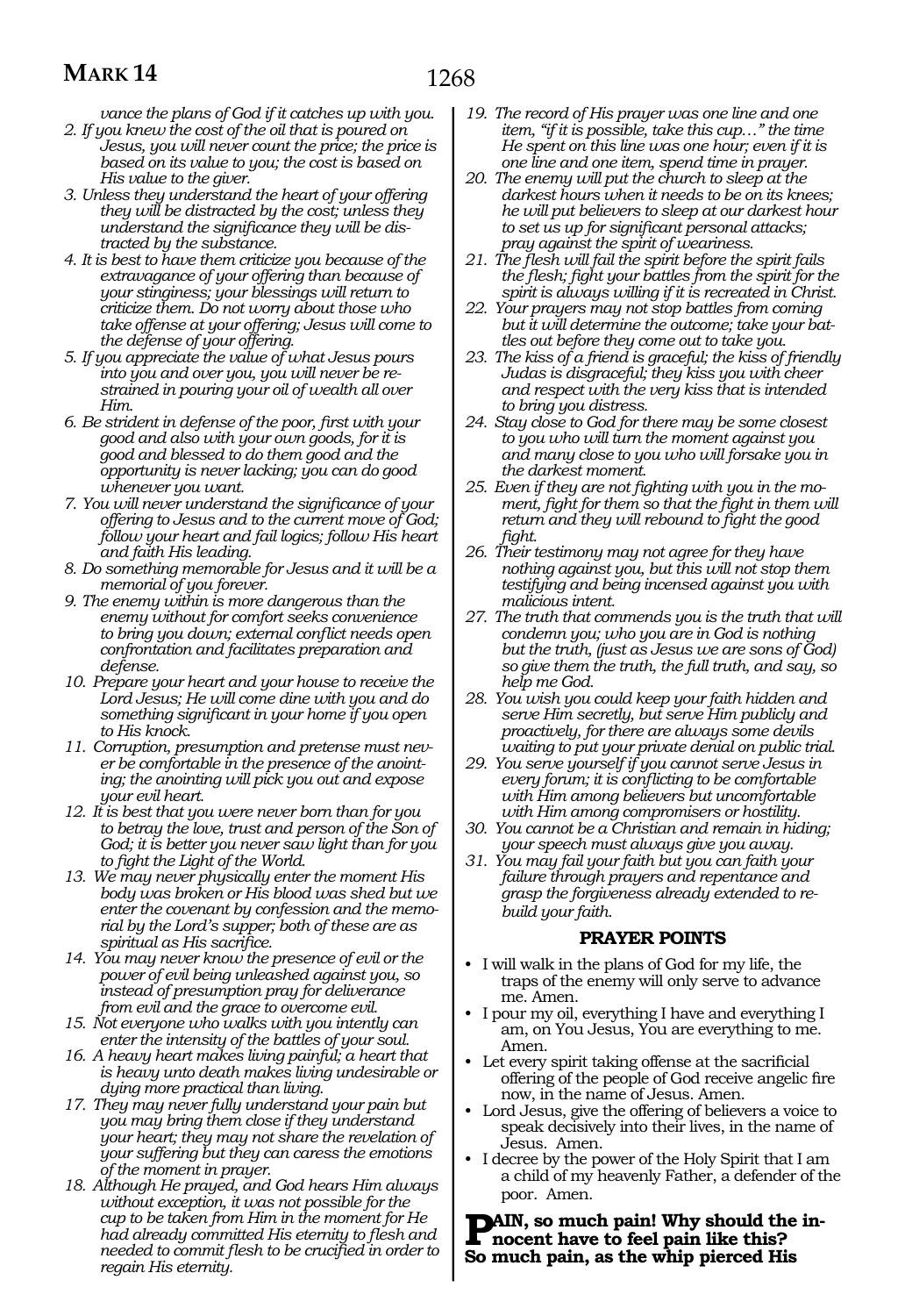*vance the plans of God if it catches up with you. 2. If you knew the cost of the oil that is poured on* 

- *Jesus, you will never count the price; the price is based on its value to you; the cost is based on His value to the giver.*
- *3. Unless they understand the heart of your offering they will be distracted by the cost; unless they understand the significance they will be distracted by the substance.*
- *4. It is best to have them criticize you because of the extravagance of your offering than because of your stinginess; your blessings will return to criticize them. Do not worry about those who take offense at your offering; Jesus will come to the defense of your offering.*
- *5. If you appreciate the value of what Jesus pours into you and over you, you will never be restrained in pouring your oil of wealth all over Him.*
- *6. Be strident in defense of the poor, first with your good and also with your own goods, for it is good and blessed to do them good and the opportunity is never lacking; you can do good whenever you want.*
- *7. You will never understand the significance of your offering to Jesus and to the current move of God; follow your heart and fail logics; follow His heart and faith His leading.*
- *8. Do something memorable for Jesus and it will be a memorial of you forever.*
- *9. The enemy within is more dangerous than the enemy without for comfort seeks convenience to bring you down; external conflict needs open confrontation and facilitates preparation and defense.*
- *10. Prepare your heart and your house to receive the Lord Jesus; He will come dine with you and do something significant in your home if you open to His knock.*
- *11. Corruption, presumption and pretense must never be comfortable in the presence of the anointing; the anointing will pick you out and expose your evil heart.*
- *12. It is best that you were never born than for you to betray the love, trust and person of the Son of God; it is better you never saw light than for you to fight the Light of the World.*
- *13. We may never physically enter the moment His body was broken or His blood was shed but we enter the covenant by confession and the memorial by the Lord's supper; both of these are as spiritual as His sacrifice.*
- *14. You may never know the presence of evil or the power of evil being unleashed against you, so instead of presumption pray for deliverance from evil and the grace to overcome evil.*
- *15. Not everyone who walks with you intently can enter the intensity of the battles of your soul.*
- *16. A heavy heart makes living painful; a heart that is heavy unto death makes living undesirable or dying more practical than living.*
- *17. They may never fully understand your pain but you may bring them close if they understand your heart; they may not share the revelation of your suffering but they can caress the emotions of the moment in prayer.*
- *18. Although He prayed, and God hears Him always without exception, it was not possible for the cup to be taken from Him in the moment for He had already committed His eternity to flesh and needed to commit flesh to be crucified in order to regain His eternity.*
- *19. The record of His prayer was one line and one item, "if it is possible, take this cup…" the time He spent on this line was one hour; even if it is one line and one item, spend time in prayer.*
- *20. The enemy will put the church to sleep at the darkest hours when it needs to be on its knees; he will put believers to sleep at our darkest hour to set us up for significant personal attacks; pray against the spirit of weariness.*
- *21. The flesh will fail the spirit before the spirit fails the flesh; fight your battles from the spirit for the spirit is always willing if it is recreated in Christ.*
- *22. Your prayers may not stop battles from coming but it will determine the outcome; take your battles out before they come out to take you.*
- *23. The kiss of a friend is graceful; the kiss of friendly Judas is disgraceful; they kiss you with cheer and respect with the very kiss that is intended to bring you distress.*
- *24. Stay close to God for there may be some closest to you who will turn the moment against you and many close to you who will forsake you in the darkest moment.*
- *25. Even if they are not fighting with you in the moment, fight for them so that the fight in them will return and they will rebound to fight the good fight.*
- *26. Their testimony may not agree for they have nothing against you, but this will not stop them testifying and being incensed against you with malicious intent.*
- *27. The truth that commends you is the truth that will condemn you; who you are in God is nothing but the truth, (just as Jesus we are sons of God) so give them the truth, the full truth, and say, so help me God.*
- *28. You wish you could keep your faith hidden and serve Him secretly, but serve Him publicly and proactively, for there are always some devils waiting to put your private denial on public trial.*
- *29. You serve yourself if you cannot serve Jesus in every forum; it is conflicting to be comfortable with Him among believers but uncomfortable with Him among compromisers or hostility.*
- *30. You cannot be a Christian and remain in hiding; your speech must always give you away.*
- *31. You may fail your faith but you can faith your failure through prayers and repentance and grasp the forgiveness already extended to rebuild your faith.*

#### **PRAYER POINTS**

- I will walk in the plans of God for my life, the traps of the enemy will only serve to advance me. Amen.
- I pour my oil, everything I have and everything I am, on You Jesus, You are everything to me. Amen.
- Let every spirit taking offense at the sacrificial offering of the people of God receive angelic fire now, in the name of Jesus. Amen.
- Lord Jesus, give the offering of believers a voice to speak decisively into their lives, in the name of Jesus. Amen.
- I decree by the power of the Holy Spirit that I am a child of my heavenly Father, a defender of the poor. Amen.

**PAIN**, so much pain! Why should the in**nocent have to feel pain like this? So much pain, as the whip pierced His**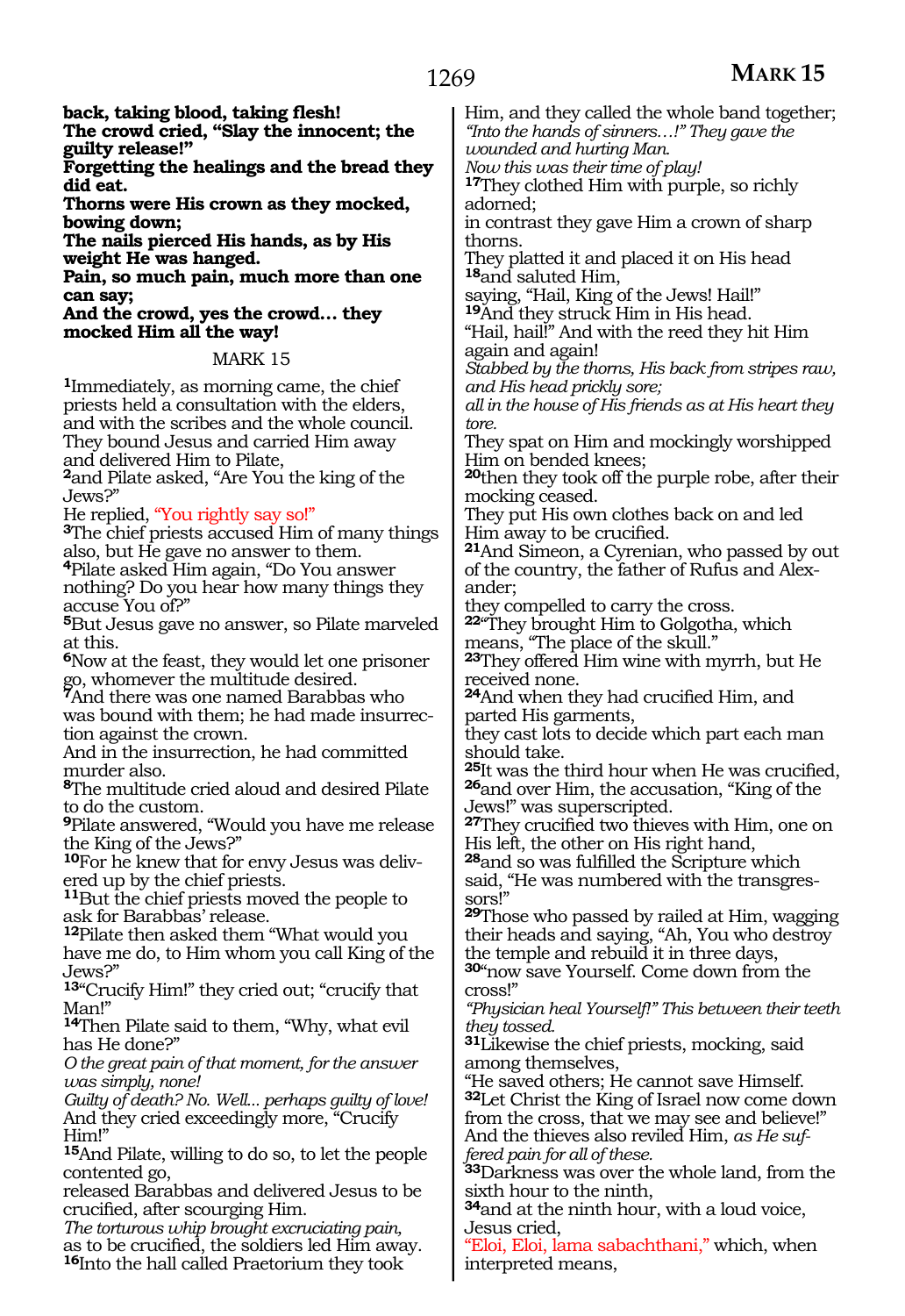**back, taking blood, taking flesh! The crowd cried, "Slay the innocent; the guilty release!" Forgetting the healings and the bread they did eat. Thorns were His crown as they mocked, bowing down; The nails pierced His hands, as by His weight He was hanged. Pain, so much pain, much more than one can say; And the crowd, yes the crowd… they mocked Him all the way!** MARK 15 **<sup>1</sup>**Immediately, as morning came, the chief priests held a consultation with the elders, and with the scribes and the whole council. They bound Jesus and carried Him away and delivered Him to Pilate, **<sup>2</sup>**and Pilate asked, "Are You the king of the Jews?"<br>He replied, "You rightly say so!" <sup>3</sup>The chief priests accused Him of many things also, but He gave no answer to them. **<sup>4</sup>**Pilate asked Him again, "Do You answer nothing? Do you hear how many things they accuse You of?" **<sup>5</sup>**But Jesus gave no answer, so Pilate marveled at this. **<sup>6</sup>**Now at the feast, they would let one prisoner go, whomever the multitude desired. **<sup>7</sup>**And there was one named Barabbas who was bound with them; he had made insurrec- tion against the crown. And in the insurrection, he had committed murder also. **<sup>8</sup>**The multitude cried aloud and desired Pilate to do the custom. **<sup>9</sup>**Pilate answered, "Would you have me release the King of the Jews?" **10**For he knew that for envy Jesus was delivered up by the chief priests. **<sup>11</sup>**But the chief priests moved the people to ask for Barabbas' release. **<sup>12</sup>**Pilate then asked them "What would you have me do, to Him whom you call King of the Jews?" **<sup>13</sup>**"Crucify Him!" they cried out; "crucify that **<sup>14</sup>**Then Pilate said to them, "Why, what evil has He done?" *O the great pain of that moment, for the answer was simply, none! Guilty of death? No. Well... perhaps guilty of love!* And they cried exceedingly more, "Crucify **<sup>15</sup>**And Pilate, willing to do so, to let the people contented go, released Barabbas and delivered Jesus to be crucified, after scourging Him. *The torturous whip brought excruciating pain,* as to be crucified, the soldiers led Him away. Him, and they called the whole band together; *"Into the hands of sinners…!" They gave the wounded and hurting Man. Now this was their time of play!* **<sup>17</sup>**They clothed Him with purple, so richly adorned; in contrast they gave Him a crown of sharp thorns. They platted it and placed it on His head **<sup>18</sup>**and saluted Him, saying, "Hail, King of the Jews! Hail!" **<sup>19</sup>**And they struck Him in His head. "Hail, hail!" And with the reed they hit Him again and again! *Stabbed by the thorns, His back from stripes raw, and His head prickly sore; all in the house of His friends as at His heart they tore.* They spat on Him and mockingly worshipped Him on bended knees; **<sup>20</sup>**then they took off the purple robe, after their mocking ceased. They put His own clothes back on and led Him away to be crucified. **<sup>21</sup>**And Simeon, a Cyrenian, who passed by out of the country, the father of Rufus and Alexander; they compelled to carry the cross. **<sup>22</sup>**"They brought Him to Golgotha, which means, "The place of the skull." **<sup>23</sup>**They offered Him wine with myrrh, but He received none. **<sup>24</sup>**And when they had crucified Him, and parted His garments, they cast lots to decide which part each man should take. **<sup>25</sup>**It was the third hour when He was crucified, **<sup>26</sup>**and over Him, the accusation, "King of the Jews!" was superscripted. **<sup>27</sup>**They crucified two thieves with Him, one on His left, the other on His right hand, **<sup>28</sup>**and so was fulfilled the Scripture which said, "He was numbered with the transgressors!" **<sup>29</sup>**Those who passed by railed at Him, wagging their heads and saying, "Ah, You who destroy the temple and rebuild it in three days, **<sup>30</sup>**"now save Yourself. Come down from the cross!" *"Physician heal Yourself!" This between their teeth they tossed.* **<sup>31</sup>**Likewise the chief priests, mocking, said among themselves, "He saved others; He cannot save Himself. **<sup>32</sup>**Let Christ the King of Israel now come down from the cross, that we may see and believe!" And the thieves also reviled Him, *as He suffered pain for all of these.* **<sup>33</sup>**Darkness was over the whole land, from the sixth hour to the ninth, **<sup>34</sup>**and at the ninth hour, with a loud voice, Jesus cried, "Eloi, Eloi, lama sabachthani," which, when

interpreted means,

Man!"

Him!"

**<sup>16</sup>**Into the hall called Praetorium they took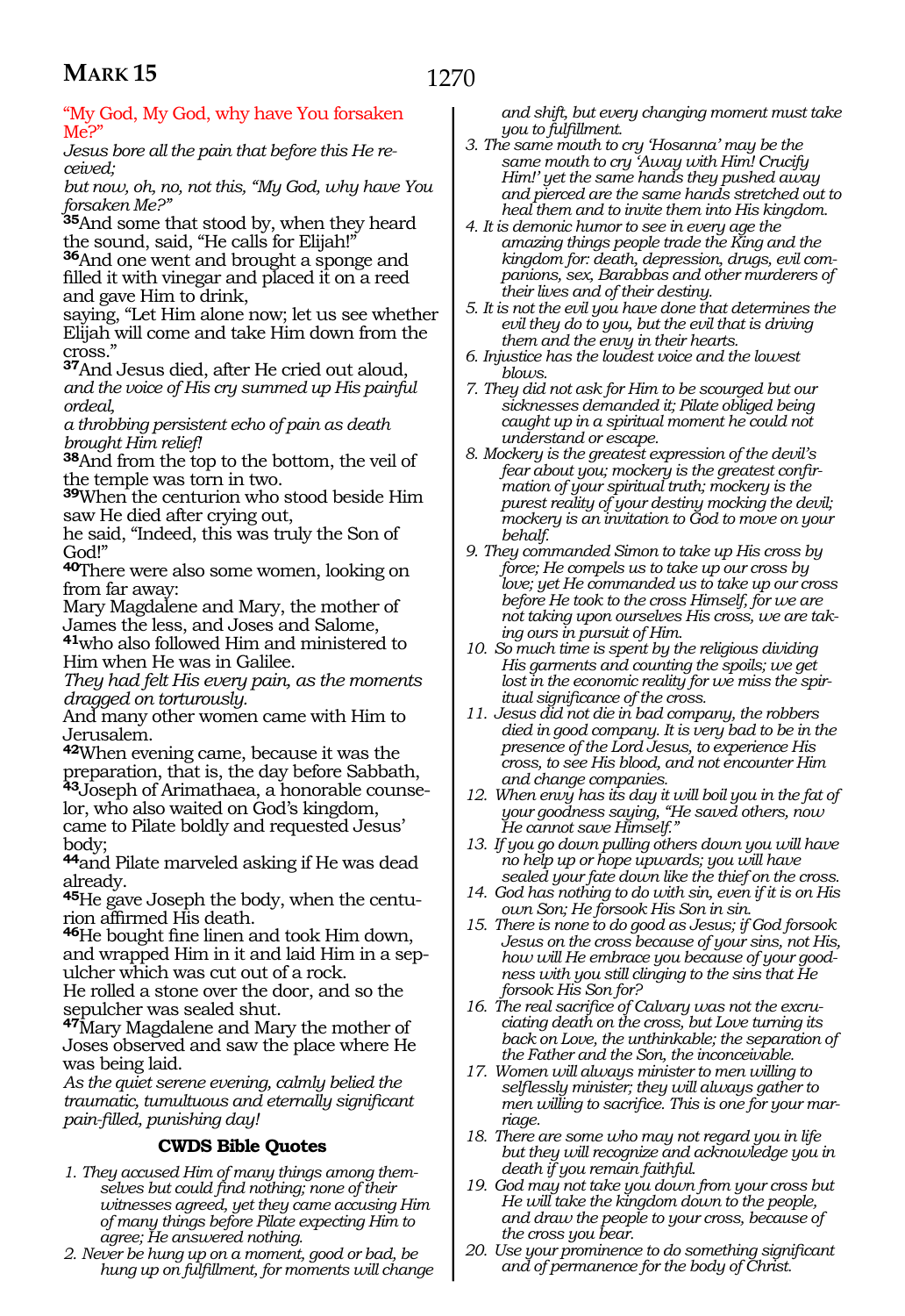### "My God, My God, why have You forsaken Me?"

*Jesus bore all the pain that before this He received;*

*but now, oh, no, not this, "My God, why have You forsaken Me?"*

**<sup>35</sup>**And some that stood by, when they heard the sound, said, "He calls for Elijah!" **<sup>36</sup>**And one went and brought a sponge and

filled it with vinegar and placed it on a reed and gave Him to drink,

saying, "Let Him alone now; let us see whether Elijah will come and take Him down from the cross."

**<sup>37</sup>**And Jesus died, after He cried out aloud, *and the voice of His cry summed up His painful ordeal,*

*a throbbing persistent echo of pain as death brought Him relief!*

**<sup>38</sup>**And from the top to the bottom, the veil of the temple was torn in two.

**<sup>39</sup>**When the centurion who stood beside Him saw He died after crying out,

he said, "Indeed, this was truly the Son of God!"

**<sup>40</sup>**There were also some women, looking on from far away:

Mary Magdalene and Mary, the mother of James the less, and Joses and Salome,

**<sup>41</sup>**who also followed Him and ministered to Him when He was in Galilee.

*They had felt His every pain, as the moments dragged on torturously.*

And many other women came with Him to Jerusalem.

**<sup>42</sup>**When evening came, because it was the preparation, that is, the day before Sabbath, **43**Joseph of Arimathaea, a honorable counselor, who also waited on God's kingdom, came to Pilate boldly and requested Jesus' body;

**<sup>44</sup>**and Pilate marveled asking if He was dead already.

**45**He gave Joseph the body, when the centurion affirmed His death.

**<sup>46</sup>**He bought fine linen and took Him down, and wrapped Him in it and laid Him in a sepulcher which was cut out of a rock. He rolled a stone over the door, and so the sepulcher was sealed shut.

**<sup>47</sup>**Mary Magdalene and Mary the mother of Joses observed and saw the place where He was being laid.

*As the quiet serene evening, calmly belied the traumatic, tumultuous and eternally significant pain-filled, punishing day!*

### **CWDS Bible Quotes**

- *1. They accused Him of many things among themselves but could find nothing; none of their witnesses agreed, yet they came accusing Him of many things before Pilate expecting Him to agree; He answered nothing.*
- *2. Never be hung up on a moment, good or bad, be hung up on fulfillment, for moments will change*

*and shift, but every changing moment must take you to fulfillment.*

- *3. The same mouth to cry 'Hosanna' may be the same mouth to cry 'Away with Him! Crucify Him!' yet the same hands they pushed away and pierced are the same hands stretched out to heal them and to invite them into His kingdom.*
- *4. It is demonic humor to see in every age the amazing things people trade the King and the kingdom for: death, depression, drugs, evil companions, sex, Barabbas and other murderers of their lives and of their destiny.*
- *5. It is not the evil you have done that determines the evil they do to you, but the evil that is driving them and the envy in their hearts.*
- *6. Injustice has the loudest voice and the lowest blows.*
- *7. They did not ask for Him to be scourged but our sicknesses demanded it; Pilate obliged being caught up in a spiritual moment he could not understand or escape.*
- *8. Mockery is the greatest expression of the devil's fear about you; mockery is the greatest confirmation of your spiritual truth; mockery is the purest reality of your destiny mocking the devil; mockery is an invitation to God to move on your behalf.*
- *9. They commanded Simon to take up His cross by force; He compels us to take up our cross by love; yet He commanded us to take up our cross before He took to the cross Himself, for we are not taking upon ourselves His cross, we are taking ours in pursuit of Him.*
- *10. So much time is spent by the religious dividing His garments and counting the spoils; we get lost in the economic reality for we miss the spiritual significance of the cross.*
- *11. Jesus did not die in bad company, the robbers died in good company. It is very bad to be in the presence of the Lord Jesus, to experience His cross, to see His blood, and not encounter Him and change companies.*
- *12. When envy has its day it will boil you in the fat of your goodness saying, "He saved others, now He cannot save Himself."*
- *13. If you go down pulling others down you will have no help up or hope upwards; you will have sealed your fate down like the thief on the cross.*
- *14. God has nothing to do with sin, even if it is on His own Son; He forsook His Son in sin.*
- *15. There is none to do good as Jesus; if God forsook Jesus on the cross because of your sins, not His, how will He embrace you because of your goodness with you still clinging to the sins that He forsook His Son for?*
- *16. The real sacrifice of Calvary was not the excruciating death on the cross, but Love turning its back on Love, the unthinkable; the separation of the Father and the Son, the inconceivable.*
- *17. Women will always minister to men willing to selflessly minister; they will always gather to men willing to sacrifice. This is one for your marriage.*
- *18. There are some who may not regard you in life but they will recognize and acknowledge you in death if you remain faithful.*
- *19. God may not take you down from your cross but He will take the kingdom down to the people, and draw the people to your cross, because of the cross you bear.*
- *20. Use your prominence to do something significant and of permanence for the body of Christ.*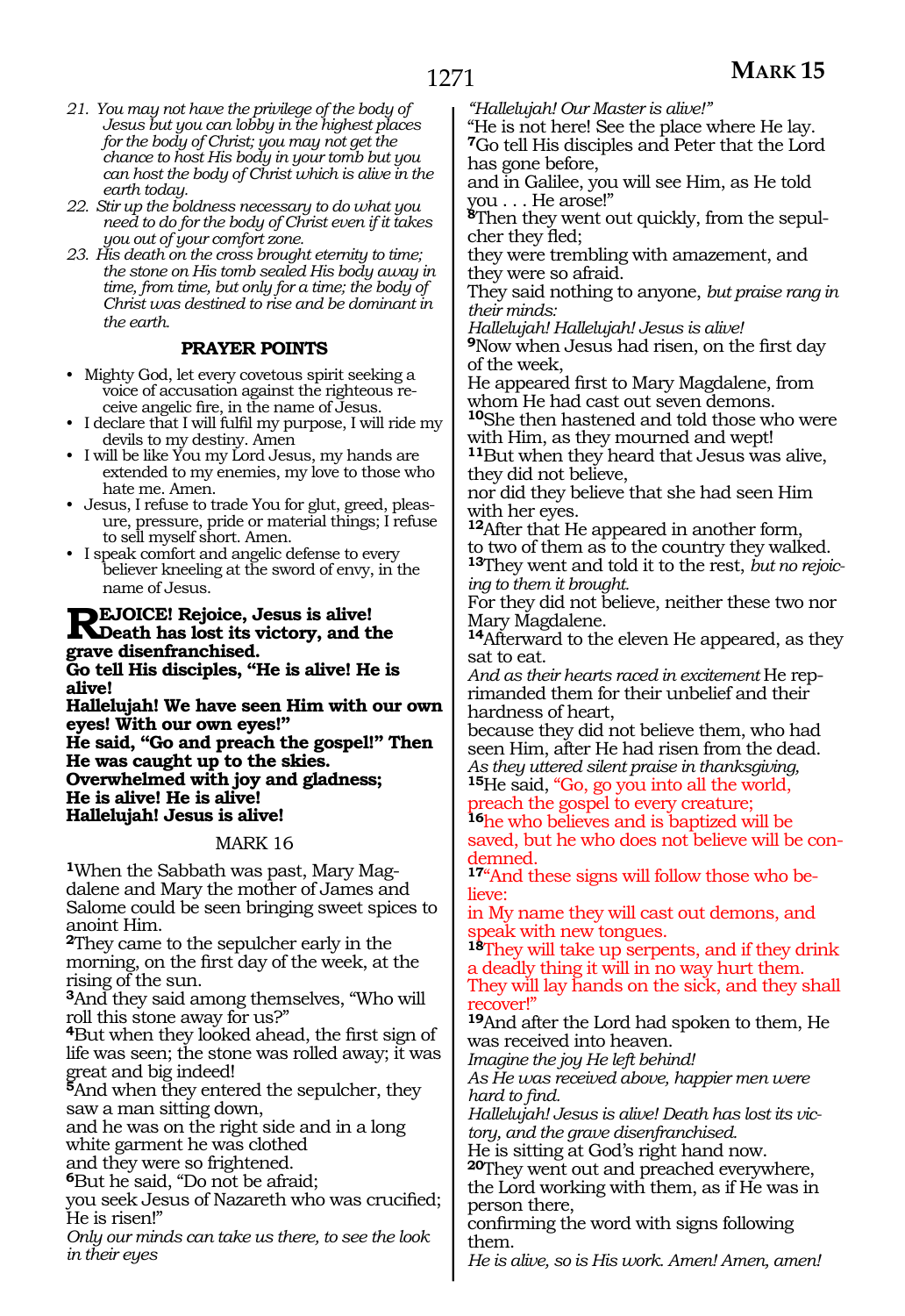- *21. You may not have the privilege of the body of Jesus but you can lobby in the highest places for the body of Christ; you may not get the chance to host His body in your tomb but you can host the body of Christ which is alive in the earth today.*
- *22. Stir up the boldness necessary to do what you need to do for the body of Christ even if it takes you out of your comfort zone.*
- *23. His death on the cross brought eternity to time; the stone on His tomb sealed His body away in time, from time, but only for a time; the body of Christ was destined to rise and be dominant in the earth.*

### **PRAYER POINTS**

- Mighty God, let every covetous spirit seeking a voice of accusation against the righteous receive angelic fire, in the name of Jesus.
- I declare that I will fulfil my purpose, I will ride my devils to my destiny. Amen
- I will be like You my Lord Jesus, my hands are extended to my enemies, my love to those who hate me. Amen.
- Jesus, I refuse to trade You for glut, greed, pleasure, pressure, pride or material things; I refuse to sell myself short. Amen.
- I speak comfort and angelic defense to every believer kneeling at the sword of envy, in the name of Jesus.

### **REJOICE!** Rejoice, Jesus is alive!<br> **R**Death has lost its victory, and the **grave disenfranchised.**

**Go tell His disciples, "He is alive! He is alive!**

**Hallelujah! We have seen Him with our own eyes! With our own eyes!"**

**He said, "Go and preach the gospel!" Then He was caught up to the skies. Overwhelmed with joy and gladness; He is alive! He is alive! Hallelujah! Jesus is alive!**

### MARK 16

**1**When the Sabbath was past, Mary Magdalene and Mary the mother of James and Salome could be seen bringing sweet spices to anoint Him.

**<sup>2</sup>**They came to the sepulcher early in the morning, on the first day of the week, at the rising of the sun.

**<sup>3</sup>**And they said among themselves, "Who will roll this stone away for us?"

**<sup>4</sup>**But when they looked ahead, the first sign of life was seen; the stone was rolled away; it was great and big indeed!

**<sup>5</sup>**And when they entered the sepulcher, they saw a man sitting down,

and he was on the right side and in a long white garment he was clothed

and they were so frightened.

**<sup>6</sup>**But he said, "Do not be afraid;

you seek Jesus of Nazareth who was crucified; He is risen!"

*Only our minds can take us there, to see the look in their eyes* 

*"Hallelujah! Our Master is alive!"* 

"He is not here! See the place where He lay. **<sup>7</sup>**Go tell His disciples and Peter that the Lord has gone before,

and in Galilee, you will see Him, as He told you . . . He arose!"

**8**Then they went out quickly, from the sepulcher they fled;

they were trembling with amazement, and they were so afraid.

They said nothing to anyone, *but praise rang in their minds:* 

*Hallelujah! Hallelujah! Jesus is alive!* 

**<sup>9</sup>**Now when Jesus had risen, on the first day of the week,

He appeared first to Mary Magdalene, from whom He had cast out seven demons.

**<sup>10</sup>**She then hastened and told those who were with Him, as they mourned and wept!

**<sup>11</sup>**But when they heard that Jesus was alive, they did not believe,

nor did they believe that she had seen Him with her eyes.

**<sup>12</sup>**After that He appeared in another form, to two of them as to the country they walked. **<sup>13</sup>**They went and told it to the rest, *but no rejoicing to them it brought.* 

For they did not believe, neither these two nor Mary Magdalene.

**<sup>14</sup>**Afterward to the eleven He appeared, as they sat to eat.

*And as their hearts raced in excitement* He reprimanded them for their unbelief and their hardness of heart,

because they did not believe them, who had seen Him, after He had risen from the dead. *As they uttered silent praise in thanksgiving,*  **<sup>15</sup>**He said, "Go, go you into all the world,

preach the gospel to every creature;

**<sup>16</sup>**he who believes and is baptized will be saved, but he who does not believe will be condemned.

**17**"And these signs will follow those who believe:

in My name they will cast out demons, and speak with new tongues.

**<sup>18</sup>**They will take up serpents, and if they drink a deadly thing it will in no way hurt them. They will lay hands on the sick, and they shall recover!"

**<sup>19</sup>**And after the Lord had spoken to them, He was received into heaven.

*Imagine the joy He left behind!* 

*As He was received above, happier men were hard to find.* 

*Hallelujah! Jesus is alive! Death has lost its victory, and the grave disenfranchised.* 

He is sitting at God's right hand now.

**<sup>20</sup>**They went out and preached everywhere, the Lord working with them, as if He was in person there,

confirming the word with signs following them.

*He is alive, so is His work. Amen! Amen, amen!*